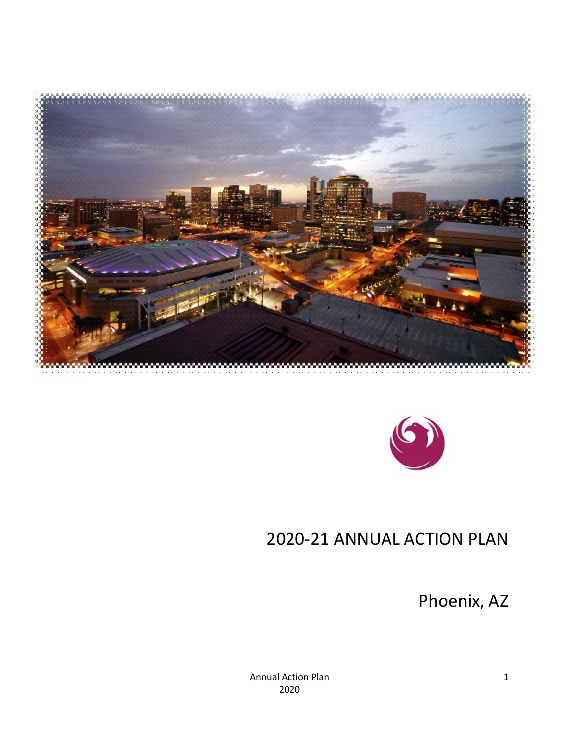



# 2020-21 ANNUAL ACTION PLAN

<span id="page-0-0"></span>Phoenix, AZ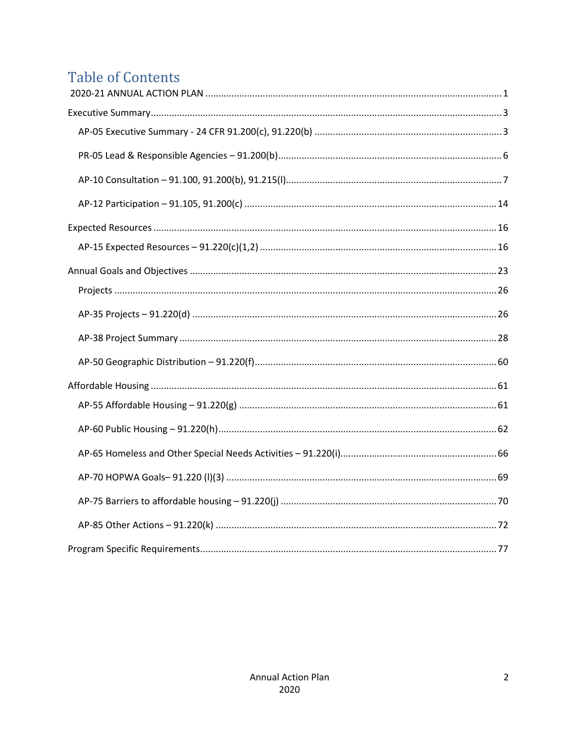# **Table of Contents**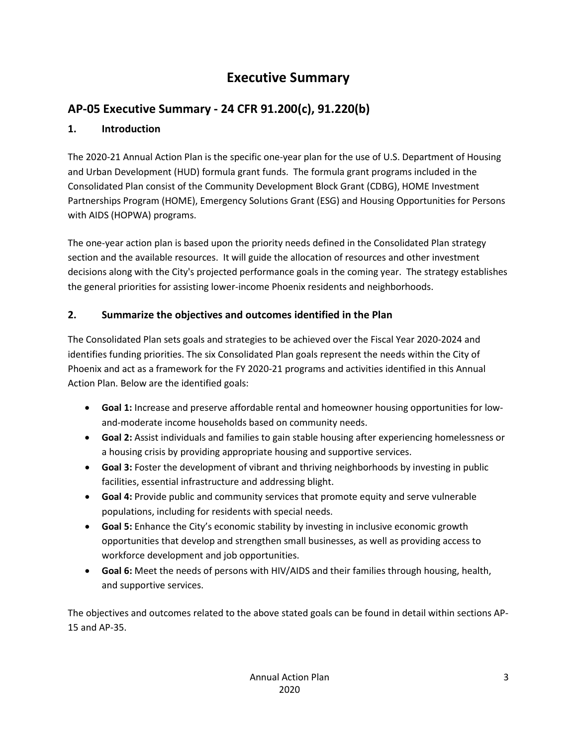## **Executive Summary**

## <span id="page-2-1"></span><span id="page-2-0"></span>**AP-05 Executive Summary - 24 CFR 91.200(c), 91.220(b)**

### **1. Introduction**

The 2020-21 Annual Action Plan is the specific one-year plan for the use of U.S. Department of Housing and Urban Development (HUD) formula grant funds. The formula grant programs included in the Consolidated Plan consist of the Community Development Block Grant (CDBG), HOME Investment Partnerships Program (HOME), Emergency Solutions Grant (ESG) and Housing Opportunities for Persons with AIDS (HOPWA) programs.

The one-year action plan is based upon the priority needs defined in the Consolidated Plan strategy section and the available resources. It will guide the allocation of resources and other investment decisions along with the City's projected performance goals in the coming year. The strategy establishes the general priorities for assisting lower-income Phoenix residents and neighborhoods.

## **2. Summarize the objectives and outcomes identified in the Plan**

The Consolidated Plan sets goals and strategies to be achieved over the Fiscal Year 2020-2024 and identifies funding priorities. The six Consolidated Plan goals represent the needs within the City of Phoenix and act as a framework for the FY 2020-21 programs and activities identified in this Annual Action Plan. Below are the identified goals:

- **Goal 1:** Increase and preserve affordable rental and homeowner housing opportunities for lowand-moderate income households based on community needs.
- **Goal 2:** Assist individuals and families to gain stable housing after experiencing homelessness or a housing crisis by providing appropriate housing and supportive services.
- **Goal 3:** Foster the development of vibrant and thriving neighborhoods by investing in public facilities, essential infrastructure and addressing blight.
- **Goal 4:** Provide public and community services that promote equity and serve vulnerable populations, including for residents with special needs.
- **Goal 5:** Enhance the City's economic stability by investing in inclusive economic growth opportunities that develop and strengthen small businesses, as well as providing access to workforce development and job opportunities.
- **Goal 6:** Meet the needs of persons with HIV/AIDS and their families through housing, health, and supportive services.

The objectives and outcomes related to the above stated goals can be found in detail within sections AP-15 and AP-35.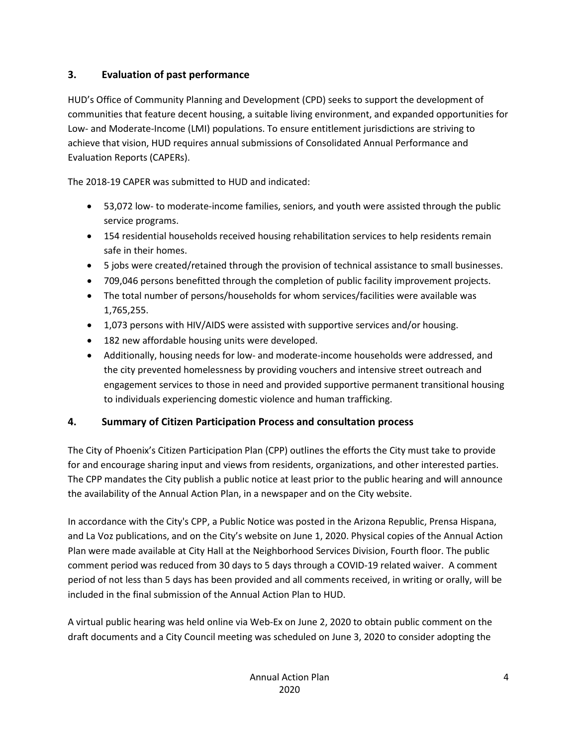### **3. Evaluation of past performance**

HUD's Office of Community Planning and Development (CPD) seeks to support the development of communities that feature decent housing, a suitable living environment, and expanded opportunities for Low- and Moderate-Income (LMI) populations. To ensure entitlement jurisdictions are striving to achieve that vision, HUD requires annual submissions of Consolidated Annual Performance and Evaluation Reports (CAPERs).

The 2018-19 CAPER was submitted to HUD and indicated:

- 53,072 low- to moderate-income families, seniors, and youth were assisted through the public service programs.
- 154 residential households received housing rehabilitation services to help residents remain safe in their homes.
- 5 jobs were created/retained through the provision of technical assistance to small businesses.
- 709,046 persons benefitted through the completion of public facility improvement projects.
- The total number of persons/households for whom services/facilities were available was 1,765,255.
- 1,073 persons with HIV/AIDS were assisted with supportive services and/or housing.
- 182 new affordable housing units were developed.
- Additionally, housing needs for low- and moderate-income households were addressed, and the city prevented homelessness by providing vouchers and intensive street outreach and engagement services to those in need and provided supportive permanent transitional housing to individuals experiencing domestic violence and human trafficking.

## **4. Summary of Citizen Participation Process and consultation process**

The City of Phoenix's Citizen Participation Plan (CPP) outlines the efforts the City must take to provide for and encourage sharing input and views from residents, organizations, and other interested parties. The CPP mandates the City publish a public notice at least prior to the public hearing and will announce the availability of the Annual Action Plan, in a newspaper and on the City website.

In accordance with the City's CPP, a Public Notice was posted in the Arizona Republic, Prensa Hispana, and La Voz publications, and on the City's website on June 1, 2020. Physical copies of the Annual Action Plan were made available at City Hall at the Neighborhood Services Division, Fourth floor. The public comment period was reduced from 30 days to 5 days through a COVID-19 related waiver. A comment period of not less than 5 days has been provided and all comments received, in writing or orally, will be included in the final submission of the Annual Action Plan to HUD.

A virtual public hearing was held online via Web-Ex on June 2, 2020 to obtain public comment on the draft documents and a City Council meeting was scheduled on June 3, 2020 to consider adopting the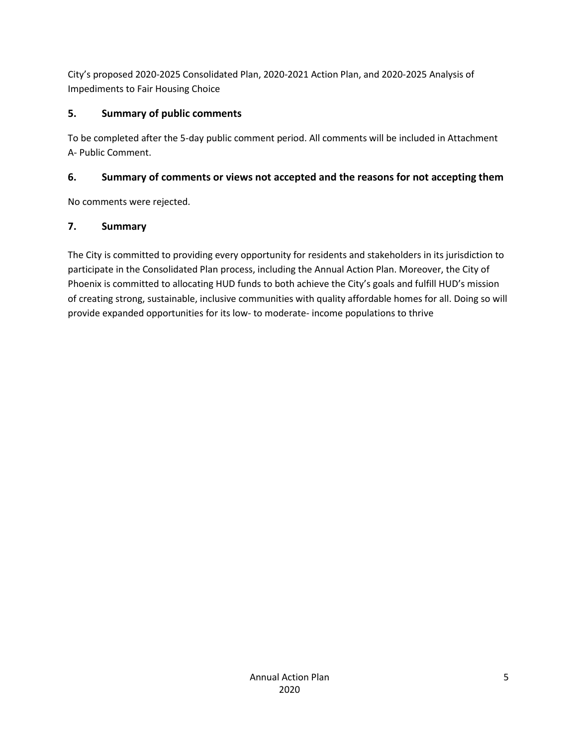City's proposed 2020-2025 Consolidated Plan, 2020-2021 Action Plan, and 2020-2025 Analysis of Impediments to Fair Housing Choice

## **5. Summary of public comments**

To be completed after the 5-day public comment period. All comments will be included in Attachment A- Public Comment.

## **6. Summary of comments or views not accepted and the reasons for not accepting them**

No comments were rejected.

### **7. Summary**

The City is committed to providing every opportunity for residents and stakeholders in its jurisdiction to participate in the Consolidated Plan process, including the Annual Action Plan. Moreover, the City of Phoenix is committed to allocating HUD funds to both achieve the City's goals and fulfill HUD's mission of creating strong, sustainable, inclusive communities with quality affordable homes for all. Doing so will provide expanded opportunities for its low- to moderate- income populations to thrive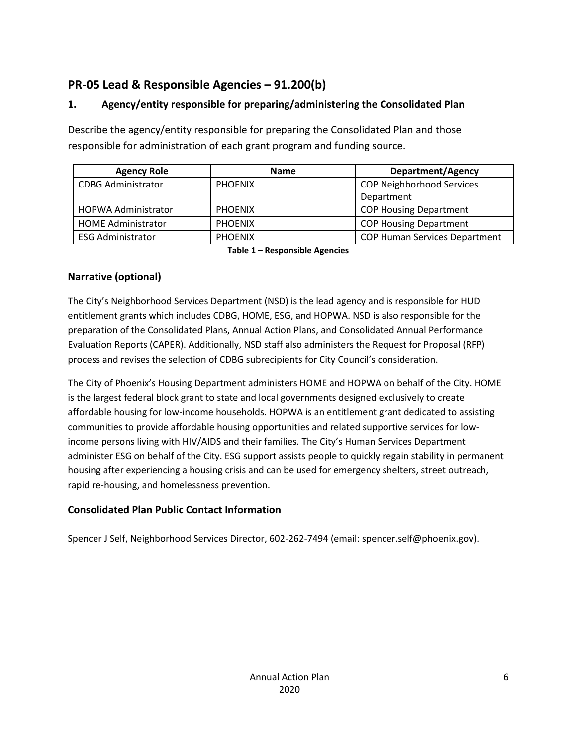## <span id="page-5-0"></span>**PR-05 Lead & Responsible Agencies – 91.200(b)**

## **1. Agency/entity responsible for preparing/administering the Consolidated Plan**

Describe the agency/entity responsible for preparing the Consolidated Plan and those responsible for administration of each grant program and funding source.

| <b>Agency Role</b>         | <b>Name</b>    | <b>Department/Agency</b>             |
|----------------------------|----------------|--------------------------------------|
| <b>CDBG Administrator</b>  | <b>PHOENIX</b> | <b>COP Neighborhood Services</b>     |
|                            |                | Department                           |
| <b>HOPWA Administrator</b> | <b>PHOENIX</b> | <b>COP Housing Department</b>        |
| <b>HOME Administrator</b>  | <b>PHOENIX</b> | <b>COP Housing Department</b>        |
| <b>ESG Administrator</b>   | <b>PHOENIX</b> | <b>COP Human Services Department</b> |

**Table 1 – Responsible Agencies**

## **Narrative (optional)**

The City's Neighborhood Services Department (NSD) is the lead agency and is responsible for HUD entitlement grants which includes CDBG, HOME, ESG, and HOPWA. NSD is also responsible for the preparation of the Consolidated Plans, Annual Action Plans, and Consolidated Annual Performance Evaluation Reports (CAPER). Additionally, NSD staff also administers the Request for Proposal (RFP) process and revises the selection of CDBG subrecipients for City Council's consideration.

The City of Phoenix's Housing Department administers HOME and HOPWA on behalf of the City. HOME is the largest federal block grant to state and local governments designed exclusively to create affordable housing for low-income households. HOPWA is an entitlement grant dedicated to assisting communities to provide affordable housing opportunities and related supportive services for lowincome persons living with HIV/AIDS and their families. The City's Human Services Department administer ESG on behalf of the City. ESG support assists people to quickly regain stability in permanent housing after experiencing a housing crisis and can be used for emergency shelters, street outreach, rapid re-housing, and homelessness prevention.

## **Consolidated Plan Public Contact Information**

Spencer J Self, Neighborhood Services Director, 602-262-7494 (email: spencer.self@phoenix.gov).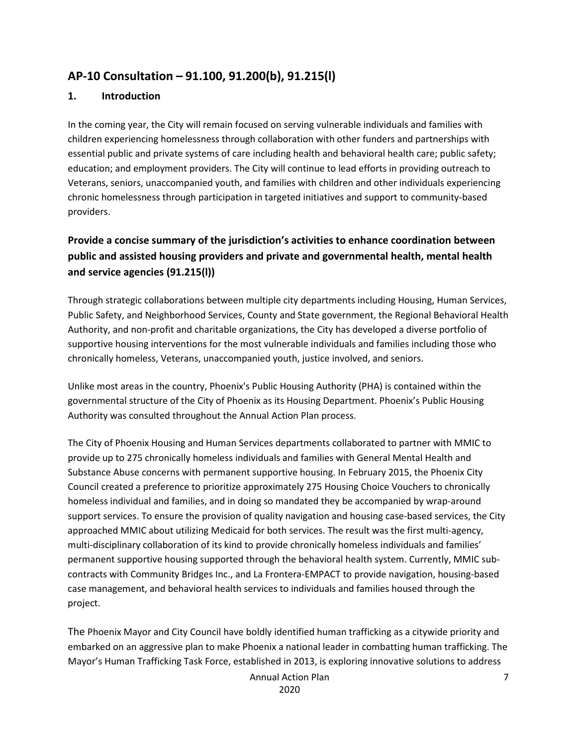## <span id="page-6-0"></span>**AP-10 Consultation – 91.100, 91.200(b), 91.215(l)**

#### **1. Introduction**

In the coming year, the City will remain focused on serving vulnerable individuals and families with children experiencing homelessness through collaboration with other funders and partnerships with essential public and private systems of care including health and behavioral health care; public safety; education; and employment providers. The City will continue to lead efforts in providing outreach to Veterans, seniors, unaccompanied youth, and families with children and other individuals experiencing chronic homelessness through participation in targeted initiatives and support to community-based providers.

## **Provide a concise summary of the jurisdiction's activities to enhance coordination between public and assisted housing providers and private and governmental health, mental health and service agencies (91.215(l))**

Through strategic collaborations between multiple city departments including Housing, Human Services, Public Safety, and Neighborhood Services, County and State government, the Regional Behavioral Health Authority, and non-profit and charitable organizations, the City has developed a diverse portfolio of supportive housing interventions for the most vulnerable individuals and families including those who chronically homeless, Veterans, unaccompanied youth, justice involved, and seniors.

Unlike most areas in the country, Phoenix's Public Housing Authority (PHA) is contained within the governmental structure of the City of Phoenix as its Housing Department. Phoenix's Public Housing Authority was consulted throughout the Annual Action Plan process.

The City of Phoenix Housing and Human Services departments collaborated to partner with MMIC to provide up to 275 chronically homeless individuals and families with General Mental Health and Substance Abuse concerns with permanent supportive housing. In February 2015, the Phoenix City Council created a preference to prioritize approximately 275 Housing Choice Vouchers to chronically homeless individual and families, and in doing so mandated they be accompanied by wrap-around support services. To ensure the provision of quality navigation and housing case-based services, the City approached MMIC about utilizing Medicaid for both services. The result was the first multi-agency, multi-disciplinary collaboration of its kind to provide chronically homeless individuals and families' permanent supportive housing supported through the behavioral health system. Currently, MMIC subcontracts with Community Bridges Inc., and La Frontera-EMPACT to provide navigation, housing-based case management, and behavioral health services to individuals and families housed through the project.

The Phoenix Mayor and City Council have boldly identified human trafficking as a citywide priority and embarked on an aggressive plan to make Phoenix a national leader in combatting human trafficking. The Mayor's Human Trafficking Task Force, established in 2013, is exploring innovative solutions to address

Annual Action Plan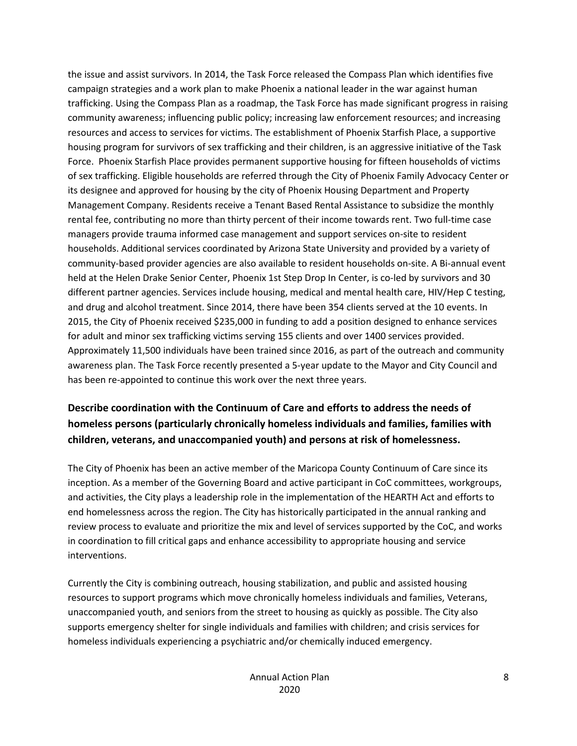the issue and assist survivors. In 2014, the Task Force released the Compass Plan which identifies five campaign strategies and a work plan to make Phoenix a national leader in the war against human trafficking. Using the Compass Plan as a roadmap, the Task Force has made significant progress in raising community awareness; influencing public policy; increasing law enforcement resources; and increasing resources and access to services for victims. The establishment of Phoenix Starfish Place, a supportive housing program for survivors of sex trafficking and their children, is an aggressive initiative of the Task Force. Phoenix Starfish Place provides permanent supportive housing for fifteen households of victims of sex trafficking. Eligible households are referred through the City of Phoenix Family Advocacy Center or its designee and approved for housing by the city of Phoenix Housing Department and Property Management Company. Residents receive a Tenant Based Rental Assistance to subsidize the monthly rental fee, contributing no more than thirty percent of their income towards rent. Two full-time case managers provide trauma informed case management and support services on-site to resident households. Additional services coordinated by Arizona State University and provided by a variety of community-based provider agencies are also available to resident households on-site. A Bi-annual event held at the Helen Drake Senior Center, Phoenix 1st Step Drop In Center, is co-led by survivors and 30 different partner agencies. Services include housing, medical and mental health care, HIV/Hep C testing, and drug and alcohol treatment. Since 2014, there have been 354 clients served at the 10 events. In 2015, the City of Phoenix received \$235,000 in funding to add a position designed to enhance services for adult and minor sex trafficking victims serving 155 clients and over 1400 services provided. Approximately 11,500 individuals have been trained since 2016, as part of the outreach and community awareness plan. The Task Force recently presented a 5-year update to the Mayor and City Council and has been re-appointed to continue this work over the next three years.

## **Describe coordination with the Continuum of Care and efforts to address the needs of homeless persons (particularly chronically homeless individuals and families, families with children, veterans, and unaccompanied youth) and persons at risk of homelessness.**

The City of Phoenix has been an active member of the Maricopa County Continuum of Care since its inception. As a member of the Governing Board and active participant in CoC committees, workgroups, and activities, the City plays a leadership role in the implementation of the HEARTH Act and efforts to end homelessness across the region. The City has historically participated in the annual ranking and review process to evaluate and prioritize the mix and level of services supported by the CoC, and works in coordination to fill critical gaps and enhance accessibility to appropriate housing and service interventions.

Currently the City is combining outreach, housing stabilization, and public and assisted housing resources to support programs which move chronically homeless individuals and families, Veterans, unaccompanied youth, and seniors from the street to housing as quickly as possible. The City also supports emergency shelter for single individuals and families with children; and crisis services for homeless individuals experiencing a psychiatric and/or chemically induced emergency.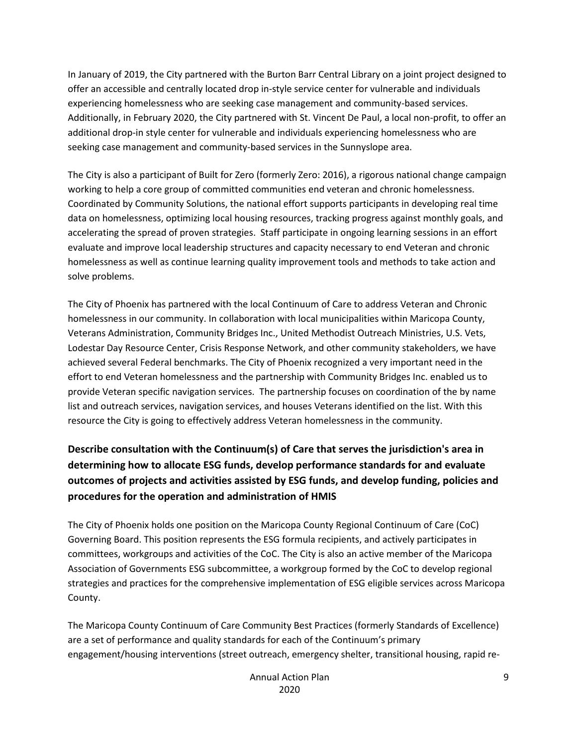In January of 2019, the City partnered with the Burton Barr Central Library on a joint project designed to offer an accessible and centrally located drop in-style service center for vulnerable and individuals experiencing homelessness who are seeking case management and community-based services. Additionally, in February 2020, the City partnered with St. Vincent De Paul, a local non-profit, to offer an additional drop-in style center for vulnerable and individuals experiencing homelessness who are seeking case management and community-based services in the Sunnyslope area.

The City is also a participant of Built for Zero (formerly Zero: 2016), a rigorous national change campaign working to help a core group of committed communities end veteran and chronic homelessness. Coordinated by Community Solutions, the national effort supports participants in developing real time data on homelessness, optimizing local housing resources, tracking progress against monthly goals, and accelerating the spread of proven strategies. Staff participate in ongoing learning sessions in an effort evaluate and improve local leadership structures and capacity necessary to end Veteran and chronic homelessness as well as continue learning quality improvement tools and methods to take action and solve problems.

The City of Phoenix has partnered with the local Continuum of Care to address Veteran and Chronic homelessness in our community. In collaboration with local municipalities within Maricopa County, Veterans Administration, Community Bridges Inc., United Methodist Outreach Ministries, U.S. Vets, Lodestar Day Resource Center, Crisis Response Network, and other community stakeholders, we have achieved several Federal benchmarks. The City of Phoenix recognized a very important need in the effort to end Veteran homelessness and the partnership with Community Bridges Inc. enabled us to provide Veteran specific navigation services. The partnership focuses on coordination of the by name list and outreach services, navigation services, and houses Veterans identified on the list. With this resource the City is going to effectively address Veteran homelessness in the community.

## **Describe consultation with the Continuum(s) of Care that serves the jurisdiction's area in determining how to allocate ESG funds, develop performance standards for and evaluate outcomes of projects and activities assisted by ESG funds, and develop funding, policies and procedures for the operation and administration of HMIS**

The City of Phoenix holds one position on the Maricopa County Regional Continuum of Care (CoC) Governing Board. This position represents the ESG formula recipients, and actively participates in committees, workgroups and activities of the CoC. The City is also an active member of the Maricopa Association of Governments ESG subcommittee, a workgroup formed by the CoC to develop regional strategies and practices for the comprehensive implementation of ESG eligible services across Maricopa County.

The Maricopa County Continuum of Care Community Best Practices (formerly Standards of Excellence) are a set of performance and quality standards for each of the Continuum's primary engagement/housing interventions (street outreach, emergency shelter, transitional housing, rapid re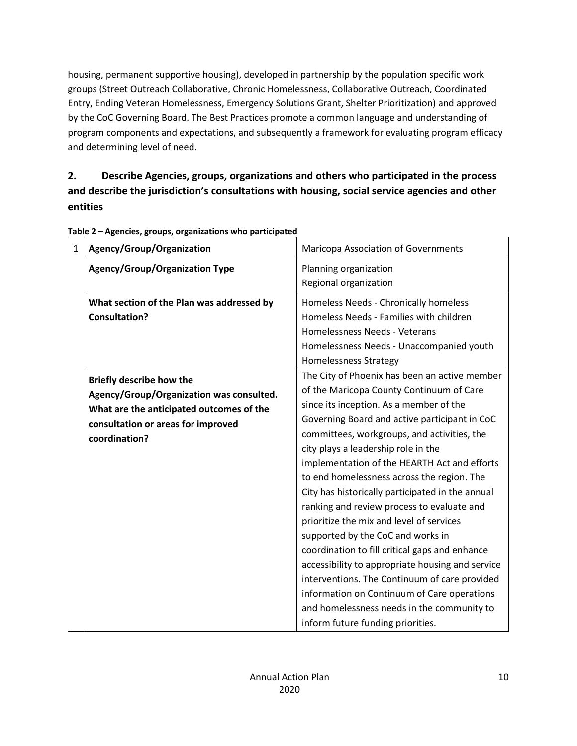housing, permanent supportive housing), developed in partnership by the population specific work groups (Street Outreach Collaborative, Chronic Homelessness, Collaborative Outreach, Coordinated Entry, Ending Veteran Homelessness, Emergency Solutions Grant, Shelter Prioritization) and approved by the CoC Governing Board. The Best Practices promote a common language and understanding of program components and expectations, and subsequently a framework for evaluating program efficacy and determining level of need.

## **2. Describe Agencies, groups, organizations and others who participated in the process and describe the jurisdiction's consultations with housing, social service agencies and other entities**

| 1 | Agency/Group/Organization                                                                                                                                                      | Maricopa Association of Governments                                                                                                                                                                                                                                                                                                                                                                                                                                                                                                                                                                                                                                                                                                                                                                                                                   |  |  |
|---|--------------------------------------------------------------------------------------------------------------------------------------------------------------------------------|-------------------------------------------------------------------------------------------------------------------------------------------------------------------------------------------------------------------------------------------------------------------------------------------------------------------------------------------------------------------------------------------------------------------------------------------------------------------------------------------------------------------------------------------------------------------------------------------------------------------------------------------------------------------------------------------------------------------------------------------------------------------------------------------------------------------------------------------------------|--|--|
|   | <b>Agency/Group/Organization Type</b>                                                                                                                                          | Planning organization<br>Regional organization                                                                                                                                                                                                                                                                                                                                                                                                                                                                                                                                                                                                                                                                                                                                                                                                        |  |  |
|   | What section of the Plan was addressed by<br><b>Consultation?</b>                                                                                                              | Homeless Needs - Chronically homeless<br>Homeless Needs - Families with children<br>Homelessness Needs - Veterans<br>Homelessness Needs - Unaccompanied youth<br><b>Homelessness Strategy</b>                                                                                                                                                                                                                                                                                                                                                                                                                                                                                                                                                                                                                                                         |  |  |
|   | <b>Briefly describe how the</b><br>Agency/Group/Organization was consulted.<br>What are the anticipated outcomes of the<br>consultation or areas for improved<br>coordination? | The City of Phoenix has been an active member<br>of the Maricopa County Continuum of Care<br>since its inception. As a member of the<br>Governing Board and active participant in CoC<br>committees, workgroups, and activities, the<br>city plays a leadership role in the<br>implementation of the HEARTH Act and efforts<br>to end homelessness across the region. The<br>City has historically participated in the annual<br>ranking and review process to evaluate and<br>prioritize the mix and level of services<br>supported by the CoC and works in<br>coordination to fill critical gaps and enhance<br>accessibility to appropriate housing and service<br>interventions. The Continuum of care provided<br>information on Continuum of Care operations<br>and homelessness needs in the community to<br>inform future funding priorities. |  |  |

**Table 2 – Agencies, groups, organizations who participated**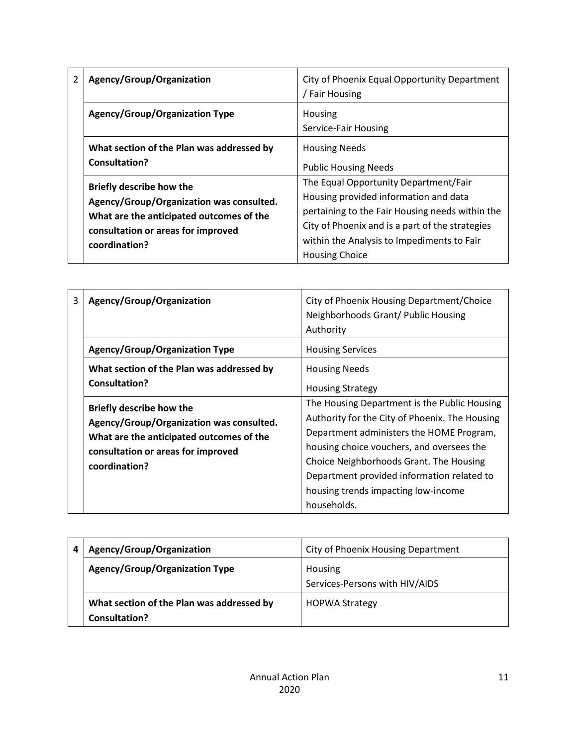| 2 | Agency/Group/Organization                                                                                                                                                      | City of Phoenix Equal Opportunity Department<br>/ Fair Housing                                                                                                                                                                                              |  |
|---|--------------------------------------------------------------------------------------------------------------------------------------------------------------------------------|-------------------------------------------------------------------------------------------------------------------------------------------------------------------------------------------------------------------------------------------------------------|--|
|   | Agency/Group/Organization Type                                                                                                                                                 | Housing<br>Service-Fair Housing                                                                                                                                                                                                                             |  |
|   | What section of the Plan was addressed by<br>Consultation?                                                                                                                     | <b>Housing Needs</b><br><b>Public Housing Needs</b>                                                                                                                                                                                                         |  |
|   | <b>Briefly describe how the</b><br>Agency/Group/Organization was consulted.<br>What are the anticipated outcomes of the<br>consultation or areas for improved<br>coordination? | The Equal Opportunity Department/Fair<br>Housing provided information and data<br>pertaining to the Fair Housing needs within the<br>City of Phoenix and is a part of the strategies<br>within the Analysis to Impediments to Fair<br><b>Housing Choice</b> |  |

| 3 | Agency/Group/Organization                                                                                                                                                      | City of Phoenix Housing Department/Choice<br>Neighborhoods Grant/ Public Housing<br>Authority                                                                                                                                                                                                                                          |
|---|--------------------------------------------------------------------------------------------------------------------------------------------------------------------------------|----------------------------------------------------------------------------------------------------------------------------------------------------------------------------------------------------------------------------------------------------------------------------------------------------------------------------------------|
|   | <b>Agency/Group/Organization Type</b>                                                                                                                                          | <b>Housing Services</b>                                                                                                                                                                                                                                                                                                                |
|   | What section of the Plan was addressed by<br><b>Consultation?</b>                                                                                                              | <b>Housing Needs</b><br><b>Housing Strategy</b>                                                                                                                                                                                                                                                                                        |
|   | <b>Briefly describe how the</b><br>Agency/Group/Organization was consulted.<br>What are the anticipated outcomes of the<br>consultation or areas for improved<br>coordination? | The Housing Department is the Public Housing<br>Authority for the City of Phoenix. The Housing<br>Department administers the HOME Program,<br>housing choice vouchers, and oversees the<br>Choice Neighborhoods Grant. The Housing<br>Department provided information related to<br>housing trends impacting low-income<br>households. |

| Agency/Group/Organization                                  | City of Phoenix Housing Department        |
|------------------------------------------------------------|-------------------------------------------|
| <b>Agency/Group/Organization Type</b>                      | Housing<br>Services-Persons with HIV/AIDS |
| What section of the Plan was addressed by<br>Consultation? | <b>HOPWA Strategy</b>                     |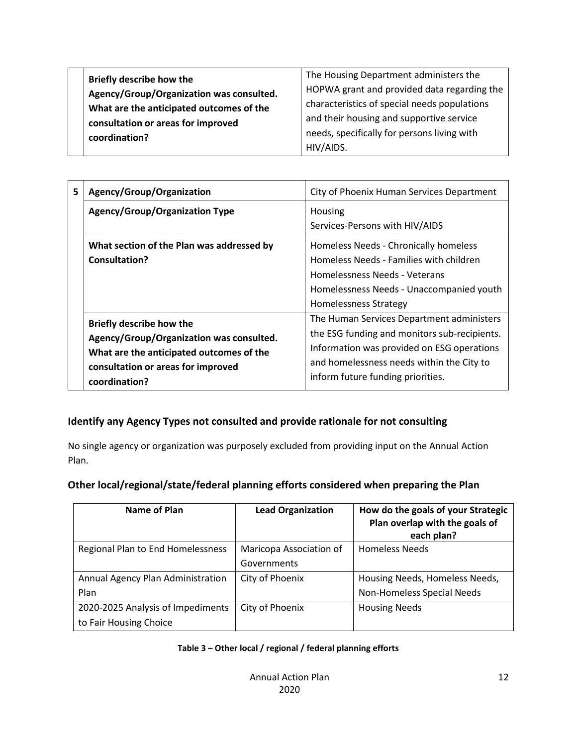| The Housing Department administers the       |
|----------------------------------------------|
| HOPWA grant and provided data regarding the  |
| characteristics of special needs populations |
| and their housing and supportive service     |
| needs, specifically for persons living with  |
| HIV/AIDS.                                    |
|                                              |

| 5 | Agency/Group/Organization                                                                                                                                               | City of Phoenix Human Services Department                                                                                                                                                                                 |  |
|---|-------------------------------------------------------------------------------------------------------------------------------------------------------------------------|---------------------------------------------------------------------------------------------------------------------------------------------------------------------------------------------------------------------------|--|
|   | <b>Agency/Group/Organization Type</b>                                                                                                                                   | Housing<br>Services-Persons with HIV/AIDS                                                                                                                                                                                 |  |
|   | What section of the Plan was addressed by<br>Consultation?                                                                                                              | Homeless Needs - Chronically homeless<br>Homeless Needs - Families with children<br>Homelessness Needs - Veterans<br>Homelessness Needs - Unaccompanied youth<br><b>Homelessness Strategy</b>                             |  |
|   | Briefly describe how the<br>Agency/Group/Organization was consulted.<br>What are the anticipated outcomes of the<br>consultation or areas for improved<br>coordination? | The Human Services Department administers<br>the ESG funding and monitors sub-recipients.<br>Information was provided on ESG operations<br>and homelessness needs within the City to<br>inform future funding priorities. |  |

#### **Identify any Agency Types not consulted and provide rationale for not consulting**

No single agency or organization was purposely excluded from providing input on the Annual Action Plan.

#### **Other local/regional/state/federal planning efforts considered when preparing the Plan**

| Name of Plan                                                | <b>Lead Organization</b>               | How do the goals of your Strategic<br>Plan overlap with the goals of<br>each plan? |
|-------------------------------------------------------------|----------------------------------------|------------------------------------------------------------------------------------|
| Regional Plan to End Homelessness                           | Maricopa Association of<br>Governments | <b>Homeless Needs</b>                                                              |
| Annual Agency Plan Administration<br>Plan                   | City of Phoenix                        | Housing Needs, Homeless Needs,<br>Non-Homeless Special Needs                       |
| 2020-2025 Analysis of Impediments<br>to Fair Housing Choice | City of Phoenix                        | <b>Housing Needs</b>                                                               |

#### **Table 3 – Other local / regional / federal planning efforts**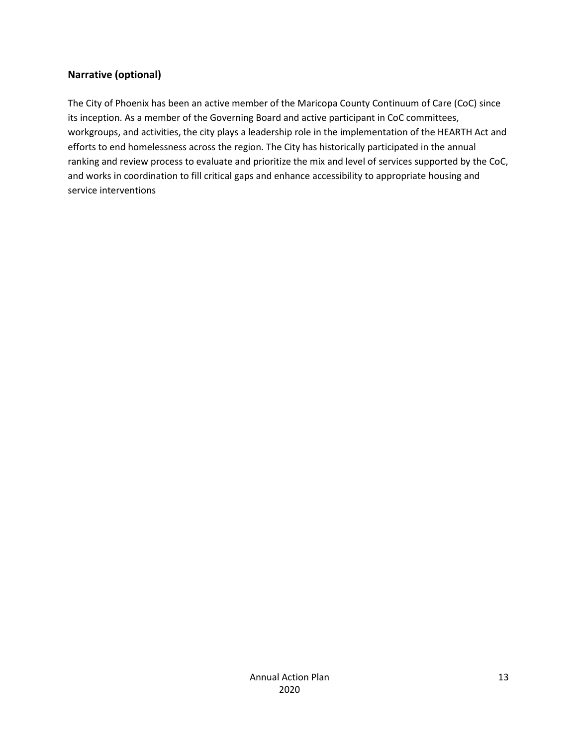#### **Narrative (optional)**

The City of Phoenix has been an active member of the Maricopa County Continuum of Care (CoC) since its inception. As a member of the Governing Board and active participant in CoC committees, workgroups, and activities, the city plays a leadership role in the implementation of the HEARTH Act and efforts to end homelessness across the region. The City has historically participated in the annual ranking and review process to evaluate and prioritize the mix and level of services supported by the CoC, and works in coordination to fill critical gaps and enhance accessibility to appropriate housing and service interventions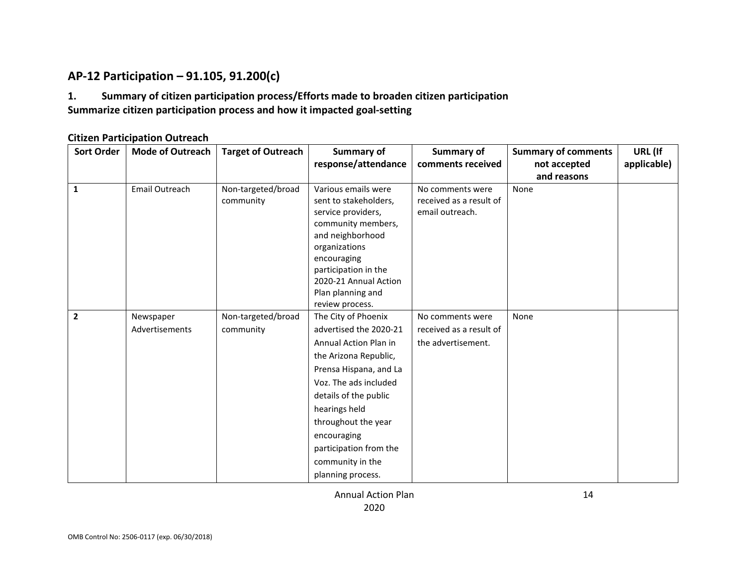## **AP-12 Participation – 91.105, 91.200(c)**

#### **1. Summary of citizen participation process/Efforts made to broaden citizen participation Summarize citizen participation process and how it impacted goal-setting**

#### **Citizen Participation Outreach**

<span id="page-13-0"></span>

| <b>Sort Order</b> | <b>Mode of Outreach</b> | <b>Target of Outreach</b> | Summary of                                 | Summary of              | <b>Summary of comments</b> | URL (If     |
|-------------------|-------------------------|---------------------------|--------------------------------------------|-------------------------|----------------------------|-------------|
|                   |                         |                           | response/attendance                        | comments received       | not accepted               | applicable) |
|                   |                         |                           |                                            |                         | and reasons                |             |
| 1                 | Email Outreach          | Non-targeted/broad        | Various emails were                        | No comments were        | None                       |             |
|                   |                         | community                 | sent to stakeholders,                      | received as a result of |                            |             |
|                   |                         |                           | service providers,                         | email outreach.         |                            |             |
|                   |                         |                           | community members,                         |                         |                            |             |
|                   |                         |                           | and neighborhood                           |                         |                            |             |
|                   |                         |                           | organizations                              |                         |                            |             |
|                   |                         |                           | encouraging                                |                         |                            |             |
|                   |                         |                           | participation in the                       |                         |                            |             |
|                   |                         |                           | 2020-21 Annual Action<br>Plan planning and |                         |                            |             |
|                   |                         |                           | review process.                            |                         |                            |             |
| $\overline{2}$    | Newspaper               | Non-targeted/broad        | The City of Phoenix                        | No comments were        | None                       |             |
|                   | Advertisements          | community                 | advertised the 2020-21                     | received as a result of |                            |             |
|                   |                         |                           | Annual Action Plan in                      | the advertisement.      |                            |             |
|                   |                         |                           |                                            |                         |                            |             |
|                   |                         |                           | the Arizona Republic,                      |                         |                            |             |
|                   |                         |                           | Prensa Hispana, and La                     |                         |                            |             |
|                   |                         |                           | Voz. The ads included                      |                         |                            |             |
|                   |                         |                           | details of the public                      |                         |                            |             |
|                   |                         |                           | hearings held                              |                         |                            |             |
|                   |                         |                           | throughout the year                        |                         |                            |             |
|                   |                         |                           | encouraging                                |                         |                            |             |
|                   |                         |                           | participation from the                     |                         |                            |             |
|                   |                         |                           | community in the                           |                         |                            |             |
|                   |                         |                           | planning process.                          |                         |                            |             |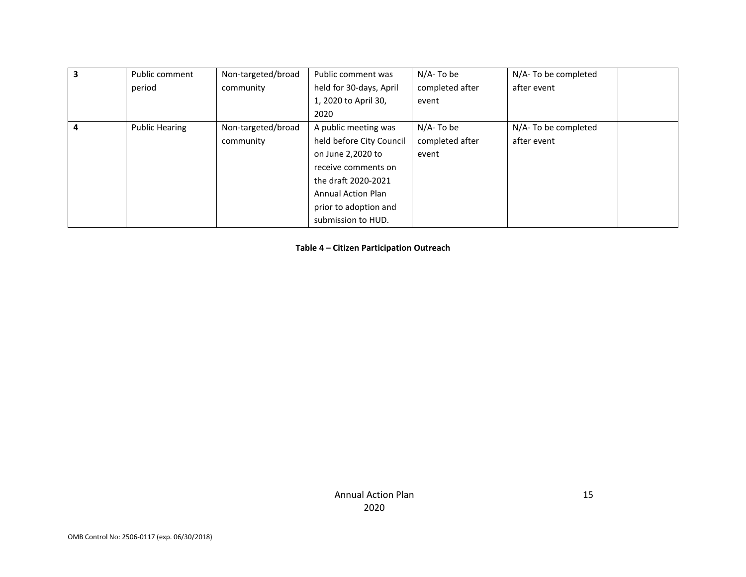| Public comment        | Non-targeted/broad | Public comment was        | N/A- To be      | N/A-To be completed |
|-----------------------|--------------------|---------------------------|-----------------|---------------------|
| period                | community          | held for 30-days, April   | completed after | after event         |
|                       |                    | 1, 2020 to April 30,      | event           |                     |
|                       |                    | 2020                      |                 |                     |
| <b>Public Hearing</b> | Non-targeted/broad | A public meeting was      | N/A- To be      | N/A-To be completed |
|                       | community          | held before City Council  | completed after | after event         |
|                       |                    | on June 2,2020 to         | event           |                     |
|                       |                    | receive comments on       |                 |                     |
|                       |                    | the draft 2020-2021       |                 |                     |
|                       |                    | <b>Annual Action Plan</b> |                 |                     |
|                       |                    | prior to adoption and     |                 |                     |
|                       |                    | submission to HUD.        |                 |                     |

**Table 4 – Citizen Participation Outreach**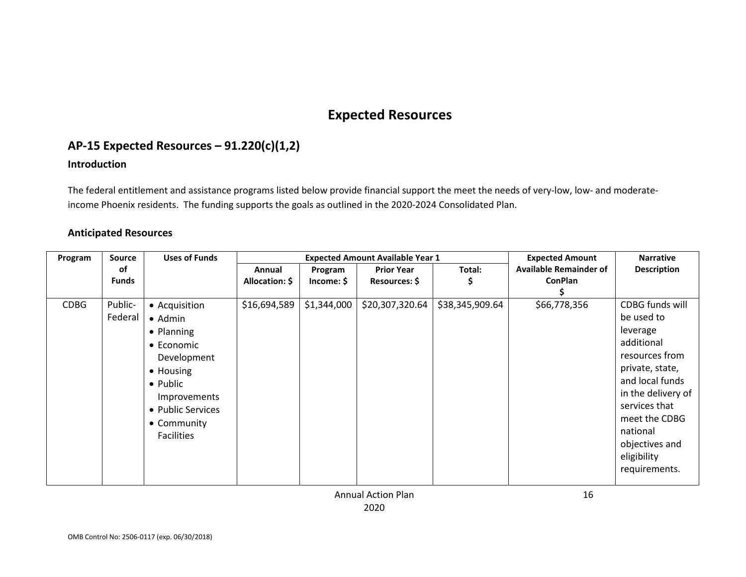## **Expected Resources**

## **AP-15 Expected Resources – 91.220(c)(1,2)**

#### **Introduction**

The federal entitlement and assistance programs listed below provide financial support the meet the needs of very-low, low- and moderateincome Phoenix residents. The funding supports the goals as outlined in the 2020-2024 Consolidated Plan.

#### **Anticipated Resources**

<span id="page-15-1"></span><span id="page-15-0"></span>

| Program     | Source       | <b>Uses of Funds</b> | <b>Expected Amount Available Year 1</b> |             |                   | <b>Expected Amount</b> | <b>Narrative</b>              |                    |
|-------------|--------------|----------------------|-----------------------------------------|-------------|-------------------|------------------------|-------------------------------|--------------------|
|             | 0f           |                      | Annual                                  | Program     | <b>Prior Year</b> | Total:                 | <b>Available Remainder of</b> | <b>Description</b> |
|             | <b>Funds</b> |                      | Allocation: \$                          | Income: \$  | Resources: \$     | Ş                      | <b>ConPlan</b>                |                    |
|             |              |                      |                                         |             |                   |                        |                               |                    |
| <b>CDBG</b> | Public-      | • Acquisition        | \$16,694,589                            | \$1,344,000 | \$20,307,320.64   | \$38,345,909.64        | \$66,778,356                  | CDBG funds will    |
|             | Federal      | $\bullet$ Admin      |                                         |             |                   |                        |                               | be used to         |
|             |              | • Planning           |                                         |             |                   |                        |                               | leverage           |
|             |              | $\bullet$ Economic   |                                         |             |                   |                        |                               | additional         |
|             |              | Development          |                                         |             |                   |                        |                               | resources from     |
|             |              | • Housing            |                                         |             |                   |                        |                               | private, state,    |
|             |              | • Public             |                                         |             |                   |                        |                               | and local funds    |
|             |              | Improvements         |                                         |             |                   |                        |                               | in the delivery of |
|             |              | • Public Services    |                                         |             |                   |                        |                               | services that      |
|             |              | • Community          |                                         |             |                   |                        |                               | meet the CDBG      |
|             |              | <b>Facilities</b>    |                                         |             |                   |                        |                               | national           |
|             |              |                      |                                         |             |                   |                        |                               | objectives and     |
|             |              |                      |                                         |             |                   |                        |                               | eligibility        |
|             |              |                      |                                         |             |                   |                        |                               | requirements.      |
|             |              |                      |                                         |             |                   |                        |                               |                    |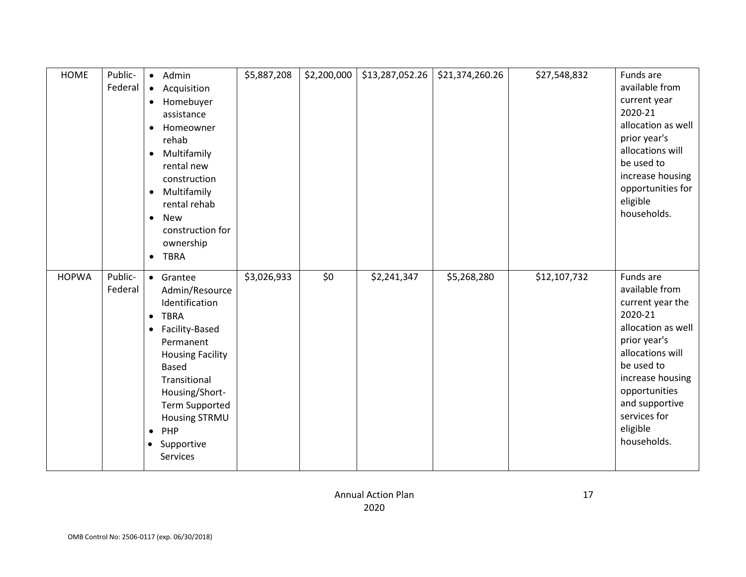| <b>HOME</b>  | Public-<br>Federal | • Admin<br>Acquisition<br>$\bullet$<br>Homebuyer<br>$\bullet$<br>assistance<br>Homeowner<br>$\bullet$<br>rehab<br>Multifamily<br>$\bullet$<br>rental new<br>construction<br>Multifamily<br>$\bullet$<br>rental rehab<br><b>New</b><br>$\bullet$<br>construction for<br>ownership<br>• TBRA                     | \$5,887,208 | \$2,200,000 | \$13,287,052.26 | \$21,374,260.26 | \$27,548,832 | Funds are<br>available from<br>current year<br>2020-21<br>allocation as well<br>prior year's<br>allocations will<br>be used to<br>increase housing<br>opportunities for<br>eligible<br>households.                                   |
|--------------|--------------------|----------------------------------------------------------------------------------------------------------------------------------------------------------------------------------------------------------------------------------------------------------------------------------------------------------------|-------------|-------------|-----------------|-----------------|--------------|--------------------------------------------------------------------------------------------------------------------------------------------------------------------------------------------------------------------------------------|
| <b>HOPWA</b> | Public-<br>Federal | • Grantee<br>Admin/Resource<br>Identification<br><b>TBRA</b><br>$\bullet$<br>Facility-Based<br>$\bullet$<br>Permanent<br><b>Housing Facility</b><br><b>Based</b><br>Transitional<br>Housing/Short-<br><b>Term Supported</b><br><b>Housing STRMU</b><br>PHP<br>$\bullet$<br>Supportive<br>$\bullet$<br>Services | \$3,026,933 | \$0         | \$2,241,347     | \$5,268,280     | \$12,107,732 | Funds are<br>available from<br>current year the<br>2020-21<br>allocation as well<br>prior year's<br>allocations will<br>be used to<br>increase housing<br>opportunities<br>and supportive<br>services for<br>eligible<br>households. |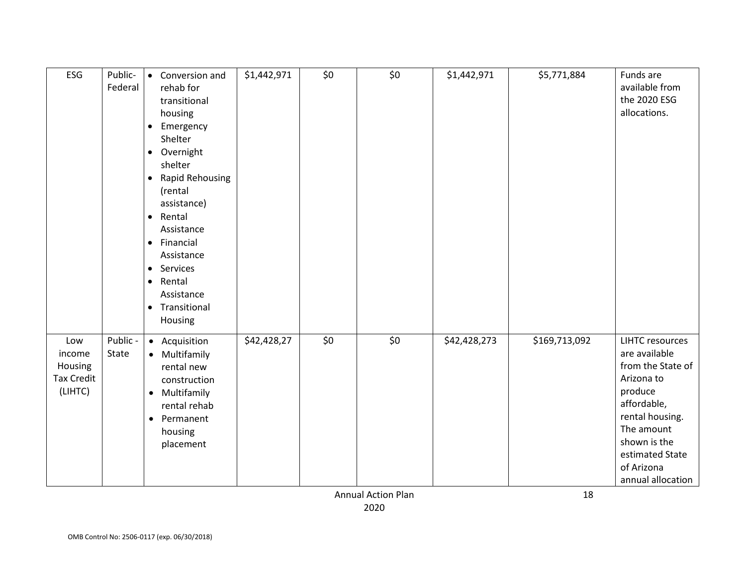| ESG                                                      | Public-<br>Federal | Conversion and<br>$\bullet$<br>rehab for<br>transitional<br>housing<br>Emergency<br>$\bullet$<br>Shelter<br>Overnight<br>$\bullet$<br>shelter<br><b>Rapid Rehousing</b><br>$\bullet$<br>(rental<br>assistance)<br>Rental<br>$\bullet$<br>Assistance<br>Financial<br>$\bullet$<br>Assistance<br>Services<br>$\bullet$<br>Rental<br>$\bullet$<br>Assistance<br>• Transitional<br>Housing | \$1,442,971 | \$0 | \$0 | \$1,442,971  | \$5,771,884   | Funds are<br>available from<br>the 2020 ESG<br>allocations.                                                                                                                                                 |
|----------------------------------------------------------|--------------------|----------------------------------------------------------------------------------------------------------------------------------------------------------------------------------------------------------------------------------------------------------------------------------------------------------------------------------------------------------------------------------------|-------------|-----|-----|--------------|---------------|-------------------------------------------------------------------------------------------------------------------------------------------------------------------------------------------------------------|
| Low<br>income<br>Housing<br><b>Tax Credit</b><br>(LIHTC) | Public -<br>State  | Acquisition<br>$\bullet$<br>Multifamily<br>$\bullet$<br>rental new<br>construction<br>Multifamily<br>$\bullet$<br>rental rehab<br>Permanent<br>$\bullet$<br>housing<br>placement                                                                                                                                                                                                       | \$42,428,27 | \$0 | \$0 | \$42,428,273 | \$169,713,092 | <b>LIHTC</b> resources<br>are available<br>from the State of<br>Arizona to<br>produce<br>affordable,<br>rental housing.<br>The amount<br>shown is the<br>estimated State<br>of Arizona<br>annual allocation |

Annual Action Plan 2020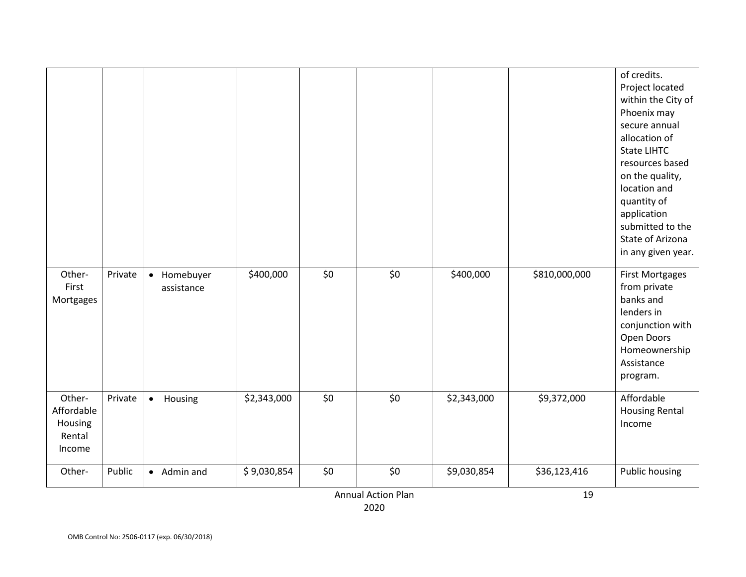|                   |         |             |             |     |                           |             |               | of credits.                           |
|-------------------|---------|-------------|-------------|-----|---------------------------|-------------|---------------|---------------------------------------|
|                   |         |             |             |     |                           |             |               | Project located<br>within the City of |
|                   |         |             |             |     |                           |             |               | Phoenix may                           |
|                   |         |             |             |     |                           |             |               | secure annual                         |
|                   |         |             |             |     |                           |             |               | allocation of                         |
|                   |         |             |             |     |                           |             |               | <b>State LIHTC</b>                    |
|                   |         |             |             |     |                           |             |               | resources based                       |
|                   |         |             |             |     |                           |             |               | on the quality,                       |
|                   |         |             |             |     |                           |             |               | location and                          |
|                   |         |             |             |     |                           |             |               | quantity of<br>application            |
|                   |         |             |             |     |                           |             |               | submitted to the                      |
|                   |         |             |             |     |                           |             |               | State of Arizona                      |
|                   |         |             |             |     |                           |             |               | in any given year.                    |
| Other-            | Private | • Homebuyer | \$400,000   | \$0 | \$0                       | \$400,000   | \$810,000,000 | <b>First Mortgages</b>                |
| First             |         | assistance  |             |     |                           |             |               | from private                          |
| Mortgages         |         |             |             |     |                           |             |               | banks and                             |
|                   |         |             |             |     |                           |             |               | lenders in                            |
|                   |         |             |             |     |                           |             |               | conjunction with                      |
|                   |         |             |             |     |                           |             |               | Open Doors                            |
|                   |         |             |             |     |                           |             |               | Homeownership                         |
|                   |         |             |             |     |                           |             |               | Assistance                            |
|                   |         |             |             |     |                           |             |               | program.                              |
| Other-            | Private | • Housing   | \$2,343,000 | \$0 | \$0                       | \$2,343,000 | \$9,372,000   | Affordable                            |
| Affordable        |         |             |             |     |                           |             |               | <b>Housing Rental</b>                 |
| Housing<br>Rental |         |             |             |     |                           |             |               | Income                                |
| Income            |         |             |             |     |                           |             |               |                                       |
|                   |         |             |             |     |                           |             |               |                                       |
| Other-            | Public  | • Admin and | \$9,030,854 | \$0 | \$0                       | \$9,030,854 | \$36,123,416  | <b>Public housing</b>                 |
|                   |         |             |             |     | <b>Annual Action Plan</b> |             | 19            |                                       |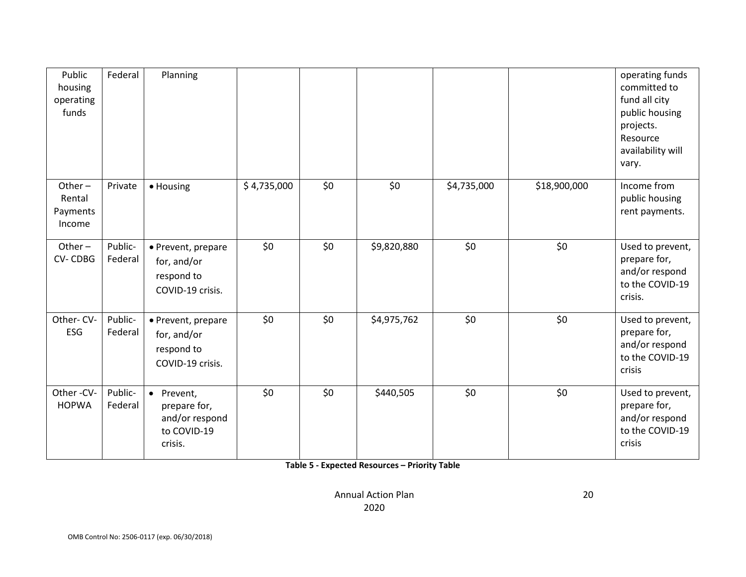| Public<br>housing<br>operating<br>funds   | Federal            | Planning                                                               |             |     |             |             |              | operating funds<br>committed to<br>fund all city<br>public housing<br>projects.<br>Resource<br>availability will<br>vary. |
|-------------------------------------------|--------------------|------------------------------------------------------------------------|-------------|-----|-------------|-------------|--------------|---------------------------------------------------------------------------------------------------------------------------|
| Other $-$<br>Rental<br>Payments<br>Income | Private            | · Housing                                                              | \$4,735,000 | \$0 | \$0         | \$4,735,000 | \$18,900,000 | Income from<br>public housing<br>rent payments.                                                                           |
| Other $-$<br><b>CV-CDBG</b>               | Public-<br>Federal | • Prevent, prepare<br>for, and/or<br>respond to<br>COVID-19 crisis.    | \$0         | \$0 | \$9,820,880 | \$0         | \$0          | Used to prevent,<br>prepare for,<br>and/or respond<br>to the COVID-19<br>crisis.                                          |
| Other-CV-<br>ESG                          | Public-<br>Federal | • Prevent, prepare<br>for, and/or<br>respond to<br>COVID-19 crisis.    | \$0         | \$0 | \$4,975,762 | \$0         | \$0          | Used to prevent,<br>prepare for,<br>and/or respond<br>to the COVID-19<br>crisis                                           |
| Other-CV-<br><b>HOPWA</b>                 | Public-<br>Federal | • Prevent,<br>prepare for,<br>and/or respond<br>to COVID-19<br>crisis. | \$0         | \$0 | \$440,505   | \$0         | \$0          | Used to prevent,<br>prepare for,<br>and/or respond<br>to the COVID-19<br>crisis                                           |

**Table 5 - Expected Resources – Priority Table**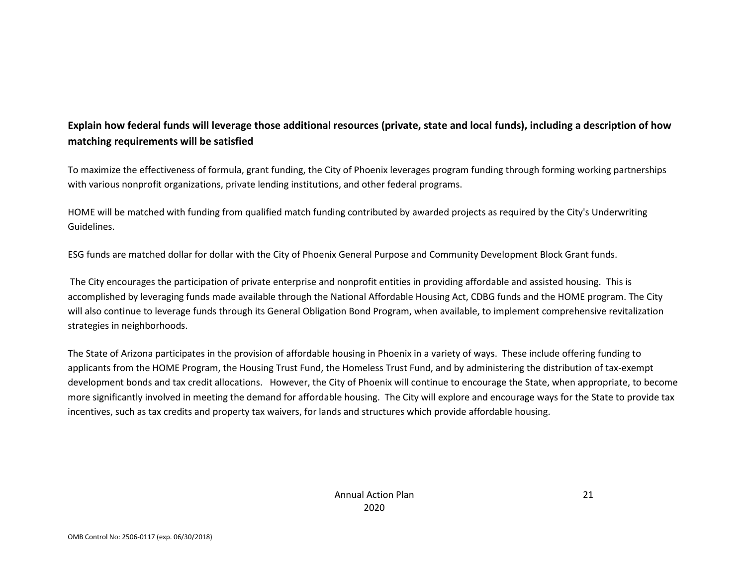## **Explain how federal funds will leverage those additional resources (private, state and local funds), including a description of how matching requirements will be satisfied**

To maximize the effectiveness of formula, grant funding, the City of Phoenix leverages program funding through forming working partnerships with various nonprofit organizations, private lending institutions, and other federal programs.

HOME will be matched with funding from qualified match funding contributed by awarded projects as required by the City's Underwriting Guidelines.

ESG funds are matched dollar for dollar with the City of Phoenix General Purpose and Community Development Block Grant funds.

The City encourages the participation of private enterprise and nonprofit entities in providing affordable and assisted housing. This is accomplished by leveraging funds made available through the National Affordable Housing Act, CDBG funds and the HOME program. The City will also continue to leverage funds through its General Obligation Bond Program, when available, to implement comprehensive revitalization strategies in neighborhoods.

The State of Arizona participates in the provision of affordable housing in Phoenix in a variety of ways. These include offering funding to applicants from the HOME Program, the Housing Trust Fund, the Homeless Trust Fund, and by administering the distribution of tax-exempt development bonds and tax credit allocations. However, the City of Phoenix will continue to encourage the State, when appropriate, to become more significantly involved in meeting the demand for affordable housing. The City will explore and encourage ways for the State to provide tax incentives, such as tax credits and property tax waivers, for lands and structures which provide affordable housing.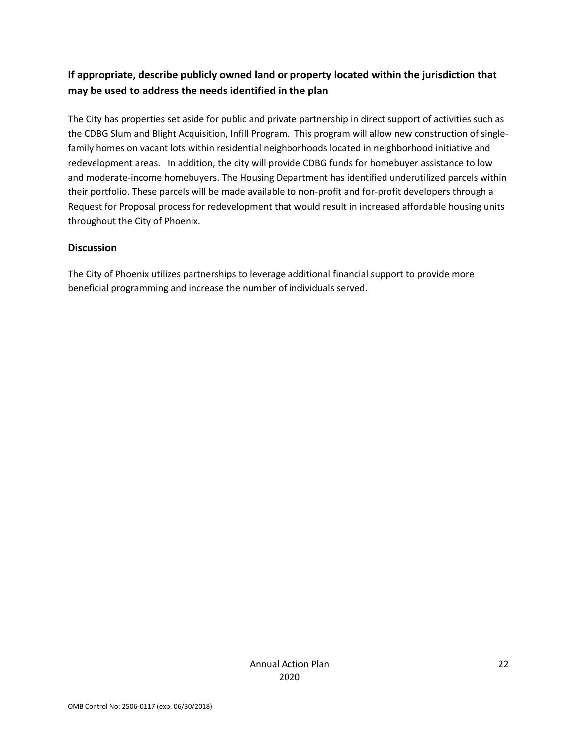## **If appropriate, describe publicly owned land or property located within the jurisdiction that may be used to address the needs identified in the plan**

The City has properties set aside for public and private partnership in direct support of activities such as the CDBG Slum and Blight Acquisition, Infill Program. This program will allow new construction of singlefamily homes on vacant lots within residential neighborhoods located in neighborhood initiative and redevelopment areas. In addition, the city will provide CDBG funds for homebuyer assistance to low and moderate-income homebuyers. The Housing Department has identified underutilized parcels within their portfolio. These parcels will be made available to non-profit and for-profit developers through a Request for Proposal process for redevelopment that would result in increased affordable housing units throughout the City of Phoenix.

#### **Discussion**

The City of Phoenix utilizes partnerships to leverage additional financial support to provide more beneficial programming and increase the number of individuals served.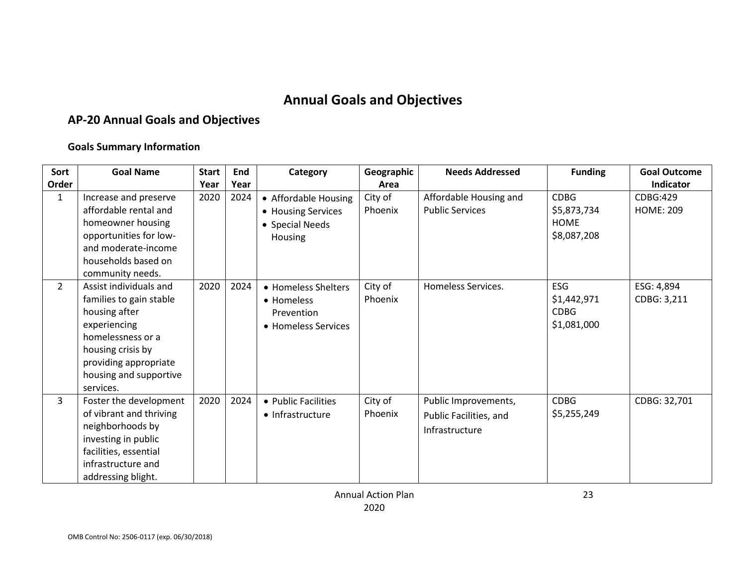## **Annual Goals and Objectives**

## **AP-20 Annual Goals and Objectives**

#### **Goals Summary Information**

<span id="page-22-0"></span>

| Sort           | <b>Goal Name</b>                                                                                                                                                                             | <b>Start</b> | End  | Category                                                                 | Geographic         | <b>Needs Addressed</b>                                           | <b>Funding</b>                                           | <b>Goal Outcome</b>          |
|----------------|----------------------------------------------------------------------------------------------------------------------------------------------------------------------------------------------|--------------|------|--------------------------------------------------------------------------|--------------------|------------------------------------------------------------------|----------------------------------------------------------|------------------------------|
| Order          |                                                                                                                                                                                              | Year         | Year |                                                                          | Area               |                                                                  |                                                          | Indicator                    |
| 1              | Increase and preserve<br>affordable rental and<br>homeowner housing<br>opportunities for low-<br>and moderate-income<br>households based on<br>community needs.                              | 2020         | 2024 | • Affordable Housing<br>• Housing Services<br>• Special Needs<br>Housing | City of<br>Phoenix | Affordable Housing and<br><b>Public Services</b>                 | <b>CDBG</b><br>\$5,873,734<br><b>HOME</b><br>\$8,087,208 | CDBG:429<br><b>HOME: 209</b> |
| $\overline{2}$ | Assist individuals and<br>families to gain stable<br>housing after<br>experiencing<br>homelessness or a<br>housing crisis by<br>providing appropriate<br>housing and supportive<br>services. | 2020         | 2024 | • Homeless Shelters<br>• Homeless<br>Prevention<br>• Homeless Services   | City of<br>Phoenix | Homeless Services.                                               | <b>ESG</b><br>\$1,442,971<br><b>CDBG</b><br>\$1,081,000  | ESG: 4,894<br>CDBG: 3,211    |
| 3              | Foster the development<br>of vibrant and thriving<br>neighborhoods by<br>investing in public<br>facilities, essential<br>infrastructure and<br>addressing blight.                            | 2020         | 2024 | • Public Facilities<br>• Infrastructure                                  | City of<br>Phoenix | Public Improvements,<br>Public Facilities, and<br>Infrastructure | <b>CDBG</b><br>\$5,255,249                               | CDBG: 32,701                 |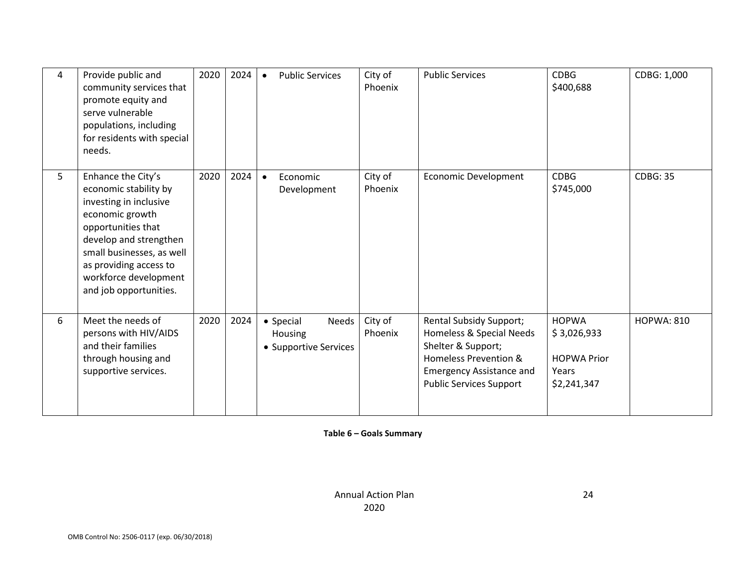| 4 | Provide public and<br>community services that<br>promote equity and<br>serve vulnerable<br>populations, including<br>for residents with special<br>needs.                                                                                          | 2020 | 2024 | <b>Public Services</b><br>$\bullet$                    | City of<br>Phoenix | <b>Public Services</b>                                                                                                                                                  | <b>CDBG</b><br>\$400,688                                                  | CDBG: 1,000       |
|---|----------------------------------------------------------------------------------------------------------------------------------------------------------------------------------------------------------------------------------------------------|------|------|--------------------------------------------------------|--------------------|-------------------------------------------------------------------------------------------------------------------------------------------------------------------------|---------------------------------------------------------------------------|-------------------|
| 5 | Enhance the City's<br>economic stability by<br>investing in inclusive<br>economic growth<br>opportunities that<br>develop and strengthen<br>small businesses, as well<br>as providing access to<br>workforce development<br>and job opportunities. | 2020 | 2024 | Economic<br>$\bullet$<br>Development                   | City of<br>Phoenix | <b>Economic Development</b>                                                                                                                                             | <b>CDBG</b><br>\$745,000                                                  | <b>CDBG: 35</b>   |
| 6 | Meet the needs of<br>persons with HIV/AIDS<br>and their families<br>through housing and<br>supportive services.                                                                                                                                    | 2020 | 2024 | • Special<br>Needs<br>Housing<br>• Supportive Services | City of<br>Phoenix | Rental Subsidy Support;<br>Homeless & Special Needs<br>Shelter & Support;<br>Homeless Prevention &<br><b>Emergency Assistance and</b><br><b>Public Services Support</b> | <b>HOPWA</b><br>\$3,026,933<br><b>HOPWA Prior</b><br>Years<br>\$2,241,347 | <b>HOPWA: 810</b> |

**Table 6 – Goals Summary**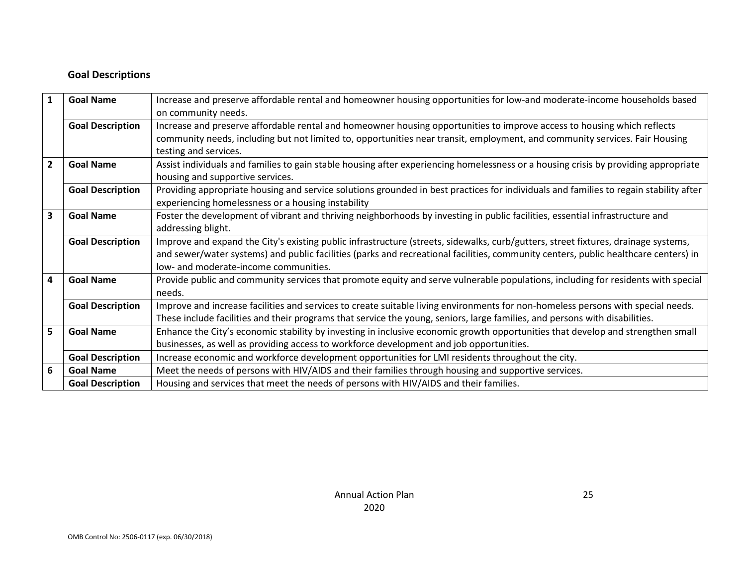#### **Goal Descriptions**

| $\mathbf{1}$   | <b>Goal Name</b>        | Increase and preserve affordable rental and homeowner housing opportunities for low-and moderate-income households based              |
|----------------|-------------------------|---------------------------------------------------------------------------------------------------------------------------------------|
|                |                         | on community needs.                                                                                                                   |
|                | <b>Goal Description</b> | Increase and preserve affordable rental and homeowner housing opportunities to improve access to housing which reflects               |
|                |                         | community needs, including but not limited to, opportunities near transit, employment, and community services. Fair Housing           |
|                |                         | testing and services.                                                                                                                 |
| $\overline{2}$ | <b>Goal Name</b>        | Assist individuals and families to gain stable housing after experiencing homelessness or a housing crisis by providing appropriate   |
|                |                         | housing and supportive services.                                                                                                      |
|                | <b>Goal Description</b> | Providing appropriate housing and service solutions grounded in best practices for individuals and families to regain stability after |
|                |                         | experiencing homelessness or a housing instability                                                                                    |
| 3              | <b>Goal Name</b>        | Foster the development of vibrant and thriving neighborhoods by investing in public facilities, essential infrastructure and          |
|                |                         | addressing blight.                                                                                                                    |
|                | <b>Goal Description</b> | Improve and expand the City's existing public infrastructure (streets, sidewalks, curb/gutters, street fixtures, drainage systems,    |
|                |                         | and sewer/water systems) and public facilities (parks and recreational facilities, community centers, public healthcare centers) in   |
|                |                         | low- and moderate-income communities.                                                                                                 |
| 4              | <b>Goal Name</b>        | Provide public and community services that promote equity and serve vulnerable populations, including for residents with special      |
|                |                         | needs.                                                                                                                                |
|                | <b>Goal Description</b> | Improve and increase facilities and services to create suitable living environments for non-homeless persons with special needs.      |
|                |                         | These include facilities and their programs that service the young, seniors, large families, and persons with disabilities.           |
| 5              | <b>Goal Name</b>        | Enhance the City's economic stability by investing in inclusive economic growth opportunities that develop and strengthen small       |
|                |                         | businesses, as well as providing access to workforce development and job opportunities.                                               |
|                | <b>Goal Description</b> | Increase economic and workforce development opportunities for LMI residents throughout the city.                                      |
| 6              | <b>Goal Name</b>        | Meet the needs of persons with HIV/AIDS and their families through housing and supportive services.                                   |
|                | <b>Goal Description</b> | Housing and services that meet the needs of persons with HIV/AIDS and their families.                                                 |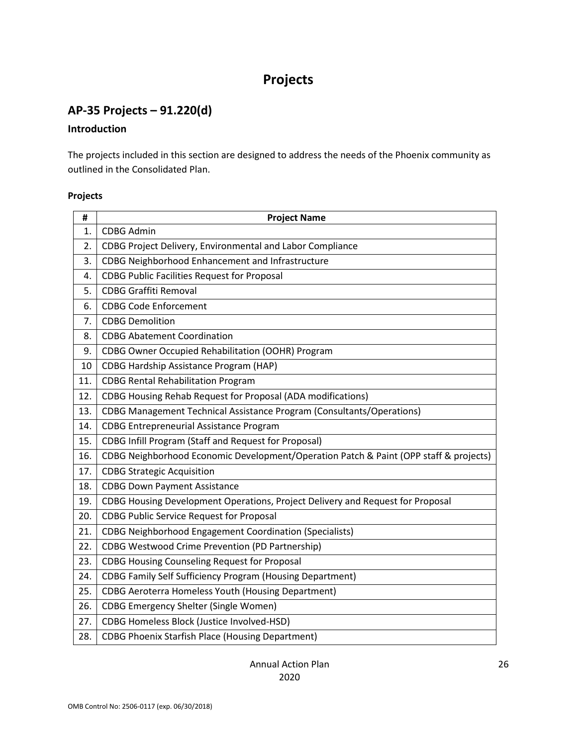## **Projects**

## <span id="page-25-1"></span><span id="page-25-0"></span>**AP-35 Projects – 91.220(d)**

#### **Introduction**

The projects included in this section are designed to address the needs of the Phoenix community as outlined in the Consolidated Plan.

#### **Projects**

| #   | <b>Project Name</b>                                                                   |
|-----|---------------------------------------------------------------------------------------|
| 1.  | <b>CDBG Admin</b>                                                                     |
| 2.  | CDBG Project Delivery, Environmental and Labor Compliance                             |
| 3.  | CDBG Neighborhood Enhancement and Infrastructure                                      |
| 4.  | <b>CDBG Public Facilities Request for Proposal</b>                                    |
| 5.  | <b>CDBG Graffiti Removal</b>                                                          |
| 6.  | <b>CDBG Code Enforcement</b>                                                          |
| 7.  | <b>CDBG Demolition</b>                                                                |
| 8.  | <b>CDBG Abatement Coordination</b>                                                    |
| 9.  | CDBG Owner Occupied Rehabilitation (OOHR) Program                                     |
| 10  | <b>CDBG Hardship Assistance Program (HAP)</b>                                         |
| 11. | <b>CDBG Rental Rehabilitation Program</b>                                             |
| 12. | CDBG Housing Rehab Request for Proposal (ADA modifications)                           |
| 13. | <b>CDBG Management Technical Assistance Program (Consultants/Operations)</b>          |
| 14. | <b>CDBG Entrepreneurial Assistance Program</b>                                        |
| 15. | <b>CDBG Infill Program (Staff and Request for Proposal)</b>                           |
| 16. | CDBG Neighborhood Economic Development/Operation Patch & Paint (OPP staff & projects) |
| 17. | <b>CDBG Strategic Acquisition</b>                                                     |
| 18. | <b>CDBG Down Payment Assistance</b>                                                   |
| 19. | CDBG Housing Development Operations, Project Delivery and Request for Proposal        |
| 20. | <b>CDBG Public Service Request for Proposal</b>                                       |
| 21. | <b>CDBG Neighborhood Engagement Coordination (Specialists)</b>                        |
| 22. | <b>CDBG Westwood Crime Prevention (PD Partnership)</b>                                |
| 23. | <b>CDBG Housing Counseling Request for Proposal</b>                                   |
| 24. | <b>CDBG Family Self Sufficiency Program (Housing Department)</b>                      |
| 25. | <b>CDBG Aeroterra Homeless Youth (Housing Department)</b>                             |
| 26. | <b>CDBG Emergency Shelter (Single Women)</b>                                          |
| 27. | CDBG Homeless Block (Justice Involved-HSD)                                            |
| 28. | <b>CDBG Phoenix Starfish Place (Housing Department)</b>                               |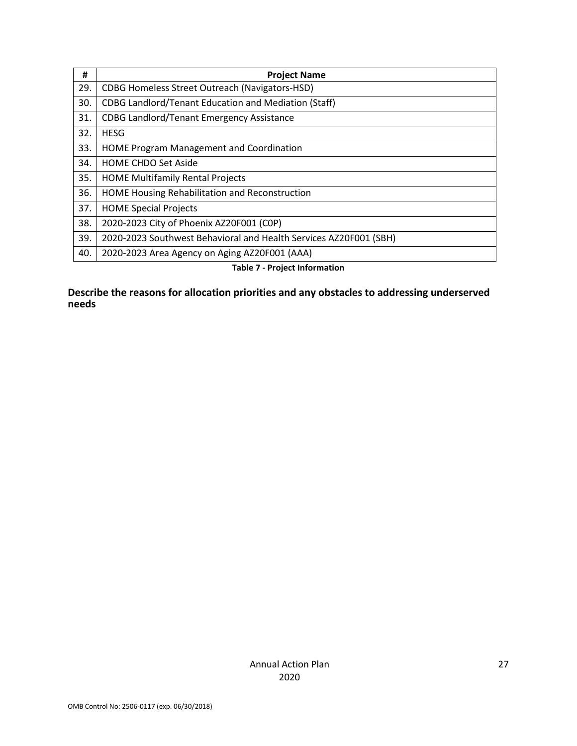| #   | <b>Project Name</b>                                               |
|-----|-------------------------------------------------------------------|
| 29. | <b>CDBG Homeless Street Outreach (Navigators-HSD)</b>             |
| 30. | <b>CDBG Landlord/Tenant Education and Mediation (Staff)</b>       |
| 31. | <b>CDBG Landlord/Tenant Emergency Assistance</b>                  |
| 32. | <b>HESG</b>                                                       |
| 33. | HOME Program Management and Coordination                          |
| 34. | <b>HOME CHDO Set Aside</b>                                        |
| 35. | <b>HOME Multifamily Rental Projects</b>                           |
| 36. | HOME Housing Rehabilitation and Reconstruction                    |
| 37. | <b>HOME Special Projects</b>                                      |
| 38. | 2020-2023 City of Phoenix AZ20F001 (COP)                          |
| 39. | 2020-2023 Southwest Behavioral and Health Services AZ20F001 (SBH) |
| 40. | 2020-2023 Area Agency on Aging AZ20F001 (AAA)                     |

**Table 7 - Project Information**

**Describe the reasons for allocation priorities and any obstacles to addressing underserved needs**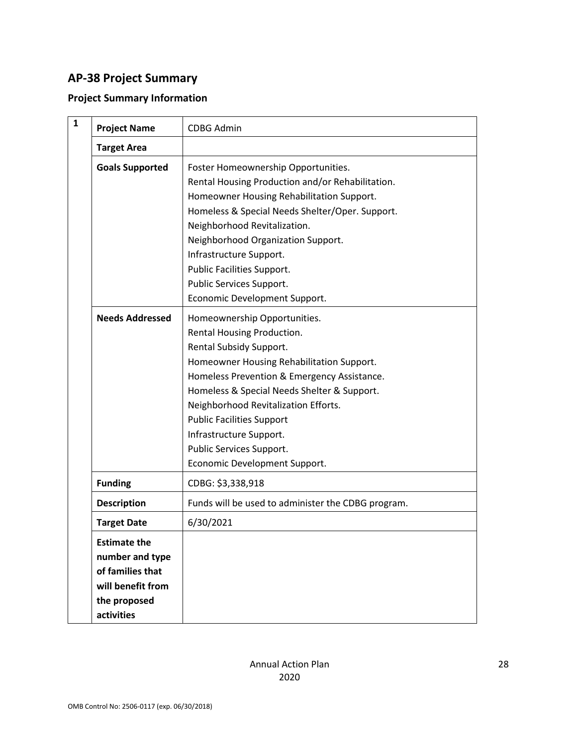## <span id="page-27-0"></span>**AP-38 Project Summary**

## **Project Summary Information**

| 1 | <b>Project Name</b>                                                                                           | <b>CDBG Admin</b>                                                                                                                                                                                                                                                                                                                                                                                    |
|---|---------------------------------------------------------------------------------------------------------------|------------------------------------------------------------------------------------------------------------------------------------------------------------------------------------------------------------------------------------------------------------------------------------------------------------------------------------------------------------------------------------------------------|
|   | <b>Target Area</b>                                                                                            |                                                                                                                                                                                                                                                                                                                                                                                                      |
|   | <b>Goals Supported</b>                                                                                        | Foster Homeownership Opportunities.<br>Rental Housing Production and/or Rehabilitation.<br>Homeowner Housing Rehabilitation Support.<br>Homeless & Special Needs Shelter/Oper. Support.<br>Neighborhood Revitalization.<br>Neighborhood Organization Support.<br>Infrastructure Support.<br>Public Facilities Support.<br>Public Services Support.<br>Economic Development Support.                  |
|   | <b>Needs Addressed</b>                                                                                        | Homeownership Opportunities.<br>Rental Housing Production.<br>Rental Subsidy Support.<br>Homeowner Housing Rehabilitation Support.<br>Homeless Prevention & Emergency Assistance.<br>Homeless & Special Needs Shelter & Support.<br>Neighborhood Revitalization Efforts.<br><b>Public Facilities Support</b><br>Infrastructure Support.<br>Public Services Support.<br>Economic Development Support. |
|   | <b>Funding</b>                                                                                                | CDBG: \$3,338,918                                                                                                                                                                                                                                                                                                                                                                                    |
|   | <b>Description</b>                                                                                            | Funds will be used to administer the CDBG program.                                                                                                                                                                                                                                                                                                                                                   |
|   | <b>Target Date</b>                                                                                            | 6/30/2021                                                                                                                                                                                                                                                                                                                                                                                            |
|   | <b>Estimate the</b><br>number and type<br>of families that<br>will benefit from<br>the proposed<br>activities |                                                                                                                                                                                                                                                                                                                                                                                                      |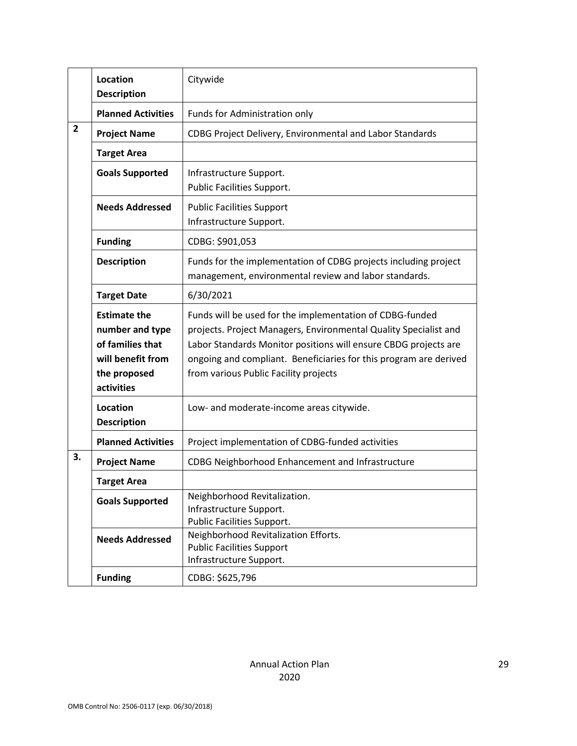|                | Location<br><b>Description</b>                                                                                | Citywide                                                                                                                                                                                                                                                                                                      |
|----------------|---------------------------------------------------------------------------------------------------------------|---------------------------------------------------------------------------------------------------------------------------------------------------------------------------------------------------------------------------------------------------------------------------------------------------------------|
|                | <b>Planned Activities</b>                                                                                     | Funds for Administration only                                                                                                                                                                                                                                                                                 |
| $\overline{2}$ | <b>Project Name</b>                                                                                           | CDBG Project Delivery, Environmental and Labor Standards                                                                                                                                                                                                                                                      |
|                | <b>Target Area</b>                                                                                            |                                                                                                                                                                                                                                                                                                               |
|                | <b>Goals Supported</b>                                                                                        | Infrastructure Support.<br>Public Facilities Support.                                                                                                                                                                                                                                                         |
|                | <b>Needs Addressed</b>                                                                                        | <b>Public Facilities Support</b><br>Infrastructure Support.                                                                                                                                                                                                                                                   |
|                | <b>Funding</b>                                                                                                | CDBG: \$901,053                                                                                                                                                                                                                                                                                               |
|                | <b>Description</b>                                                                                            | Funds for the implementation of CDBG projects including project<br>management, environmental review and labor standards.                                                                                                                                                                                      |
|                | <b>Target Date</b>                                                                                            | 6/30/2021                                                                                                                                                                                                                                                                                                     |
|                | <b>Estimate the</b><br>number and type<br>of families that<br>will benefit from<br>the proposed<br>activities | Funds will be used for the implementation of CDBG-funded<br>projects. Project Managers, Environmental Quality Specialist and<br>Labor Standards Monitor positions will ensure CBDG projects are<br>ongoing and compliant. Beneficiaries for this program are derived<br>from various Public Facility projects |
|                | Location<br><b>Description</b>                                                                                | Low- and moderate-income areas citywide.                                                                                                                                                                                                                                                                      |
|                | <b>Planned Activities</b>                                                                                     | Project implementation of CDBG-funded activities                                                                                                                                                                                                                                                              |
| 3.             | <b>Project Name</b>                                                                                           | CDBG Neighborhood Enhancement and Infrastructure                                                                                                                                                                                                                                                              |
|                | <b>Target Area</b>                                                                                            |                                                                                                                                                                                                                                                                                                               |
|                | <b>Goals Supported</b>                                                                                        | Neighborhood Revitalization.<br>Infrastructure Support.<br>Public Facilities Support.                                                                                                                                                                                                                         |
|                | <b>Needs Addressed</b>                                                                                        | Neighborhood Revitalization Efforts.<br><b>Public Facilities Support</b><br>Infrastructure Support.                                                                                                                                                                                                           |
|                | <b>Funding</b>                                                                                                | CDBG: \$625,796                                                                                                                                                                                                                                                                                               |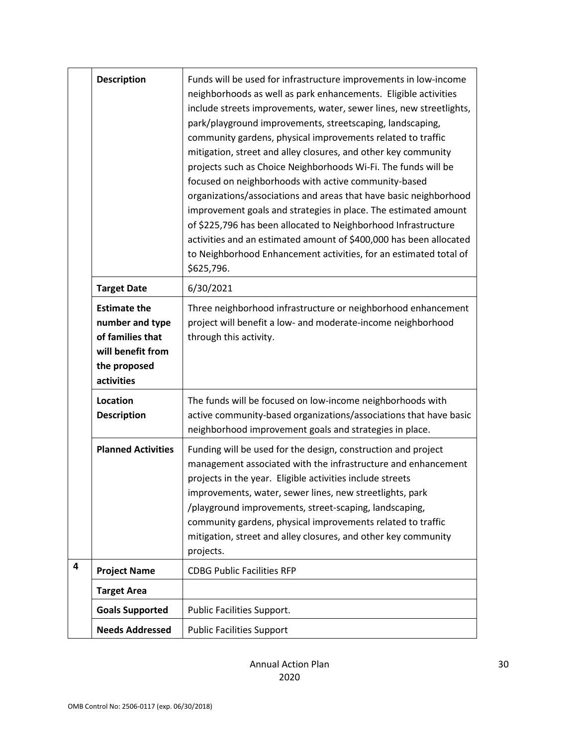|   | <b>Description</b>                                                                                            | Funds will be used for infrastructure improvements in low-income<br>neighborhoods as well as park enhancements. Eligible activities<br>include streets improvements, water, sewer lines, new streetlights,<br>park/playground improvements, streetscaping, landscaping,<br>community gardens, physical improvements related to traffic<br>mitigation, street and alley closures, and other key community<br>projects such as Choice Neighborhoods Wi-Fi. The funds will be<br>focused on neighborhoods with active community-based<br>organizations/associations and areas that have basic neighborhood<br>improvement goals and strategies in place. The estimated amount<br>of \$225,796 has been allocated to Neighborhood Infrastructure<br>activities and an estimated amount of \$400,000 has been allocated<br>to Neighborhood Enhancement activities, for an estimated total of<br>\$625,796. |
|---|---------------------------------------------------------------------------------------------------------------|-------------------------------------------------------------------------------------------------------------------------------------------------------------------------------------------------------------------------------------------------------------------------------------------------------------------------------------------------------------------------------------------------------------------------------------------------------------------------------------------------------------------------------------------------------------------------------------------------------------------------------------------------------------------------------------------------------------------------------------------------------------------------------------------------------------------------------------------------------------------------------------------------------|
|   | <b>Target Date</b>                                                                                            | 6/30/2021                                                                                                                                                                                                                                                                                                                                                                                                                                                                                                                                                                                                                                                                                                                                                                                                                                                                                             |
|   | <b>Estimate the</b><br>number and type<br>of families that<br>will benefit from<br>the proposed<br>activities | Three neighborhood infrastructure or neighborhood enhancement<br>project will benefit a low- and moderate-income neighborhood<br>through this activity.                                                                                                                                                                                                                                                                                                                                                                                                                                                                                                                                                                                                                                                                                                                                               |
|   | Location<br><b>Description</b>                                                                                | The funds will be focused on low-income neighborhoods with<br>active community-based organizations/associations that have basic<br>neighborhood improvement goals and strategies in place.                                                                                                                                                                                                                                                                                                                                                                                                                                                                                                                                                                                                                                                                                                            |
|   | <b>Planned Activities</b>                                                                                     | Funding will be used for the design, construction and project<br>management associated with the infrastructure and enhancement<br>projects in the year. Eligible activities include streets<br>improvements, water, sewer lines, new streetlights, park<br>/playground improvements, street-scaping, landscaping,<br>community gardens, physical improvements related to traffic<br>mitigation, street and alley closures, and other key community<br>projects.                                                                                                                                                                                                                                                                                                                                                                                                                                       |
| 4 | <b>Project Name</b>                                                                                           | <b>CDBG Public Facilities RFP</b>                                                                                                                                                                                                                                                                                                                                                                                                                                                                                                                                                                                                                                                                                                                                                                                                                                                                     |
|   | <b>Target Area</b>                                                                                            |                                                                                                                                                                                                                                                                                                                                                                                                                                                                                                                                                                                                                                                                                                                                                                                                                                                                                                       |
|   | <b>Goals Supported</b>                                                                                        | Public Facilities Support.                                                                                                                                                                                                                                                                                                                                                                                                                                                                                                                                                                                                                                                                                                                                                                                                                                                                            |
|   | <b>Needs Addressed</b>                                                                                        | <b>Public Facilities Support</b>                                                                                                                                                                                                                                                                                                                                                                                                                                                                                                                                                                                                                                                                                                                                                                                                                                                                      |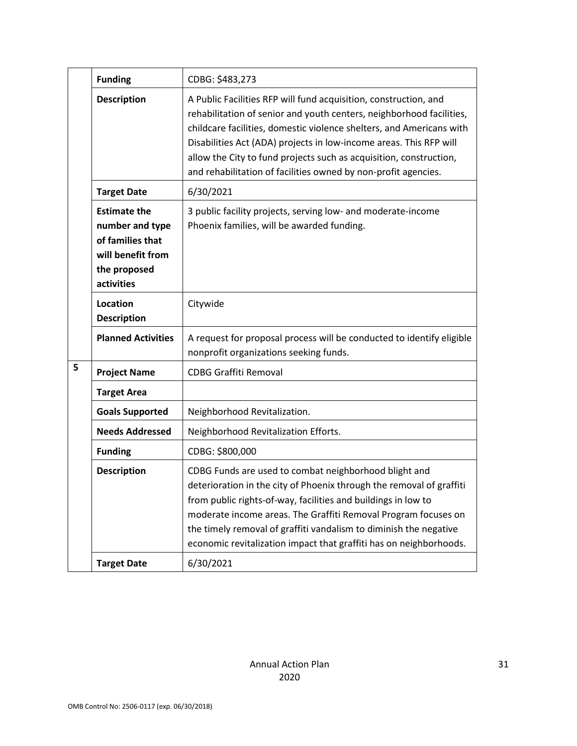|   | <b>Funding</b>                                                                                                | CDBG: \$483,273                                                                                                                                                                                                                                                                                                                                                                                                                |
|---|---------------------------------------------------------------------------------------------------------------|--------------------------------------------------------------------------------------------------------------------------------------------------------------------------------------------------------------------------------------------------------------------------------------------------------------------------------------------------------------------------------------------------------------------------------|
|   |                                                                                                               |                                                                                                                                                                                                                                                                                                                                                                                                                                |
|   | <b>Description</b>                                                                                            | A Public Facilities RFP will fund acquisition, construction, and<br>rehabilitation of senior and youth centers, neighborhood facilities,<br>childcare facilities, domestic violence shelters, and Americans with<br>Disabilities Act (ADA) projects in low-income areas. This RFP will<br>allow the City to fund projects such as acquisition, construction,<br>and rehabilitation of facilities owned by non-profit agencies. |
|   | <b>Target Date</b>                                                                                            | 6/30/2021                                                                                                                                                                                                                                                                                                                                                                                                                      |
|   | <b>Estimate the</b><br>number and type<br>of families that<br>will benefit from<br>the proposed<br>activities | 3 public facility projects, serving low- and moderate-income<br>Phoenix families, will be awarded funding.                                                                                                                                                                                                                                                                                                                     |
|   | Location<br><b>Description</b>                                                                                | Citywide                                                                                                                                                                                                                                                                                                                                                                                                                       |
|   | <b>Planned Activities</b>                                                                                     | A request for proposal process will be conducted to identify eligible<br>nonprofit organizations seeking funds.                                                                                                                                                                                                                                                                                                                |
| 5 | <b>Project Name</b>                                                                                           | <b>CDBG Graffiti Removal</b>                                                                                                                                                                                                                                                                                                                                                                                                   |
|   | <b>Target Area</b>                                                                                            |                                                                                                                                                                                                                                                                                                                                                                                                                                |
|   | <b>Goals Supported</b>                                                                                        | Neighborhood Revitalization.                                                                                                                                                                                                                                                                                                                                                                                                   |
|   | <b>Needs Addressed</b>                                                                                        | Neighborhood Revitalization Efforts.                                                                                                                                                                                                                                                                                                                                                                                           |
|   | <b>Funding</b>                                                                                                | CDBG: \$800,000                                                                                                                                                                                                                                                                                                                                                                                                                |
|   | <b>Description</b>                                                                                            | CDBG Funds are used to combat neighborhood blight and<br>deterioration in the city of Phoenix through the removal of graffiti<br>from public rights-of-way, facilities and buildings in low to<br>moderate income areas. The Graffiti Removal Program focuses on<br>the timely removal of graffiti vandalism to diminish the negative<br>economic revitalization impact that graffiti has on neighborhoods.                    |
|   | <b>Target Date</b>                                                                                            | 6/30/2021                                                                                                                                                                                                                                                                                                                                                                                                                      |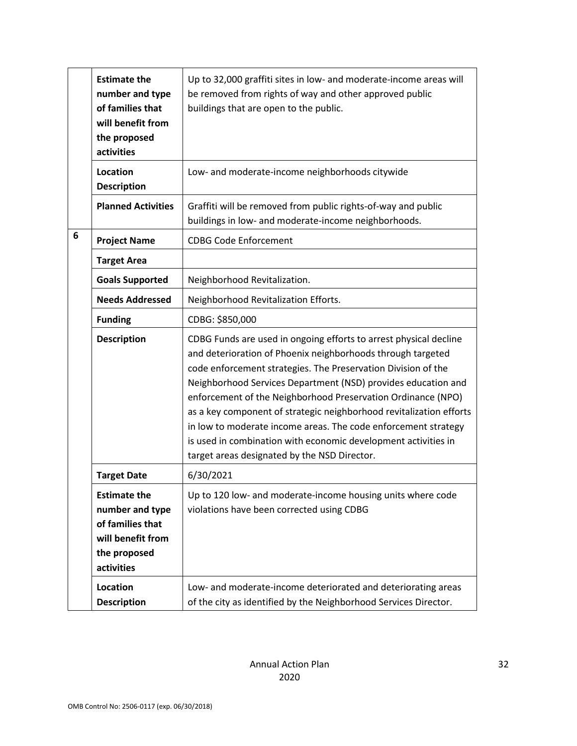|   | <b>Estimate the</b><br>number and type<br>of families that<br>will benefit from<br>the proposed<br>activities | Up to 32,000 graffiti sites in low- and moderate-income areas will<br>be removed from rights of way and other approved public<br>buildings that are open to the public.                                                                                                                                                                                                                                                                                                                                                                                                                       |
|---|---------------------------------------------------------------------------------------------------------------|-----------------------------------------------------------------------------------------------------------------------------------------------------------------------------------------------------------------------------------------------------------------------------------------------------------------------------------------------------------------------------------------------------------------------------------------------------------------------------------------------------------------------------------------------------------------------------------------------|
|   | Location<br><b>Description</b>                                                                                | Low- and moderate-income neighborhoods citywide                                                                                                                                                                                                                                                                                                                                                                                                                                                                                                                                               |
|   | <b>Planned Activities</b>                                                                                     | Graffiti will be removed from public rights-of-way and public<br>buildings in low- and moderate-income neighborhoods.                                                                                                                                                                                                                                                                                                                                                                                                                                                                         |
| 6 | <b>Project Name</b>                                                                                           | <b>CDBG Code Enforcement</b>                                                                                                                                                                                                                                                                                                                                                                                                                                                                                                                                                                  |
|   | <b>Target Area</b>                                                                                            |                                                                                                                                                                                                                                                                                                                                                                                                                                                                                                                                                                                               |
|   | <b>Goals Supported</b>                                                                                        | Neighborhood Revitalization.                                                                                                                                                                                                                                                                                                                                                                                                                                                                                                                                                                  |
|   | <b>Needs Addressed</b>                                                                                        | Neighborhood Revitalization Efforts.                                                                                                                                                                                                                                                                                                                                                                                                                                                                                                                                                          |
|   | <b>Funding</b>                                                                                                | CDBG: \$850,000                                                                                                                                                                                                                                                                                                                                                                                                                                                                                                                                                                               |
|   | <b>Description</b>                                                                                            | CDBG Funds are used in ongoing efforts to arrest physical decline<br>and deterioration of Phoenix neighborhoods through targeted<br>code enforcement strategies. The Preservation Division of the<br>Neighborhood Services Department (NSD) provides education and<br>enforcement of the Neighborhood Preservation Ordinance (NPO)<br>as a key component of strategic neighborhood revitalization efforts<br>in low to moderate income areas. The code enforcement strategy<br>is used in combination with economic development activities in<br>target areas designated by the NSD Director. |
|   | <b>Target Date</b>                                                                                            | 6/30/2021                                                                                                                                                                                                                                                                                                                                                                                                                                                                                                                                                                                     |
|   | <b>Estimate the</b><br>number and type<br>of families that<br>will benefit from<br>the proposed<br>activities | Up to 120 low- and moderate-income housing units where code<br>violations have been corrected using CDBG                                                                                                                                                                                                                                                                                                                                                                                                                                                                                      |
|   | Location<br><b>Description</b>                                                                                | Low- and moderate-income deteriorated and deteriorating areas<br>of the city as identified by the Neighborhood Services Director.                                                                                                                                                                                                                                                                                                                                                                                                                                                             |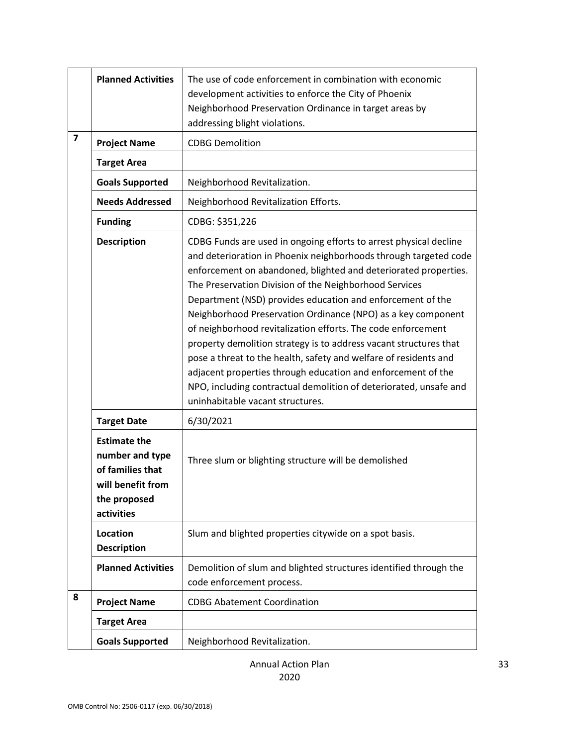|   | <b>Planned Activities</b>                                                                                     | The use of code enforcement in combination with economic<br>development activities to enforce the City of Phoenix<br>Neighborhood Preservation Ordinance in target areas by<br>addressing blight violations.                                                                                                                                                                                                                                                                                                                                                                                                                                                                                                                                                                       |
|---|---------------------------------------------------------------------------------------------------------------|------------------------------------------------------------------------------------------------------------------------------------------------------------------------------------------------------------------------------------------------------------------------------------------------------------------------------------------------------------------------------------------------------------------------------------------------------------------------------------------------------------------------------------------------------------------------------------------------------------------------------------------------------------------------------------------------------------------------------------------------------------------------------------|
| 7 | <b>Project Name</b>                                                                                           | <b>CDBG Demolition</b>                                                                                                                                                                                                                                                                                                                                                                                                                                                                                                                                                                                                                                                                                                                                                             |
|   | <b>Target Area</b>                                                                                            |                                                                                                                                                                                                                                                                                                                                                                                                                                                                                                                                                                                                                                                                                                                                                                                    |
|   | <b>Goals Supported</b>                                                                                        | Neighborhood Revitalization.                                                                                                                                                                                                                                                                                                                                                                                                                                                                                                                                                                                                                                                                                                                                                       |
|   | <b>Needs Addressed</b>                                                                                        | Neighborhood Revitalization Efforts.                                                                                                                                                                                                                                                                                                                                                                                                                                                                                                                                                                                                                                                                                                                                               |
|   | <b>Funding</b>                                                                                                | CDBG: \$351,226                                                                                                                                                                                                                                                                                                                                                                                                                                                                                                                                                                                                                                                                                                                                                                    |
|   | <b>Description</b>                                                                                            | CDBG Funds are used in ongoing efforts to arrest physical decline<br>and deterioration in Phoenix neighborhoods through targeted code<br>enforcement on abandoned, blighted and deteriorated properties.<br>The Preservation Division of the Neighborhood Services<br>Department (NSD) provides education and enforcement of the<br>Neighborhood Preservation Ordinance (NPO) as a key component<br>of neighborhood revitalization efforts. The code enforcement<br>property demolition strategy is to address vacant structures that<br>pose a threat to the health, safety and welfare of residents and<br>adjacent properties through education and enforcement of the<br>NPO, including contractual demolition of deteriorated, unsafe and<br>uninhabitable vacant structures. |
|   | <b>Target Date</b>                                                                                            | 6/30/2021                                                                                                                                                                                                                                                                                                                                                                                                                                                                                                                                                                                                                                                                                                                                                                          |
|   | <b>Estimate the</b><br>number and type<br>of families that<br>will benefit from<br>the proposed<br>activities | Three slum or blighting structure will be demolished                                                                                                                                                                                                                                                                                                                                                                                                                                                                                                                                                                                                                                                                                                                               |
|   | Location<br><b>Description</b>                                                                                | Slum and blighted properties citywide on a spot basis.                                                                                                                                                                                                                                                                                                                                                                                                                                                                                                                                                                                                                                                                                                                             |
|   | <b>Planned Activities</b>                                                                                     | Demolition of slum and blighted structures identified through the<br>code enforcement process.                                                                                                                                                                                                                                                                                                                                                                                                                                                                                                                                                                                                                                                                                     |
| 8 | <b>Project Name</b>                                                                                           | <b>CDBG Abatement Coordination</b>                                                                                                                                                                                                                                                                                                                                                                                                                                                                                                                                                                                                                                                                                                                                                 |
|   | <b>Target Area</b>                                                                                            |                                                                                                                                                                                                                                                                                                                                                                                                                                                                                                                                                                                                                                                                                                                                                                                    |
|   | <b>Goals Supported</b>                                                                                        | Neighborhood Revitalization.                                                                                                                                                                                                                                                                                                                                                                                                                                                                                                                                                                                                                                                                                                                                                       |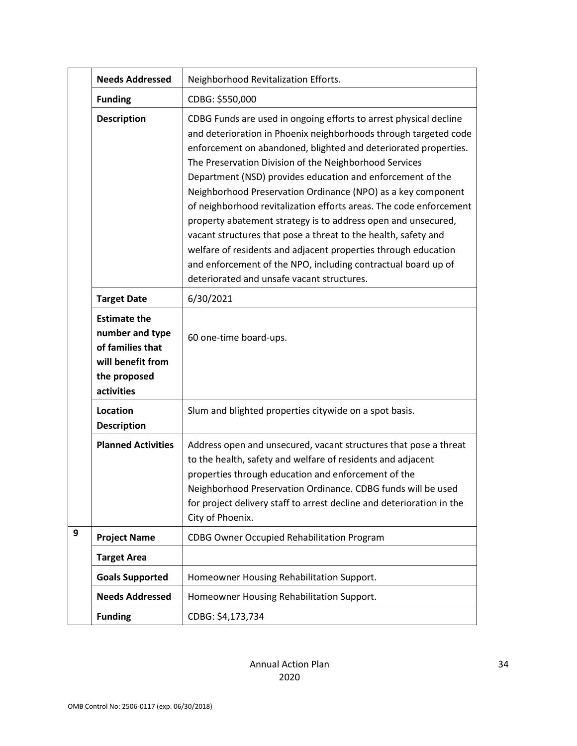|   | <b>Needs Addressed</b>                                                                                        | Neighborhood Revitalization Efforts.                                                                                                                                                                                                                                                                                                                                                                                                                                                                                                                                                                                                                                                                                                                                                       |
|---|---------------------------------------------------------------------------------------------------------------|--------------------------------------------------------------------------------------------------------------------------------------------------------------------------------------------------------------------------------------------------------------------------------------------------------------------------------------------------------------------------------------------------------------------------------------------------------------------------------------------------------------------------------------------------------------------------------------------------------------------------------------------------------------------------------------------------------------------------------------------------------------------------------------------|
|   | <b>Funding</b>                                                                                                | CDBG: \$550,000                                                                                                                                                                                                                                                                                                                                                                                                                                                                                                                                                                                                                                                                                                                                                                            |
|   | <b>Description</b>                                                                                            | CDBG Funds are used in ongoing efforts to arrest physical decline<br>and deterioration in Phoenix neighborhoods through targeted code<br>enforcement on abandoned, blighted and deteriorated properties.<br>The Preservation Division of the Neighborhood Services<br>Department (NSD) provides education and enforcement of the<br>Neighborhood Preservation Ordinance (NPO) as a key component<br>of neighborhood revitalization efforts areas. The code enforcement<br>property abatement strategy is to address open and unsecured,<br>vacant structures that pose a threat to the health, safety and<br>welfare of residents and adjacent properties through education<br>and enforcement of the NPO, including contractual board up of<br>deteriorated and unsafe vacant structures. |
|   | <b>Target Date</b>                                                                                            | 6/30/2021                                                                                                                                                                                                                                                                                                                                                                                                                                                                                                                                                                                                                                                                                                                                                                                  |
|   | <b>Estimate the</b><br>number and type<br>of families that<br>will benefit from<br>the proposed<br>activities | 60 one-time board-ups.                                                                                                                                                                                                                                                                                                                                                                                                                                                                                                                                                                                                                                                                                                                                                                     |
|   | Location<br><b>Description</b>                                                                                | Slum and blighted properties citywide on a spot basis.                                                                                                                                                                                                                                                                                                                                                                                                                                                                                                                                                                                                                                                                                                                                     |
|   | <b>Planned Activities</b>                                                                                     | Address open and unsecured, vacant structures that pose a threat<br>to the health, safety and welfare of residents and adjacent<br>properties through education and enforcement of the<br>Neighborhood Preservation Ordinance. CDBG funds will be used<br>for project delivery staff to arrest decline and deterioration in the<br>City of Phoenix.                                                                                                                                                                                                                                                                                                                                                                                                                                        |
| 9 | <b>Project Name</b>                                                                                           | <b>CDBG Owner Occupied Rehabilitation Program</b>                                                                                                                                                                                                                                                                                                                                                                                                                                                                                                                                                                                                                                                                                                                                          |
|   | <b>Target Area</b>                                                                                            |                                                                                                                                                                                                                                                                                                                                                                                                                                                                                                                                                                                                                                                                                                                                                                                            |
|   | <b>Goals Supported</b>                                                                                        | Homeowner Housing Rehabilitation Support.                                                                                                                                                                                                                                                                                                                                                                                                                                                                                                                                                                                                                                                                                                                                                  |
|   | <b>Needs Addressed</b>                                                                                        | Homeowner Housing Rehabilitation Support.                                                                                                                                                                                                                                                                                                                                                                                                                                                                                                                                                                                                                                                                                                                                                  |
|   | <b>Funding</b>                                                                                                | CDBG: \$4,173,734                                                                                                                                                                                                                                                                                                                                                                                                                                                                                                                                                                                                                                                                                                                                                                          |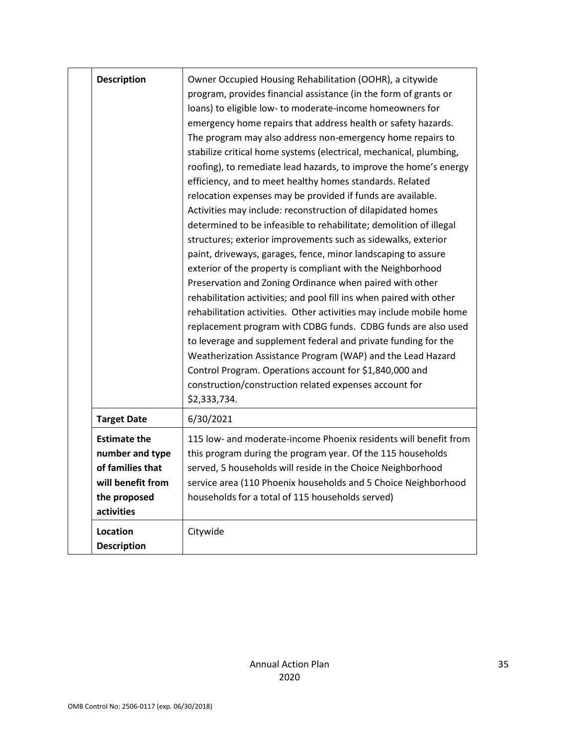| <b>Description</b>                                                                                            | Owner Occupied Housing Rehabilitation (OOHR), a citywide<br>program, provides financial assistance (in the form of grants or<br>loans) to eligible low- to moderate-income homeowners for<br>emergency home repairs that address health or safety hazards.<br>The program may also address non-emergency home repairs to<br>stabilize critical home systems (electrical, mechanical, plumbing,<br>roofing), to remediate lead hazards, to improve the home's energy<br>efficiency, and to meet healthy homes standards. Related<br>relocation expenses may be provided if funds are available.<br>Activities may include: reconstruction of dilapidated homes<br>determined to be infeasible to rehabilitate; demolition of illegal<br>structures; exterior improvements such as sidewalks, exterior<br>paint, driveways, garages, fence, minor landscaping to assure<br>exterior of the property is compliant with the Neighborhood<br>Preservation and Zoning Ordinance when paired with other<br>rehabilitation activities; and pool fill ins when paired with other<br>rehabilitation activities. Other activities may include mobile home<br>replacement program with CDBG funds. CDBG funds are also used<br>to leverage and supplement federal and private funding for the<br>Weatherization Assistance Program (WAP) and the Lead Hazard<br>Control Program. Operations account for \$1,840,000 and<br>construction/construction related expenses account for<br>\$2,333,734. |
|---------------------------------------------------------------------------------------------------------------|---------------------------------------------------------------------------------------------------------------------------------------------------------------------------------------------------------------------------------------------------------------------------------------------------------------------------------------------------------------------------------------------------------------------------------------------------------------------------------------------------------------------------------------------------------------------------------------------------------------------------------------------------------------------------------------------------------------------------------------------------------------------------------------------------------------------------------------------------------------------------------------------------------------------------------------------------------------------------------------------------------------------------------------------------------------------------------------------------------------------------------------------------------------------------------------------------------------------------------------------------------------------------------------------------------------------------------------------------------------------------------------------------------------------------------------------------------------------------------------|
| <b>Target Date</b>                                                                                            | 6/30/2021                                                                                                                                                                                                                                                                                                                                                                                                                                                                                                                                                                                                                                                                                                                                                                                                                                                                                                                                                                                                                                                                                                                                                                                                                                                                                                                                                                                                                                                                             |
| <b>Estimate the</b><br>number and type<br>of families that<br>will benefit from<br>the proposed<br>activities | 115 low- and moderate-income Phoenix residents will benefit from<br>this program during the program year. Of the 115 households<br>served, 5 households will reside in the Choice Neighborhood<br>service area (110 Phoenix households and 5 Choice Neighborhood<br>households for a total of 115 households served)                                                                                                                                                                                                                                                                                                                                                                                                                                                                                                                                                                                                                                                                                                                                                                                                                                                                                                                                                                                                                                                                                                                                                                  |
| Location<br><b>Description</b>                                                                                | Citywide                                                                                                                                                                                                                                                                                                                                                                                                                                                                                                                                                                                                                                                                                                                                                                                                                                                                                                                                                                                                                                                                                                                                                                                                                                                                                                                                                                                                                                                                              |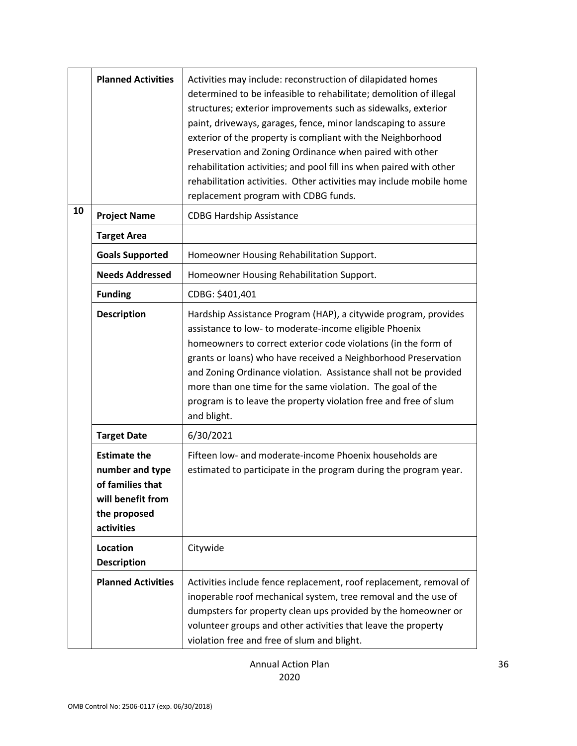|    | <b>Planned Activities</b>                                                                                     | Activities may include: reconstruction of dilapidated homes<br>determined to be infeasible to rehabilitate; demolition of illegal<br>structures; exterior improvements such as sidewalks, exterior<br>paint, driveways, garages, fence, minor landscaping to assure<br>exterior of the property is compliant with the Neighborhood<br>Preservation and Zoning Ordinance when paired with other<br>rehabilitation activities; and pool fill ins when paired with other<br>rehabilitation activities. Other activities may include mobile home<br>replacement program with CDBG funds. |
|----|---------------------------------------------------------------------------------------------------------------|--------------------------------------------------------------------------------------------------------------------------------------------------------------------------------------------------------------------------------------------------------------------------------------------------------------------------------------------------------------------------------------------------------------------------------------------------------------------------------------------------------------------------------------------------------------------------------------|
| 10 | <b>Project Name</b>                                                                                           | <b>CDBG Hardship Assistance</b>                                                                                                                                                                                                                                                                                                                                                                                                                                                                                                                                                      |
|    | <b>Target Area</b>                                                                                            |                                                                                                                                                                                                                                                                                                                                                                                                                                                                                                                                                                                      |
|    | <b>Goals Supported</b>                                                                                        | Homeowner Housing Rehabilitation Support.                                                                                                                                                                                                                                                                                                                                                                                                                                                                                                                                            |
|    | <b>Needs Addressed</b>                                                                                        | Homeowner Housing Rehabilitation Support.                                                                                                                                                                                                                                                                                                                                                                                                                                                                                                                                            |
|    | <b>Funding</b>                                                                                                | CDBG: \$401,401                                                                                                                                                                                                                                                                                                                                                                                                                                                                                                                                                                      |
|    | <b>Description</b>                                                                                            | Hardship Assistance Program (HAP), a citywide program, provides<br>assistance to low- to moderate-income eligible Phoenix<br>homeowners to correct exterior code violations (in the form of<br>grants or loans) who have received a Neighborhood Preservation<br>and Zoning Ordinance violation. Assistance shall not be provided<br>more than one time for the same violation. The goal of the<br>program is to leave the property violation free and free of slum<br>and blight.                                                                                                   |
|    | <b>Target Date</b>                                                                                            | 6/30/2021                                                                                                                                                                                                                                                                                                                                                                                                                                                                                                                                                                            |
|    | <b>Estimate the</b><br>number and type<br>of families that<br>will benefit from<br>the proposed<br>activities | Fifteen low- and moderate-income Phoenix households are<br>estimated to participate in the program during the program year.                                                                                                                                                                                                                                                                                                                                                                                                                                                          |
|    | <b>Location</b><br><b>Description</b>                                                                         | Citywide                                                                                                                                                                                                                                                                                                                                                                                                                                                                                                                                                                             |
|    | <b>Planned Activities</b>                                                                                     | Activities include fence replacement, roof replacement, removal of<br>inoperable roof mechanical system, tree removal and the use of<br>dumpsters for property clean ups provided by the homeowner or<br>volunteer groups and other activities that leave the property<br>violation free and free of slum and blight.                                                                                                                                                                                                                                                                |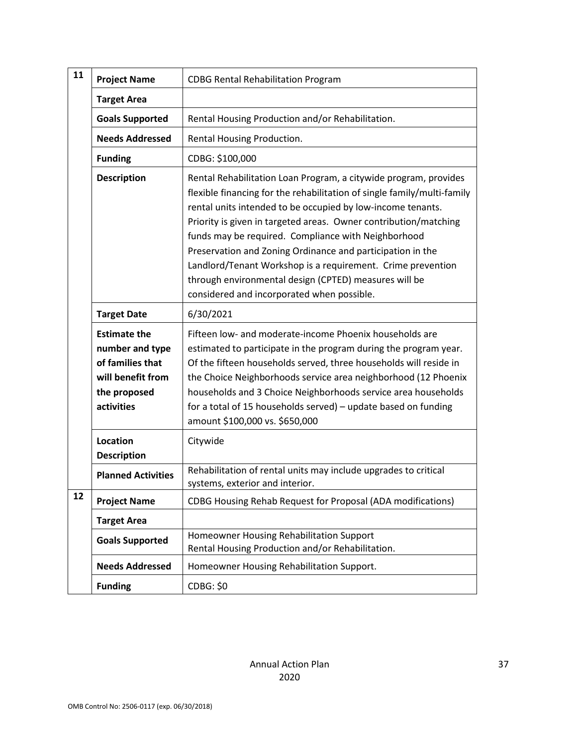| 11 | <b>Project Name</b>                                                                                           | <b>CDBG Rental Rehabilitation Program</b>                                                                                                                                                                                                                                                                                                                                                                                                                                                                                                                                 |
|----|---------------------------------------------------------------------------------------------------------------|---------------------------------------------------------------------------------------------------------------------------------------------------------------------------------------------------------------------------------------------------------------------------------------------------------------------------------------------------------------------------------------------------------------------------------------------------------------------------------------------------------------------------------------------------------------------------|
|    | <b>Target Area</b>                                                                                            |                                                                                                                                                                                                                                                                                                                                                                                                                                                                                                                                                                           |
|    | <b>Goals Supported</b>                                                                                        | Rental Housing Production and/or Rehabilitation.                                                                                                                                                                                                                                                                                                                                                                                                                                                                                                                          |
|    | <b>Needs Addressed</b>                                                                                        | Rental Housing Production.                                                                                                                                                                                                                                                                                                                                                                                                                                                                                                                                                |
|    | <b>Funding</b>                                                                                                | CDBG: \$100,000                                                                                                                                                                                                                                                                                                                                                                                                                                                                                                                                                           |
|    | <b>Description</b>                                                                                            | Rental Rehabilitation Loan Program, a citywide program, provides<br>flexible financing for the rehabilitation of single family/multi-family<br>rental units intended to be occupied by low-income tenants.<br>Priority is given in targeted areas. Owner contribution/matching<br>funds may be required. Compliance with Neighborhood<br>Preservation and Zoning Ordinance and participation in the<br>Landlord/Tenant Workshop is a requirement. Crime prevention<br>through environmental design (CPTED) measures will be<br>considered and incorporated when possible. |
|    | <b>Target Date</b>                                                                                            | 6/30/2021                                                                                                                                                                                                                                                                                                                                                                                                                                                                                                                                                                 |
|    | <b>Estimate the</b><br>number and type<br>of families that<br>will benefit from<br>the proposed<br>activities | Fifteen low- and moderate-income Phoenix households are<br>estimated to participate in the program during the program year.<br>Of the fifteen households served, three households will reside in<br>the Choice Neighborhoods service area neighborhood (12 Phoenix<br>households and 3 Choice Neighborhoods service area households<br>for a total of 15 households served) - update based on funding<br>amount \$100,000 vs. \$650,000                                                                                                                                   |
|    | Location<br><b>Description</b>                                                                                | Citywide                                                                                                                                                                                                                                                                                                                                                                                                                                                                                                                                                                  |
|    | <b>Planned Activities</b>                                                                                     | Rehabilitation of rental units may include upgrades to critical<br>systems, exterior and interior.                                                                                                                                                                                                                                                                                                                                                                                                                                                                        |
| 12 | <b>Project Name</b>                                                                                           | CDBG Housing Rehab Request for Proposal (ADA modifications)                                                                                                                                                                                                                                                                                                                                                                                                                                                                                                               |
|    | <b>Target Area</b>                                                                                            |                                                                                                                                                                                                                                                                                                                                                                                                                                                                                                                                                                           |
|    | <b>Goals Supported</b>                                                                                        | Homeowner Housing Rehabilitation Support<br>Rental Housing Production and/or Rehabilitation.                                                                                                                                                                                                                                                                                                                                                                                                                                                                              |
|    | <b>Needs Addressed</b>                                                                                        | Homeowner Housing Rehabilitation Support.                                                                                                                                                                                                                                                                                                                                                                                                                                                                                                                                 |
|    | <b>Funding</b>                                                                                                | <b>CDBG: \$0</b>                                                                                                                                                                                                                                                                                                                                                                                                                                                                                                                                                          |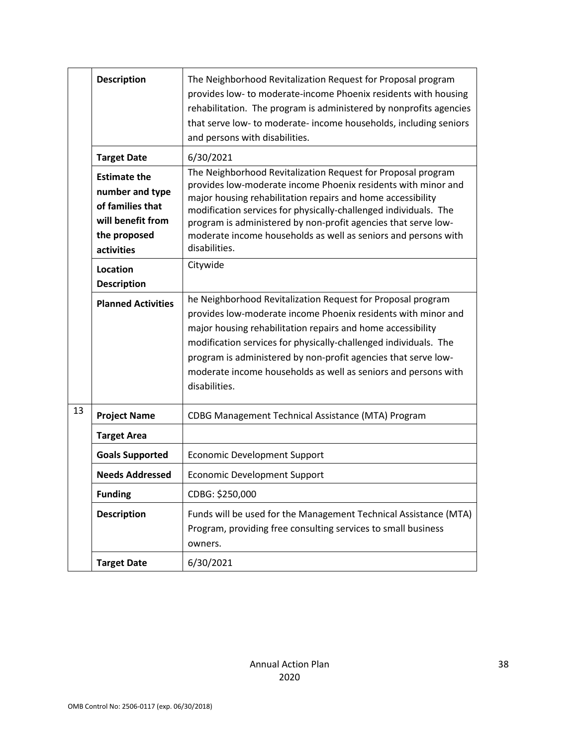|    | <b>Description</b>                                                                                            | The Neighborhood Revitalization Request for Proposal program<br>provides low- to moderate-income Phoenix residents with housing<br>rehabilitation. The program is administered by nonprofits agencies<br>that serve low- to moderate- income households, including seniors<br>and persons with disabilities.                                                                                                          |
|----|---------------------------------------------------------------------------------------------------------------|-----------------------------------------------------------------------------------------------------------------------------------------------------------------------------------------------------------------------------------------------------------------------------------------------------------------------------------------------------------------------------------------------------------------------|
|    | <b>Target Date</b>                                                                                            | 6/30/2021                                                                                                                                                                                                                                                                                                                                                                                                             |
|    | <b>Estimate the</b><br>number and type<br>of families that<br>will benefit from<br>the proposed<br>activities | The Neighborhood Revitalization Request for Proposal program<br>provides low-moderate income Phoenix residents with minor and<br>major housing rehabilitation repairs and home accessibility<br>modification services for physically-challenged individuals. The<br>program is administered by non-profit agencies that serve low-<br>moderate income households as well as seniors and persons with<br>disabilities. |
|    | Location<br><b>Description</b>                                                                                | Citywide                                                                                                                                                                                                                                                                                                                                                                                                              |
|    | <b>Planned Activities</b>                                                                                     | he Neighborhood Revitalization Request for Proposal program<br>provides low-moderate income Phoenix residents with minor and<br>major housing rehabilitation repairs and home accessibility<br>modification services for physically-challenged individuals. The<br>program is administered by non-profit agencies that serve low-<br>moderate income households as well as seniors and persons with<br>disabilities.  |
| 13 | <b>Project Name</b>                                                                                           | CDBG Management Technical Assistance (MTA) Program                                                                                                                                                                                                                                                                                                                                                                    |
|    | <b>Target Area</b>                                                                                            |                                                                                                                                                                                                                                                                                                                                                                                                                       |
|    | <b>Goals Supported</b>                                                                                        | <b>Economic Development Support</b>                                                                                                                                                                                                                                                                                                                                                                                   |
|    | <b>Needs Addressed</b>                                                                                        | <b>Economic Development Support</b>                                                                                                                                                                                                                                                                                                                                                                                   |
|    | <b>Funding</b>                                                                                                | CDBG: \$250,000                                                                                                                                                                                                                                                                                                                                                                                                       |
|    | <b>Description</b>                                                                                            | Funds will be used for the Management Technical Assistance (MTA)<br>Program, providing free consulting services to small business<br>owners.                                                                                                                                                                                                                                                                          |
|    | <b>Target Date</b>                                                                                            | 6/30/2021                                                                                                                                                                                                                                                                                                                                                                                                             |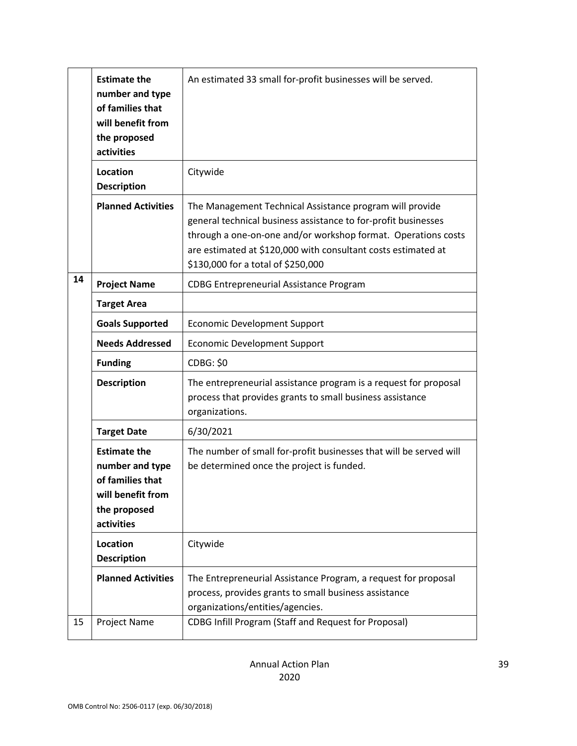|    | <b>Estimate the</b><br>number and type<br>of families that<br>will benefit from<br>the proposed<br>activities | An estimated 33 small for-profit businesses will be served.                                                                                                                                                                                                                                        |
|----|---------------------------------------------------------------------------------------------------------------|----------------------------------------------------------------------------------------------------------------------------------------------------------------------------------------------------------------------------------------------------------------------------------------------------|
|    | Location<br><b>Description</b>                                                                                | Citywide                                                                                                                                                                                                                                                                                           |
|    | <b>Planned Activities</b>                                                                                     | The Management Technical Assistance program will provide<br>general technical business assistance to for-profit businesses<br>through a one-on-one and/or workshop format. Operations costs<br>are estimated at \$120,000 with consultant costs estimated at<br>\$130,000 for a total of \$250,000 |
| 14 | <b>Project Name</b>                                                                                           | <b>CDBG Entrepreneurial Assistance Program</b>                                                                                                                                                                                                                                                     |
|    | <b>Target Area</b>                                                                                            |                                                                                                                                                                                                                                                                                                    |
|    | <b>Goals Supported</b>                                                                                        | <b>Economic Development Support</b>                                                                                                                                                                                                                                                                |
|    | <b>Needs Addressed</b>                                                                                        | <b>Economic Development Support</b>                                                                                                                                                                                                                                                                |
|    | <b>Funding</b>                                                                                                | <b>CDBG: \$0</b>                                                                                                                                                                                                                                                                                   |
|    | <b>Description</b>                                                                                            | The entrepreneurial assistance program is a request for proposal<br>process that provides grants to small business assistance<br>organizations.                                                                                                                                                    |
|    | <b>Target Date</b>                                                                                            | 6/30/2021                                                                                                                                                                                                                                                                                          |
|    | <b>Estimate the</b><br>number and type<br>of families that<br>will benefit from<br>the proposed<br>activities | The number of small for-profit businesses that will be served will<br>be determined once the project is funded.                                                                                                                                                                                    |
|    | <b>Location</b><br><b>Description</b>                                                                         | Citywide                                                                                                                                                                                                                                                                                           |
|    | <b>Planned Activities</b>                                                                                     | The Entrepreneurial Assistance Program, a request for proposal<br>process, provides grants to small business assistance<br>organizations/entities/agencies.                                                                                                                                        |
| 15 | Project Name                                                                                                  | CDBG Infill Program (Staff and Request for Proposal)                                                                                                                                                                                                                                               |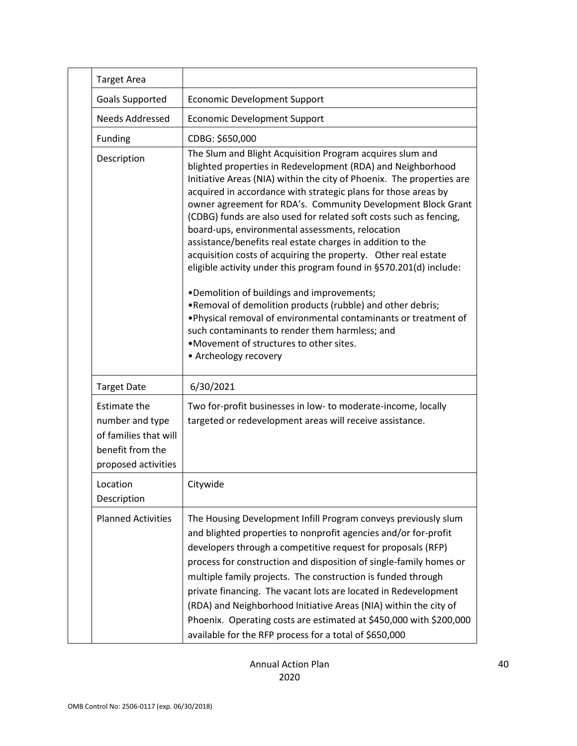|  | <b>Target Area</b>                                                                                  |                                                                                                                                                                                                                                                                                                                                                                                                                                                                                                                                                                                                                                                                                                                                                                                                                                                                                                                                                                            |
|--|-----------------------------------------------------------------------------------------------------|----------------------------------------------------------------------------------------------------------------------------------------------------------------------------------------------------------------------------------------------------------------------------------------------------------------------------------------------------------------------------------------------------------------------------------------------------------------------------------------------------------------------------------------------------------------------------------------------------------------------------------------------------------------------------------------------------------------------------------------------------------------------------------------------------------------------------------------------------------------------------------------------------------------------------------------------------------------------------|
|  | <b>Goals Supported</b>                                                                              | <b>Economic Development Support</b>                                                                                                                                                                                                                                                                                                                                                                                                                                                                                                                                                                                                                                                                                                                                                                                                                                                                                                                                        |
|  | <b>Needs Addressed</b>                                                                              | <b>Economic Development Support</b>                                                                                                                                                                                                                                                                                                                                                                                                                                                                                                                                                                                                                                                                                                                                                                                                                                                                                                                                        |
|  | Funding                                                                                             | CDBG: \$650,000                                                                                                                                                                                                                                                                                                                                                                                                                                                                                                                                                                                                                                                                                                                                                                                                                                                                                                                                                            |
|  | Description                                                                                         | The Slum and Blight Acquisition Program acquires slum and<br>blighted properties in Redevelopment (RDA) and Neighborhood<br>Initiative Areas (NIA) within the city of Phoenix. The properties are<br>acquired in accordance with strategic plans for those areas by<br>owner agreement for RDA's. Community Development Block Grant<br>(CDBG) funds are also used for related soft costs such as fencing,<br>board-ups, environmental assessments, relocation<br>assistance/benefits real estate charges in addition to the<br>acquisition costs of acquiring the property. Other real estate<br>eligible activity under this program found in §570.201(d) include:<br>•Demolition of buildings and improvements;<br>. Removal of demolition products (rubble) and other debris;<br>. Physical removal of environmental contaminants or treatment of<br>such contaminants to render them harmless; and<br>.Movement of structures to other sites.<br>• Archeology recovery |
|  | <b>Target Date</b>                                                                                  | 6/30/2021                                                                                                                                                                                                                                                                                                                                                                                                                                                                                                                                                                                                                                                                                                                                                                                                                                                                                                                                                                  |
|  | Estimate the<br>number and type<br>of families that will<br>benefit from the<br>proposed activities | Two for-profit businesses in low- to moderate-income, locally<br>targeted or redevelopment areas will receive assistance.                                                                                                                                                                                                                                                                                                                                                                                                                                                                                                                                                                                                                                                                                                                                                                                                                                                  |
|  | Location<br>Description                                                                             | Citywide                                                                                                                                                                                                                                                                                                                                                                                                                                                                                                                                                                                                                                                                                                                                                                                                                                                                                                                                                                   |
|  | <b>Planned Activities</b>                                                                           | The Housing Development Infill Program conveys previously slum<br>and blighted properties to nonprofit agencies and/or for-profit<br>developers through a competitive request for proposals (RFP)<br>process for construction and disposition of single-family homes or<br>multiple family projects. The construction is funded through<br>private financing. The vacant lots are located in Redevelopment<br>(RDA) and Neighborhood Initiative Areas (NIA) within the city of<br>Phoenix. Operating costs are estimated at \$450,000 with \$200,000<br>available for the RFP process for a total of \$650,000                                                                                                                                                                                                                                                                                                                                                             |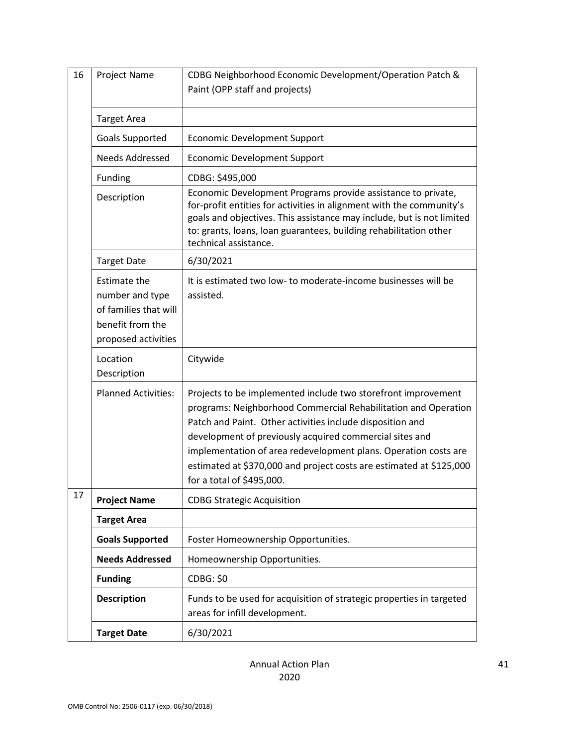| 16 | Project Name                                                                                               | CDBG Neighborhood Economic Development/Operation Patch &<br>Paint (OPP staff and projects)                                                                                                                                                                                                                                                                                                                                     |
|----|------------------------------------------------------------------------------------------------------------|--------------------------------------------------------------------------------------------------------------------------------------------------------------------------------------------------------------------------------------------------------------------------------------------------------------------------------------------------------------------------------------------------------------------------------|
|    |                                                                                                            |                                                                                                                                                                                                                                                                                                                                                                                                                                |
|    | <b>Target Area</b>                                                                                         |                                                                                                                                                                                                                                                                                                                                                                                                                                |
|    | Goals Supported                                                                                            | <b>Economic Development Support</b>                                                                                                                                                                                                                                                                                                                                                                                            |
|    | <b>Needs Addressed</b>                                                                                     | <b>Economic Development Support</b>                                                                                                                                                                                                                                                                                                                                                                                            |
|    | Funding                                                                                                    | CDBG: \$495,000                                                                                                                                                                                                                                                                                                                                                                                                                |
|    | Description                                                                                                | Economic Development Programs provide assistance to private,<br>for-profit entities for activities in alignment with the community's<br>goals and objectives. This assistance may include, but is not limited<br>to: grants, loans, loan guarantees, building rehabilitation other<br>technical assistance.                                                                                                                    |
|    | <b>Target Date</b>                                                                                         | 6/30/2021                                                                                                                                                                                                                                                                                                                                                                                                                      |
|    | <b>Estimate the</b><br>number and type<br>of families that will<br>benefit from the<br>proposed activities | It is estimated two low- to moderate-income businesses will be<br>assisted.                                                                                                                                                                                                                                                                                                                                                    |
|    | Location<br>Description                                                                                    | Citywide                                                                                                                                                                                                                                                                                                                                                                                                                       |
|    | <b>Planned Activities:</b>                                                                                 | Projects to be implemented include two storefront improvement<br>programs: Neighborhood Commercial Rehabilitation and Operation<br>Patch and Paint. Other activities include disposition and<br>development of previously acquired commercial sites and<br>implementation of area redevelopment plans. Operation costs are<br>estimated at \$370,000 and project costs are estimated at \$125,000<br>for a total of \$495,000. |
| 17 | <b>Project Name</b>                                                                                        | <b>CDBG Strategic Acquisition</b>                                                                                                                                                                                                                                                                                                                                                                                              |
|    | <b>Target Area</b>                                                                                         |                                                                                                                                                                                                                                                                                                                                                                                                                                |
|    | <b>Goals Supported</b>                                                                                     | Foster Homeownership Opportunities.                                                                                                                                                                                                                                                                                                                                                                                            |
|    | <b>Needs Addressed</b>                                                                                     | Homeownership Opportunities.                                                                                                                                                                                                                                                                                                                                                                                                   |
|    | <b>Funding</b>                                                                                             | <b>CDBG: \$0</b>                                                                                                                                                                                                                                                                                                                                                                                                               |
|    | <b>Description</b>                                                                                         | Funds to be used for acquisition of strategic properties in targeted<br>areas for infill development.                                                                                                                                                                                                                                                                                                                          |
|    | <b>Target Date</b>                                                                                         | 6/30/2021                                                                                                                                                                                                                                                                                                                                                                                                                      |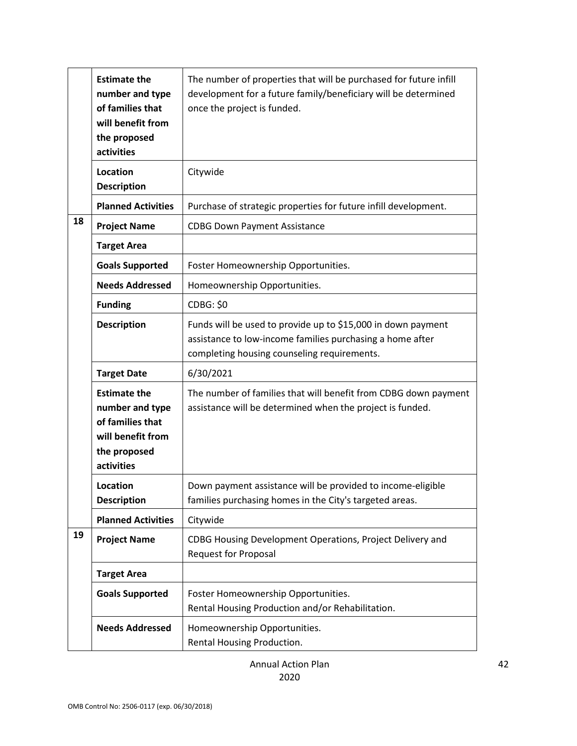|    | <b>Estimate the</b><br>number and type<br>of families that<br>will benefit from<br>the proposed<br>activities | The number of properties that will be purchased for future infill<br>development for a future family/beneficiary will be determined<br>once the project is funded.       |
|----|---------------------------------------------------------------------------------------------------------------|--------------------------------------------------------------------------------------------------------------------------------------------------------------------------|
|    | Location<br><b>Description</b>                                                                                | Citywide                                                                                                                                                                 |
|    | <b>Planned Activities</b>                                                                                     | Purchase of strategic properties for future infill development.                                                                                                          |
| 18 | <b>Project Name</b>                                                                                           | <b>CDBG Down Payment Assistance</b>                                                                                                                                      |
|    | <b>Target Area</b>                                                                                            |                                                                                                                                                                          |
|    | <b>Goals Supported</b>                                                                                        | Foster Homeownership Opportunities.                                                                                                                                      |
|    | <b>Needs Addressed</b>                                                                                        | Homeownership Opportunities.                                                                                                                                             |
|    | <b>Funding</b>                                                                                                | <b>CDBG: \$0</b>                                                                                                                                                         |
|    | <b>Description</b>                                                                                            | Funds will be used to provide up to \$15,000 in down payment<br>assistance to low-income families purchasing a home after<br>completing housing counseling requirements. |
|    | <b>Target Date</b>                                                                                            | 6/30/2021                                                                                                                                                                |
|    | <b>Estimate the</b><br>number and type<br>of families that<br>will benefit from<br>the proposed<br>activities | The number of families that will benefit from CDBG down payment<br>assistance will be determined when the project is funded.                                             |
|    | Location<br><b>Description</b>                                                                                | Down payment assistance will be provided to income-eligible<br>families purchasing homes in the City's targeted areas.                                                   |
|    | <b>Planned Activities</b>                                                                                     | Citywide                                                                                                                                                                 |
| 19 | <b>Project Name</b>                                                                                           | CDBG Housing Development Operations, Project Delivery and<br><b>Request for Proposal</b>                                                                                 |
|    | <b>Target Area</b>                                                                                            |                                                                                                                                                                          |
|    | <b>Goals Supported</b>                                                                                        | Foster Homeownership Opportunities.<br>Rental Housing Production and/or Rehabilitation.                                                                                  |
|    | <b>Needs Addressed</b>                                                                                        | Homeownership Opportunities.<br>Rental Housing Production.                                                                                                               |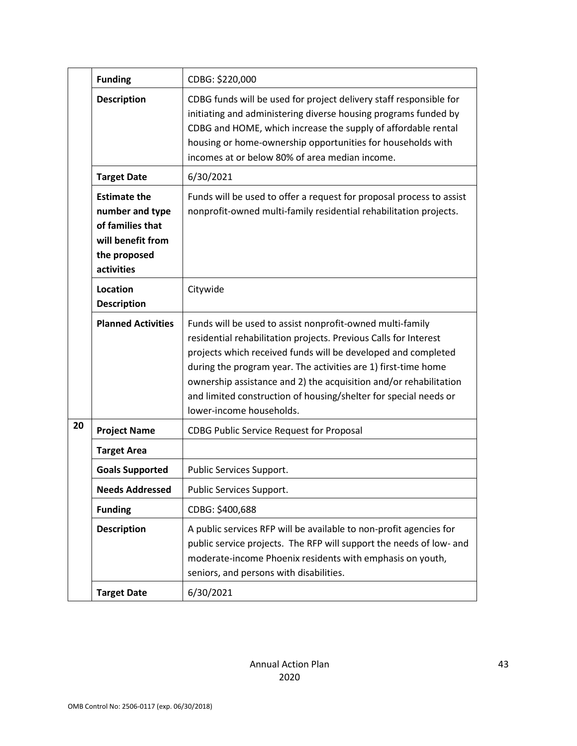|    | <b>Funding</b>                                                                                                | CDBG: \$220,000                                                                                                                                                                                                                                                                                                                                                                                                                       |
|----|---------------------------------------------------------------------------------------------------------------|---------------------------------------------------------------------------------------------------------------------------------------------------------------------------------------------------------------------------------------------------------------------------------------------------------------------------------------------------------------------------------------------------------------------------------------|
|    | <b>Description</b>                                                                                            | CDBG funds will be used for project delivery staff responsible for<br>initiating and administering diverse housing programs funded by<br>CDBG and HOME, which increase the supply of affordable rental<br>housing or home-ownership opportunities for households with<br>incomes at or below 80% of area median income.                                                                                                               |
|    | <b>Target Date</b>                                                                                            | 6/30/2021                                                                                                                                                                                                                                                                                                                                                                                                                             |
|    | <b>Estimate the</b><br>number and type<br>of families that<br>will benefit from<br>the proposed<br>activities | Funds will be used to offer a request for proposal process to assist<br>nonprofit-owned multi-family residential rehabilitation projects.                                                                                                                                                                                                                                                                                             |
|    | Location<br><b>Description</b>                                                                                | Citywide                                                                                                                                                                                                                                                                                                                                                                                                                              |
|    | <b>Planned Activities</b>                                                                                     | Funds will be used to assist nonprofit-owned multi-family<br>residential rehabilitation projects. Previous Calls for Interest<br>projects which received funds will be developed and completed<br>during the program year. The activities are 1) first-time home<br>ownership assistance and 2) the acquisition and/or rehabilitation<br>and limited construction of housing/shelter for special needs or<br>lower-income households. |
| 20 | <b>Project Name</b>                                                                                           | <b>CDBG Public Service Request for Proposal</b>                                                                                                                                                                                                                                                                                                                                                                                       |
|    | <b>Target Area</b>                                                                                            |                                                                                                                                                                                                                                                                                                                                                                                                                                       |
|    | <b>Goals Supported</b>                                                                                        | Public Services Support.                                                                                                                                                                                                                                                                                                                                                                                                              |
|    | <b>Needs Addressed</b>                                                                                        | Public Services Support.                                                                                                                                                                                                                                                                                                                                                                                                              |
|    | <b>Funding</b>                                                                                                | CDBG: \$400,688                                                                                                                                                                                                                                                                                                                                                                                                                       |
|    | <b>Description</b>                                                                                            | A public services RFP will be available to non-profit agencies for<br>public service projects. The RFP will support the needs of low- and<br>moderate-income Phoenix residents with emphasis on youth,<br>seniors, and persons with disabilities.                                                                                                                                                                                     |
|    | <b>Target Date</b>                                                                                            | 6/30/2021                                                                                                                                                                                                                                                                                                                                                                                                                             |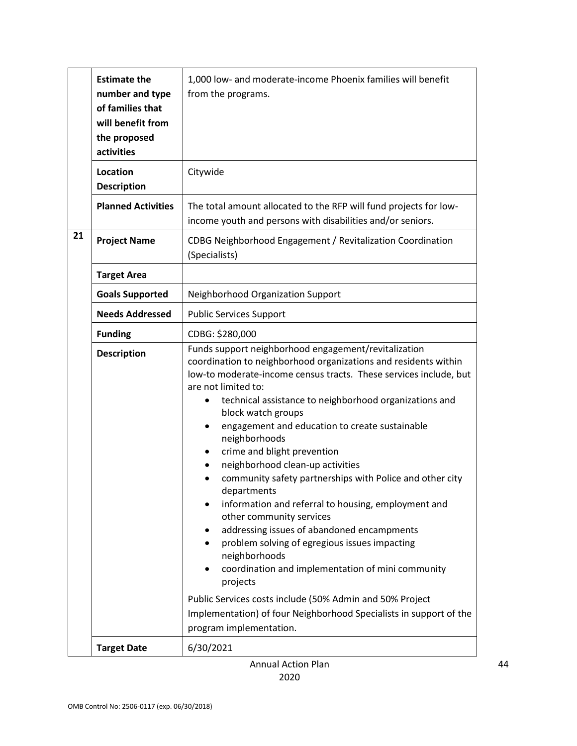|    | <b>Estimate the</b><br>number and type<br>of families that<br>will benefit from<br>the proposed<br>activities | 1,000 low- and moderate-income Phoenix families will benefit<br>from the programs.                                                                                                                                                                                                                                                                                                                                                                                                                                                                                                                                                                                                                                                                                                                                                                                                                                                                                           |
|----|---------------------------------------------------------------------------------------------------------------|------------------------------------------------------------------------------------------------------------------------------------------------------------------------------------------------------------------------------------------------------------------------------------------------------------------------------------------------------------------------------------------------------------------------------------------------------------------------------------------------------------------------------------------------------------------------------------------------------------------------------------------------------------------------------------------------------------------------------------------------------------------------------------------------------------------------------------------------------------------------------------------------------------------------------------------------------------------------------|
|    | Location<br><b>Description</b>                                                                                | Citywide                                                                                                                                                                                                                                                                                                                                                                                                                                                                                                                                                                                                                                                                                                                                                                                                                                                                                                                                                                     |
|    | <b>Planned Activities</b>                                                                                     | The total amount allocated to the RFP will fund projects for low-<br>income youth and persons with disabilities and/or seniors.                                                                                                                                                                                                                                                                                                                                                                                                                                                                                                                                                                                                                                                                                                                                                                                                                                              |
| 21 | <b>Project Name</b>                                                                                           | CDBG Neighborhood Engagement / Revitalization Coordination<br>(Specialists)                                                                                                                                                                                                                                                                                                                                                                                                                                                                                                                                                                                                                                                                                                                                                                                                                                                                                                  |
|    | <b>Target Area</b>                                                                                            |                                                                                                                                                                                                                                                                                                                                                                                                                                                                                                                                                                                                                                                                                                                                                                                                                                                                                                                                                                              |
|    | <b>Goals Supported</b>                                                                                        | Neighborhood Organization Support                                                                                                                                                                                                                                                                                                                                                                                                                                                                                                                                                                                                                                                                                                                                                                                                                                                                                                                                            |
|    | <b>Needs Addressed</b>                                                                                        | <b>Public Services Support</b>                                                                                                                                                                                                                                                                                                                                                                                                                                                                                                                                                                                                                                                                                                                                                                                                                                                                                                                                               |
|    | <b>Funding</b>                                                                                                | CDBG: \$280,000                                                                                                                                                                                                                                                                                                                                                                                                                                                                                                                                                                                                                                                                                                                                                                                                                                                                                                                                                              |
|    | <b>Description</b>                                                                                            | Funds support neighborhood engagement/revitalization<br>coordination to neighborhood organizations and residents within<br>low-to moderate-income census tracts. These services include, but<br>are not limited to:<br>technical assistance to neighborhood organizations and<br>block watch groups<br>engagement and education to create sustainable<br>٠<br>neighborhoods<br>crime and blight prevention<br>٠<br>neighborhood clean-up activities<br>community safety partnerships with Police and other city<br>departments<br>information and referral to housing, employment and<br>other community services<br>addressing issues of abandoned encampments<br>$\bullet$<br>problem solving of egregious issues impacting<br>neighborhoods<br>coordination and implementation of mini community<br>projects<br>Public Services costs include (50% Admin and 50% Project<br>Implementation) of four Neighborhood Specialists in support of the<br>program implementation. |
|    | <b>Target Date</b>                                                                                            | 6/30/2021                                                                                                                                                                                                                                                                                                                                                                                                                                                                                                                                                                                                                                                                                                                                                                                                                                                                                                                                                                    |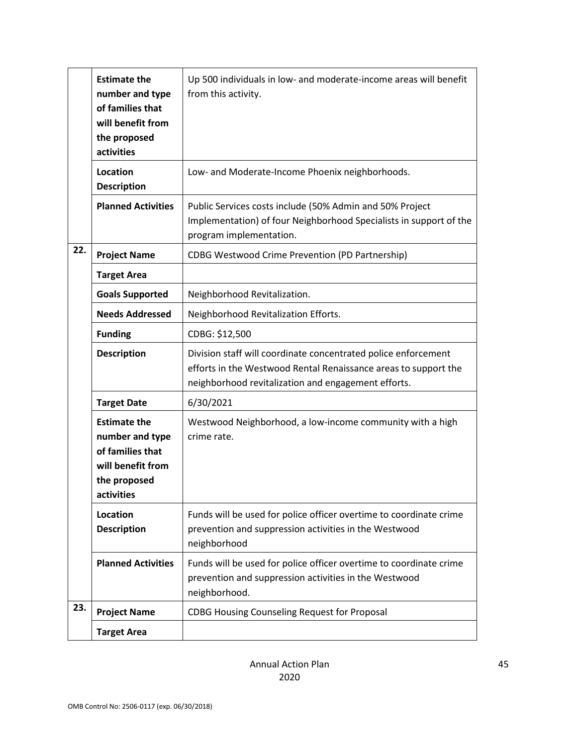|     | <b>Estimate the</b><br>number and type<br>of families that<br>will benefit from<br>the proposed<br>activities | Up 500 individuals in low- and moderate-income areas will benefit<br>from this activity.                                                                                                 |
|-----|---------------------------------------------------------------------------------------------------------------|------------------------------------------------------------------------------------------------------------------------------------------------------------------------------------------|
|     | Location<br><b>Description</b>                                                                                | Low- and Moderate-Income Phoenix neighborhoods.                                                                                                                                          |
|     | <b>Planned Activities</b>                                                                                     | Public Services costs include (50% Admin and 50% Project<br>Implementation) of four Neighborhood Specialists in support of the<br>program implementation.                                |
| 22. | <b>Project Name</b>                                                                                           | <b>CDBG Westwood Crime Prevention (PD Partnership)</b>                                                                                                                                   |
|     | <b>Target Area</b>                                                                                            |                                                                                                                                                                                          |
|     | <b>Goals Supported</b>                                                                                        | Neighborhood Revitalization.                                                                                                                                                             |
|     | <b>Needs Addressed</b>                                                                                        | Neighborhood Revitalization Efforts.                                                                                                                                                     |
|     | <b>Funding</b>                                                                                                | CDBG: \$12,500                                                                                                                                                                           |
|     | <b>Description</b>                                                                                            | Division staff will coordinate concentrated police enforcement<br>efforts in the Westwood Rental Renaissance areas to support the<br>neighborhood revitalization and engagement efforts. |
|     | <b>Target Date</b>                                                                                            | 6/30/2021                                                                                                                                                                                |
|     | <b>Estimate the</b><br>number and type<br>of families that<br>will benefit from<br>the proposed<br>activities | Westwood Neighborhood, a low-income community with a high<br>crime rate.                                                                                                                 |
|     | Location<br><b>Description</b>                                                                                | Funds will be used for police officer overtime to coordinate crime<br>prevention and suppression activities in the Westwood<br>neighborhood                                              |
|     | <b>Planned Activities</b>                                                                                     | Funds will be used for police officer overtime to coordinate crime<br>prevention and suppression activities in the Westwood<br>neighborhood.                                             |
| 23. | <b>Project Name</b>                                                                                           | <b>CDBG Housing Counseling Request for Proposal</b>                                                                                                                                      |
|     | <b>Target Area</b>                                                                                            |                                                                                                                                                                                          |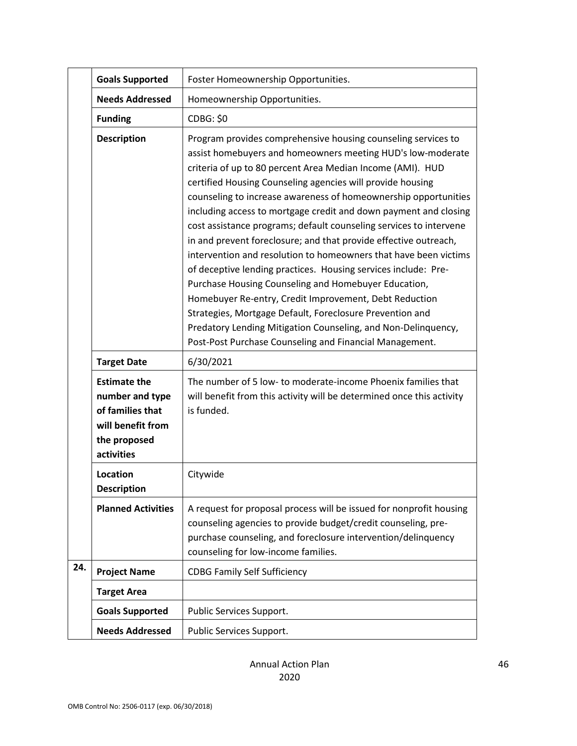|     | <b>Goals Supported</b>                                                                                        | Foster Homeownership Opportunities.                                                                                                                                                                                                                                                                                                                                                                                                                                                                                                                                                                                                                                                                                                                                                                                                                                                                                                                                                       |
|-----|---------------------------------------------------------------------------------------------------------------|-------------------------------------------------------------------------------------------------------------------------------------------------------------------------------------------------------------------------------------------------------------------------------------------------------------------------------------------------------------------------------------------------------------------------------------------------------------------------------------------------------------------------------------------------------------------------------------------------------------------------------------------------------------------------------------------------------------------------------------------------------------------------------------------------------------------------------------------------------------------------------------------------------------------------------------------------------------------------------------------|
|     | <b>Needs Addressed</b>                                                                                        | Homeownership Opportunities.                                                                                                                                                                                                                                                                                                                                                                                                                                                                                                                                                                                                                                                                                                                                                                                                                                                                                                                                                              |
|     | <b>Funding</b>                                                                                                | <b>CDBG: \$0</b>                                                                                                                                                                                                                                                                                                                                                                                                                                                                                                                                                                                                                                                                                                                                                                                                                                                                                                                                                                          |
|     | <b>Description</b>                                                                                            | Program provides comprehensive housing counseling services to<br>assist homebuyers and homeowners meeting HUD's low-moderate<br>criteria of up to 80 percent Area Median Income (AMI). HUD<br>certified Housing Counseling agencies will provide housing<br>counseling to increase awareness of homeownership opportunities<br>including access to mortgage credit and down payment and closing<br>cost assistance programs; default counseling services to intervene<br>in and prevent foreclosure; and that provide effective outreach,<br>intervention and resolution to homeowners that have been victims<br>of deceptive lending practices. Housing services include: Pre-<br>Purchase Housing Counseling and Homebuyer Education,<br>Homebuyer Re-entry, Credit Improvement, Debt Reduction<br>Strategies, Mortgage Default, Foreclosure Prevention and<br>Predatory Lending Mitigation Counseling, and Non-Delinquency,<br>Post-Post Purchase Counseling and Financial Management. |
|     | <b>Target Date</b>                                                                                            | 6/30/2021                                                                                                                                                                                                                                                                                                                                                                                                                                                                                                                                                                                                                                                                                                                                                                                                                                                                                                                                                                                 |
|     | <b>Estimate the</b><br>number and type<br>of families that<br>will benefit from<br>the proposed<br>activities | The number of 5 low- to moderate-income Phoenix families that<br>will benefit from this activity will be determined once this activity<br>is funded.                                                                                                                                                                                                                                                                                                                                                                                                                                                                                                                                                                                                                                                                                                                                                                                                                                      |
|     | Location<br><b>Description</b>                                                                                | Citywide                                                                                                                                                                                                                                                                                                                                                                                                                                                                                                                                                                                                                                                                                                                                                                                                                                                                                                                                                                                  |
|     | <b>Planned Activities</b>                                                                                     | A request for proposal process will be issued for nonprofit housing<br>counseling agencies to provide budget/credit counseling, pre-<br>purchase counseling, and foreclosure intervention/delinquency<br>counseling for low-income families.                                                                                                                                                                                                                                                                                                                                                                                                                                                                                                                                                                                                                                                                                                                                              |
| 24. | <b>Project Name</b>                                                                                           | <b>CDBG Family Self Sufficiency</b>                                                                                                                                                                                                                                                                                                                                                                                                                                                                                                                                                                                                                                                                                                                                                                                                                                                                                                                                                       |
|     | <b>Target Area</b>                                                                                            |                                                                                                                                                                                                                                                                                                                                                                                                                                                                                                                                                                                                                                                                                                                                                                                                                                                                                                                                                                                           |
|     | <b>Goals Supported</b>                                                                                        | Public Services Support.                                                                                                                                                                                                                                                                                                                                                                                                                                                                                                                                                                                                                                                                                                                                                                                                                                                                                                                                                                  |
|     |                                                                                                               |                                                                                                                                                                                                                                                                                                                                                                                                                                                                                                                                                                                                                                                                                                                                                                                                                                                                                                                                                                                           |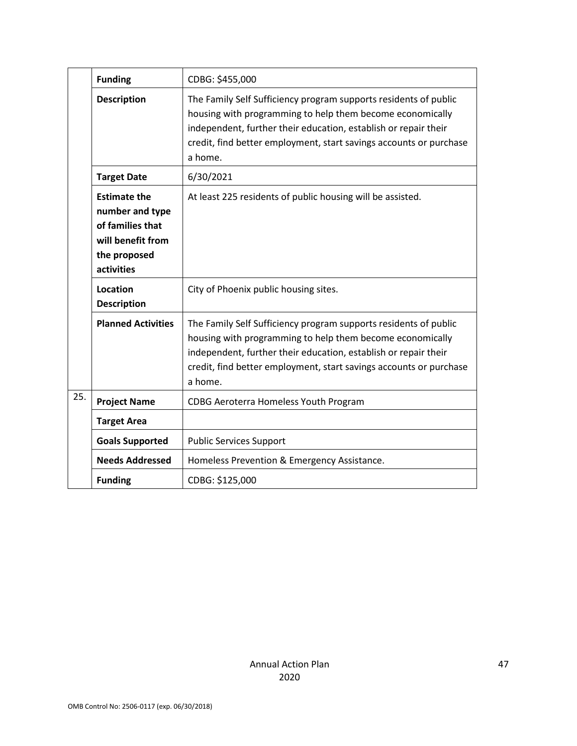|     | <b>Funding</b>                                                                                                | CDBG: \$455,000                                                                                                                                                                                                                                                                   |
|-----|---------------------------------------------------------------------------------------------------------------|-----------------------------------------------------------------------------------------------------------------------------------------------------------------------------------------------------------------------------------------------------------------------------------|
|     | <b>Description</b>                                                                                            | The Family Self Sufficiency program supports residents of public<br>housing with programming to help them become economically<br>independent, further their education, establish or repair their<br>credit, find better employment, start savings accounts or purchase<br>a home. |
|     | <b>Target Date</b>                                                                                            | 6/30/2021                                                                                                                                                                                                                                                                         |
|     | <b>Estimate the</b><br>number and type<br>of families that<br>will benefit from<br>the proposed<br>activities | At least 225 residents of public housing will be assisted.                                                                                                                                                                                                                        |
|     | Location<br><b>Description</b>                                                                                | City of Phoenix public housing sites.                                                                                                                                                                                                                                             |
|     | <b>Planned Activities</b>                                                                                     | The Family Self Sufficiency program supports residents of public<br>housing with programming to help them become economically<br>independent, further their education, establish or repair their<br>credit, find better employment, start savings accounts or purchase<br>a home. |
| 25. | <b>Project Name</b>                                                                                           | CDBG Aeroterra Homeless Youth Program                                                                                                                                                                                                                                             |
|     | <b>Target Area</b>                                                                                            |                                                                                                                                                                                                                                                                                   |
|     | <b>Goals Supported</b>                                                                                        | <b>Public Services Support</b>                                                                                                                                                                                                                                                    |
|     | <b>Needs Addressed</b>                                                                                        | Homeless Prevention & Emergency Assistance.                                                                                                                                                                                                                                       |
|     | <b>Funding</b>                                                                                                | CDBG: \$125,000                                                                                                                                                                                                                                                                   |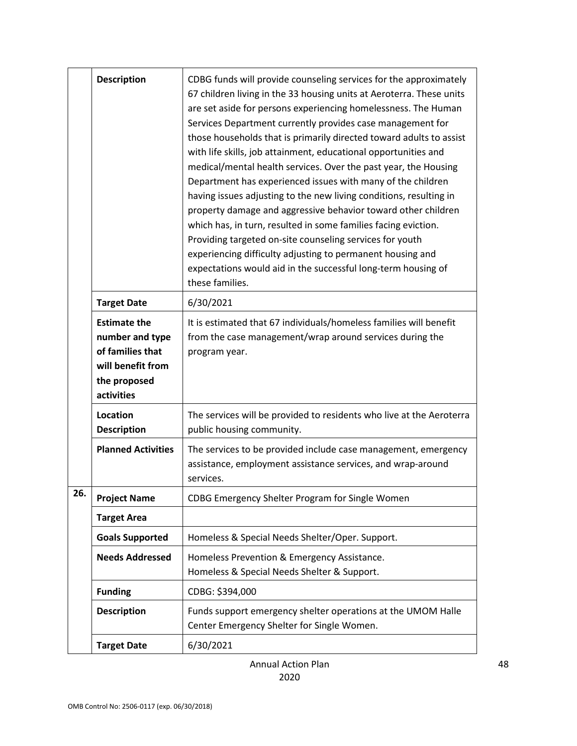|     | <b>Description</b>                                                                                            | CDBG funds will provide counseling services for the approximately<br>67 children living in the 33 housing units at Aeroterra. These units<br>are set aside for persons experiencing homelessness. The Human<br>Services Department currently provides case management for<br>those households that is primarily directed toward adults to assist<br>with life skills, job attainment, educational opportunities and<br>medical/mental health services. Over the past year, the Housing<br>Department has experienced issues with many of the children<br>having issues adjusting to the new living conditions, resulting in<br>property damage and aggressive behavior toward other children<br>which has, in turn, resulted in some families facing eviction.<br>Providing targeted on-site counseling services for youth<br>experiencing difficulty adjusting to permanent housing and<br>expectations would aid in the successful long-term housing of<br>these families. |
|-----|---------------------------------------------------------------------------------------------------------------|------------------------------------------------------------------------------------------------------------------------------------------------------------------------------------------------------------------------------------------------------------------------------------------------------------------------------------------------------------------------------------------------------------------------------------------------------------------------------------------------------------------------------------------------------------------------------------------------------------------------------------------------------------------------------------------------------------------------------------------------------------------------------------------------------------------------------------------------------------------------------------------------------------------------------------------------------------------------------|
|     | <b>Target Date</b>                                                                                            | 6/30/2021                                                                                                                                                                                                                                                                                                                                                                                                                                                                                                                                                                                                                                                                                                                                                                                                                                                                                                                                                                    |
|     | <b>Estimate the</b><br>number and type<br>of families that<br>will benefit from<br>the proposed<br>activities | It is estimated that 67 individuals/homeless families will benefit<br>from the case management/wrap around services during the<br>program year.                                                                                                                                                                                                                                                                                                                                                                                                                                                                                                                                                                                                                                                                                                                                                                                                                              |
|     | <b>Location</b><br><b>Description</b>                                                                         | The services will be provided to residents who live at the Aeroterra<br>public housing community.                                                                                                                                                                                                                                                                                                                                                                                                                                                                                                                                                                                                                                                                                                                                                                                                                                                                            |
|     | <b>Planned Activities</b>                                                                                     | The services to be provided include case management, emergency<br>assistance, employment assistance services, and wrap-around<br>services.                                                                                                                                                                                                                                                                                                                                                                                                                                                                                                                                                                                                                                                                                                                                                                                                                                   |
| 26. | <b>Project Name</b>                                                                                           | CDBG Emergency Shelter Program for Single Women                                                                                                                                                                                                                                                                                                                                                                                                                                                                                                                                                                                                                                                                                                                                                                                                                                                                                                                              |
|     | <b>Target Area</b>                                                                                            |                                                                                                                                                                                                                                                                                                                                                                                                                                                                                                                                                                                                                                                                                                                                                                                                                                                                                                                                                                              |
|     | <b>Goals Supported</b>                                                                                        | Homeless & Special Needs Shelter/Oper. Support.                                                                                                                                                                                                                                                                                                                                                                                                                                                                                                                                                                                                                                                                                                                                                                                                                                                                                                                              |
|     | <b>Needs Addressed</b>                                                                                        | Homeless Prevention & Emergency Assistance.<br>Homeless & Special Needs Shelter & Support.                                                                                                                                                                                                                                                                                                                                                                                                                                                                                                                                                                                                                                                                                                                                                                                                                                                                                   |
|     | <b>Funding</b>                                                                                                | CDBG: \$394,000                                                                                                                                                                                                                                                                                                                                                                                                                                                                                                                                                                                                                                                                                                                                                                                                                                                                                                                                                              |
|     | <b>Description</b>                                                                                            | Funds support emergency shelter operations at the UMOM Halle<br>Center Emergency Shelter for Single Women.                                                                                                                                                                                                                                                                                                                                                                                                                                                                                                                                                                                                                                                                                                                                                                                                                                                                   |
|     | <b>Target Date</b>                                                                                            | 6/30/2021                                                                                                                                                                                                                                                                                                                                                                                                                                                                                                                                                                                                                                                                                                                                                                                                                                                                                                                                                                    |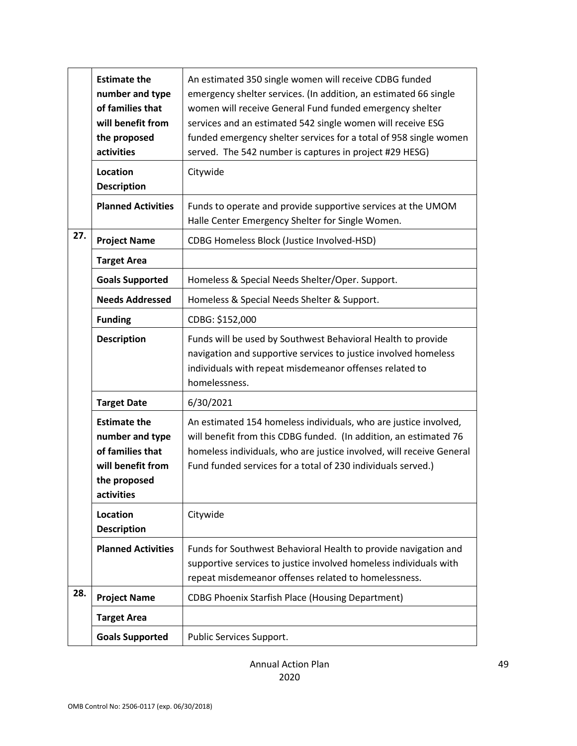|     | <b>Estimate the</b><br>number and type<br>of families that<br>will benefit from<br>the proposed<br>activities | An estimated 350 single women will receive CDBG funded<br>emergency shelter services. (In addition, an estimated 66 single<br>women will receive General Fund funded emergency shelter<br>services and an estimated 542 single women will receive ESG<br>funded emergency shelter services for a total of 958 single women<br>served. The 542 number is captures in project #29 HESG) |
|-----|---------------------------------------------------------------------------------------------------------------|---------------------------------------------------------------------------------------------------------------------------------------------------------------------------------------------------------------------------------------------------------------------------------------------------------------------------------------------------------------------------------------|
|     | <b>Location</b><br><b>Description</b>                                                                         | Citywide                                                                                                                                                                                                                                                                                                                                                                              |
|     | <b>Planned Activities</b>                                                                                     | Funds to operate and provide supportive services at the UMOM<br>Halle Center Emergency Shelter for Single Women.                                                                                                                                                                                                                                                                      |
| 27. | <b>Project Name</b>                                                                                           | CDBG Homeless Block (Justice Involved-HSD)                                                                                                                                                                                                                                                                                                                                            |
|     | <b>Target Area</b>                                                                                            |                                                                                                                                                                                                                                                                                                                                                                                       |
|     | <b>Goals Supported</b>                                                                                        | Homeless & Special Needs Shelter/Oper. Support.                                                                                                                                                                                                                                                                                                                                       |
|     | <b>Needs Addressed</b>                                                                                        | Homeless & Special Needs Shelter & Support.                                                                                                                                                                                                                                                                                                                                           |
|     | <b>Funding</b>                                                                                                | CDBG: \$152,000                                                                                                                                                                                                                                                                                                                                                                       |
|     | <b>Description</b>                                                                                            | Funds will be used by Southwest Behavioral Health to provide<br>navigation and supportive services to justice involved homeless<br>individuals with repeat misdemeanor offenses related to<br>homelessness.                                                                                                                                                                           |
|     | <b>Target Date</b>                                                                                            | 6/30/2021                                                                                                                                                                                                                                                                                                                                                                             |
|     | <b>Estimate the</b><br>number and type<br>of families that<br>will benefit from<br>the proposed<br>activities | An estimated 154 homeless individuals, who are justice involved,<br>will benefit from this CDBG funded. (In addition, an estimated 76<br>homeless individuals, who are justice involved, will receive General<br>Fund funded services for a total of 230 individuals served.)                                                                                                         |
|     | <b>Location</b><br><b>Description</b>                                                                         | Citywide                                                                                                                                                                                                                                                                                                                                                                              |
|     | <b>Planned Activities</b>                                                                                     | Funds for Southwest Behavioral Health to provide navigation and<br>supportive services to justice involved homeless individuals with<br>repeat misdemeanor offenses related to homelessness.                                                                                                                                                                                          |
| 28. | <b>Project Name</b>                                                                                           | <b>CDBG Phoenix Starfish Place (Housing Department)</b>                                                                                                                                                                                                                                                                                                                               |
|     | <b>Target Area</b>                                                                                            |                                                                                                                                                                                                                                                                                                                                                                                       |
|     | <b>Goals Supported</b>                                                                                        | Public Services Support.                                                                                                                                                                                                                                                                                                                                                              |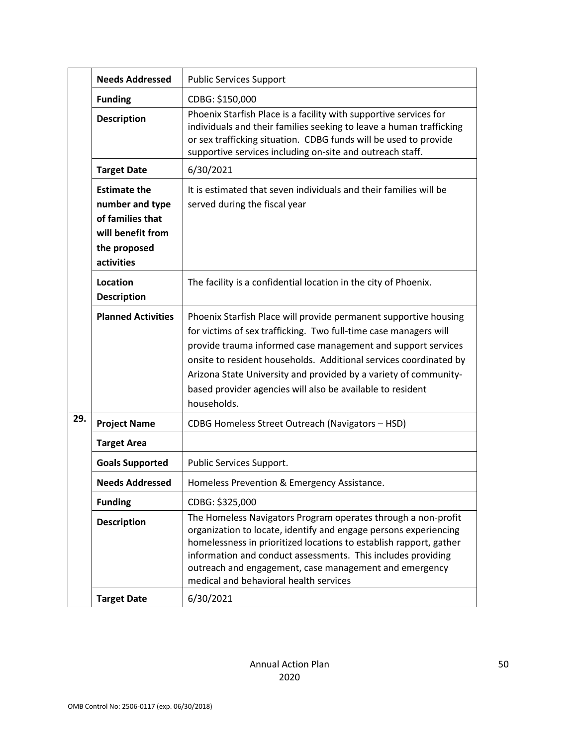|                                      | <b>Needs Addressed</b><br><b>Public Services Support</b>                                                      |                                                                                                                                                                                                                                                                                                                                                                                                                            |
|--------------------------------------|---------------------------------------------------------------------------------------------------------------|----------------------------------------------------------------------------------------------------------------------------------------------------------------------------------------------------------------------------------------------------------------------------------------------------------------------------------------------------------------------------------------------------------------------------|
| <b>Funding</b><br><b>Description</b> |                                                                                                               | CDBG: \$150,000                                                                                                                                                                                                                                                                                                                                                                                                            |
|                                      |                                                                                                               | Phoenix Starfish Place is a facility with supportive services for<br>individuals and their families seeking to leave a human trafficking<br>or sex trafficking situation. CDBG funds will be used to provide<br>supportive services including on-site and outreach staff.                                                                                                                                                  |
|                                      | <b>Target Date</b>                                                                                            | 6/30/2021                                                                                                                                                                                                                                                                                                                                                                                                                  |
|                                      | <b>Estimate the</b><br>number and type<br>of families that<br>will benefit from<br>the proposed<br>activities | It is estimated that seven individuals and their families will be<br>served during the fiscal year                                                                                                                                                                                                                                                                                                                         |
| Location<br><b>Description</b>       |                                                                                                               | The facility is a confidential location in the city of Phoenix.                                                                                                                                                                                                                                                                                                                                                            |
|                                      | <b>Planned Activities</b>                                                                                     | Phoenix Starfish Place will provide permanent supportive housing<br>for victims of sex trafficking. Two full-time case managers will<br>provide trauma informed case management and support services<br>onsite to resident households. Additional services coordinated by<br>Arizona State University and provided by a variety of community-<br>based provider agencies will also be available to resident<br>households. |
| 29.                                  | <b>Project Name</b>                                                                                           | CDBG Homeless Street Outreach (Navigators - HSD)                                                                                                                                                                                                                                                                                                                                                                           |
|                                      | <b>Target Area</b>                                                                                            |                                                                                                                                                                                                                                                                                                                                                                                                                            |
|                                      | <b>Goals Supported</b>                                                                                        | Public Services Support.                                                                                                                                                                                                                                                                                                                                                                                                   |
|                                      | <b>Needs Addressed</b>                                                                                        | Homeless Prevention & Emergency Assistance.                                                                                                                                                                                                                                                                                                                                                                                |
|                                      | <b>Funding</b>                                                                                                | CDBG: \$325,000                                                                                                                                                                                                                                                                                                                                                                                                            |
|                                      | <b>Description</b>                                                                                            | The Homeless Navigators Program operates through a non-profit<br>organization to locate, identify and engage persons experiencing<br>homelessness in prioritized locations to establish rapport, gather<br>information and conduct assessments. This includes providing<br>outreach and engagement, case management and emergency<br>medical and behavioral health services                                                |
|                                      | <b>Target Date</b>                                                                                            | 6/30/2021                                                                                                                                                                                                                                                                                                                                                                                                                  |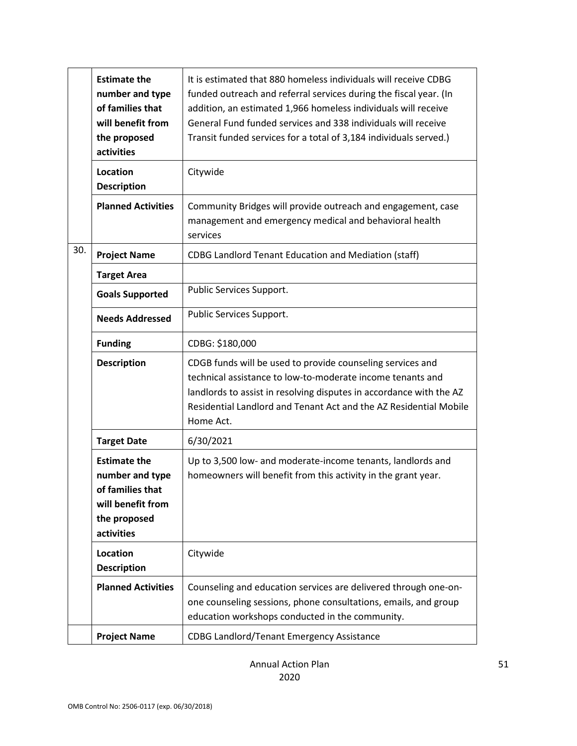|     | <b>Estimate the</b><br>number and type<br>of families that<br>will benefit from<br>the proposed<br>activities | It is estimated that 880 homeless individuals will receive CDBG<br>funded outreach and referral services during the fiscal year. (In<br>addition, an estimated 1,966 homeless individuals will receive<br>General Fund funded services and 338 individuals will receive<br>Transit funded services for a total of 3,184 individuals served.) |
|-----|---------------------------------------------------------------------------------------------------------------|----------------------------------------------------------------------------------------------------------------------------------------------------------------------------------------------------------------------------------------------------------------------------------------------------------------------------------------------|
|     | Location<br><b>Description</b>                                                                                | Citywide                                                                                                                                                                                                                                                                                                                                     |
|     | <b>Planned Activities</b>                                                                                     | Community Bridges will provide outreach and engagement, case<br>management and emergency medical and behavioral health<br>services                                                                                                                                                                                                           |
| 30. | <b>Project Name</b>                                                                                           | <b>CDBG Landlord Tenant Education and Mediation (staff)</b>                                                                                                                                                                                                                                                                                  |
|     | <b>Target Area</b>                                                                                            |                                                                                                                                                                                                                                                                                                                                              |
|     | <b>Goals Supported</b>                                                                                        | Public Services Support.                                                                                                                                                                                                                                                                                                                     |
|     | <b>Needs Addressed</b>                                                                                        | Public Services Support.                                                                                                                                                                                                                                                                                                                     |
|     | <b>Funding</b>                                                                                                | CDBG: \$180,000                                                                                                                                                                                                                                                                                                                              |
|     | <b>Description</b>                                                                                            | CDGB funds will be used to provide counseling services and                                                                                                                                                                                                                                                                                   |
|     |                                                                                                               | technical assistance to low-to-moderate income tenants and<br>landlords to assist in resolving disputes in accordance with the AZ<br>Residential Landlord and Tenant Act and the AZ Residential Mobile<br>Home Act.                                                                                                                          |
|     | <b>Target Date</b>                                                                                            | 6/30/2021                                                                                                                                                                                                                                                                                                                                    |
|     | <b>Estimate the</b><br>number and type<br>of families that<br>will benefit from<br>the proposed<br>activities | Up to 3,500 low- and moderate-income tenants, landlords and<br>homeowners will benefit from this activity in the grant year.                                                                                                                                                                                                                 |
|     | Location<br><b>Description</b>                                                                                | Citywide                                                                                                                                                                                                                                                                                                                                     |
|     | <b>Planned Activities</b>                                                                                     | Counseling and education services are delivered through one-on-<br>one counseling sessions, phone consultations, emails, and group<br>education workshops conducted in the community.                                                                                                                                                        |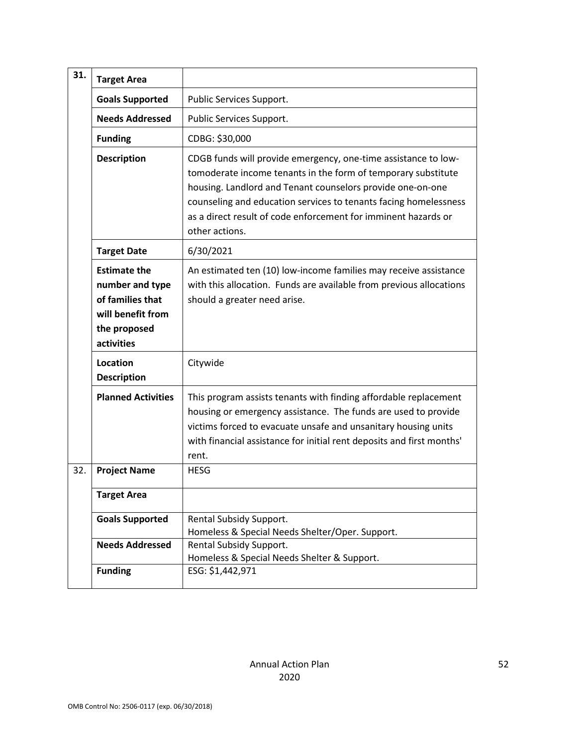| 31. | <b>Target Area</b>                                                                                            |                                                                                                                                                                                                                                                                                                                                                       |
|-----|---------------------------------------------------------------------------------------------------------------|-------------------------------------------------------------------------------------------------------------------------------------------------------------------------------------------------------------------------------------------------------------------------------------------------------------------------------------------------------|
|     | <b>Goals Supported</b>                                                                                        | Public Services Support.                                                                                                                                                                                                                                                                                                                              |
|     | <b>Needs Addressed</b>                                                                                        | Public Services Support.                                                                                                                                                                                                                                                                                                                              |
|     | <b>Funding</b>                                                                                                | CDBG: \$30,000                                                                                                                                                                                                                                                                                                                                        |
|     | <b>Description</b>                                                                                            | CDGB funds will provide emergency, one-time assistance to low-<br>tomoderate income tenants in the form of temporary substitute<br>housing. Landlord and Tenant counselors provide one-on-one<br>counseling and education services to tenants facing homelessness<br>as a direct result of code enforcement for imminent hazards or<br>other actions. |
|     | <b>Target Date</b>                                                                                            | 6/30/2021                                                                                                                                                                                                                                                                                                                                             |
|     | <b>Estimate the</b><br>number and type<br>of families that<br>will benefit from<br>the proposed<br>activities | An estimated ten (10) low-income families may receive assistance<br>with this allocation. Funds are available from previous allocations<br>should a greater need arise.                                                                                                                                                                               |
|     | Location<br><b>Description</b>                                                                                | Citywide                                                                                                                                                                                                                                                                                                                                              |
|     | <b>Planned Activities</b>                                                                                     | This program assists tenants with finding affordable replacement<br>housing or emergency assistance. The funds are used to provide<br>victims forced to evacuate unsafe and unsanitary housing units<br>with financial assistance for initial rent deposits and first months'<br>rent.                                                                |
| 32. | <b>Project Name</b>                                                                                           | <b>HESG</b>                                                                                                                                                                                                                                                                                                                                           |
|     | <b>Target Area</b>                                                                                            |                                                                                                                                                                                                                                                                                                                                                       |
|     | <b>Goals Supported</b>                                                                                        | Rental Subsidy Support.<br>Homeless & Special Needs Shelter/Oper. Support.                                                                                                                                                                                                                                                                            |
|     | <b>Needs Addressed</b>                                                                                        | Rental Subsidy Support.<br>Homeless & Special Needs Shelter & Support.                                                                                                                                                                                                                                                                                |
|     | <b>Funding</b>                                                                                                | ESG: \$1,442,971                                                                                                                                                                                                                                                                                                                                      |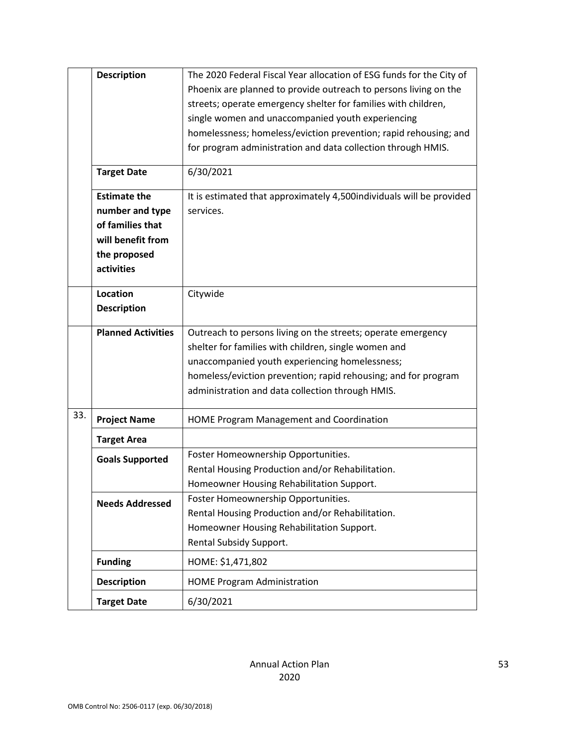|     | <b>Description</b>        | The 2020 Federal Fiscal Year allocation of ESG funds for the City of |
|-----|---------------------------|----------------------------------------------------------------------|
|     |                           | Phoenix are planned to provide outreach to persons living on the     |
|     |                           | streets; operate emergency shelter for families with children,       |
|     |                           | single women and unaccompanied youth experiencing                    |
|     |                           | homelessness; homeless/eviction prevention; rapid rehousing; and     |
|     |                           | for program administration and data collection through HMIS.         |
|     |                           |                                                                      |
|     | <b>Target Date</b>        | 6/30/2021                                                            |
|     | <b>Estimate the</b>       | It is estimated that approximately 4,500individuals will be provided |
|     | number and type           | services.                                                            |
|     | of families that          |                                                                      |
|     | will benefit from         |                                                                      |
|     | the proposed              |                                                                      |
|     | activities                |                                                                      |
|     |                           |                                                                      |
|     | Location                  | Citywide                                                             |
|     | <b>Description</b>        |                                                                      |
|     | <b>Planned Activities</b> | Outreach to persons living on the streets; operate emergency         |
|     |                           | shelter for families with children, single women and                 |
|     |                           | unaccompanied youth experiencing homelessness;                       |
|     |                           | homeless/eviction prevention; rapid rehousing; and for program       |
|     |                           | administration and data collection through HMIS.                     |
| 33. | <b>Project Name</b>       | HOME Program Management and Coordination                             |
|     | <b>Target Area</b>        |                                                                      |
|     | <b>Goals Supported</b>    | Foster Homeownership Opportunities.                                  |
|     |                           | Rental Housing Production and/or Rehabilitation.                     |
|     |                           | Homeowner Housing Rehabilitation Support.                            |
|     | <b>Needs Addressed</b>    | Foster Homeownership Opportunities.                                  |
|     |                           | Rental Housing Production and/or Rehabilitation.                     |
|     |                           | Homeowner Housing Rehabilitation Support.                            |
|     |                           | Rental Subsidy Support.                                              |
|     | <b>Funding</b>            | HOME: \$1,471,802                                                    |
|     | <b>Description</b>        | <b>HOME Program Administration</b>                                   |
|     | <b>Target Date</b>        | 6/30/2021                                                            |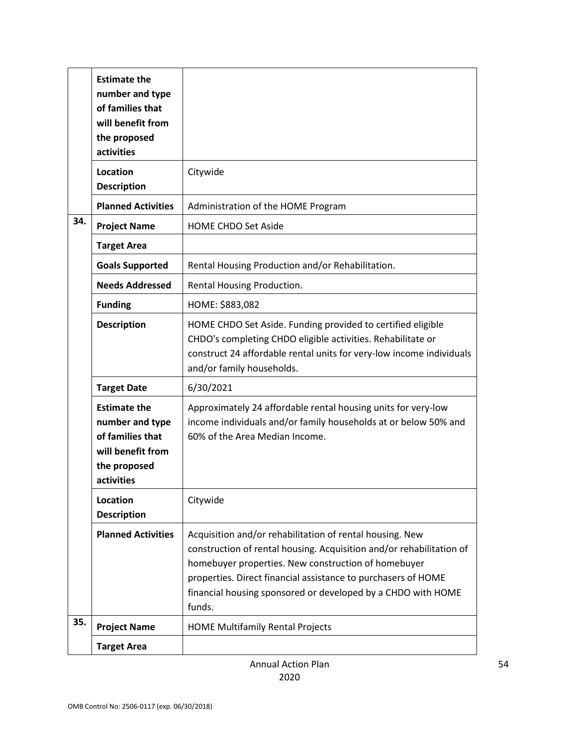|     | <b>Estimate the</b><br>number and type<br>of families that<br>will benefit from<br>the proposed<br>activities |                                                                                                                                                                                                                                                                                                                                    |
|-----|---------------------------------------------------------------------------------------------------------------|------------------------------------------------------------------------------------------------------------------------------------------------------------------------------------------------------------------------------------------------------------------------------------------------------------------------------------|
|     | <b>Location</b><br><b>Description</b>                                                                         | Citywide                                                                                                                                                                                                                                                                                                                           |
|     | <b>Planned Activities</b>                                                                                     | Administration of the HOME Program                                                                                                                                                                                                                                                                                                 |
| 34. | <b>Project Name</b>                                                                                           | <b>HOME CHDO Set Aside</b>                                                                                                                                                                                                                                                                                                         |
|     | <b>Target Area</b>                                                                                            |                                                                                                                                                                                                                                                                                                                                    |
|     | <b>Goals Supported</b>                                                                                        | Rental Housing Production and/or Rehabilitation.                                                                                                                                                                                                                                                                                   |
|     | <b>Needs Addressed</b>                                                                                        | Rental Housing Production.                                                                                                                                                                                                                                                                                                         |
|     | <b>Funding</b>                                                                                                | HOME: \$883,082                                                                                                                                                                                                                                                                                                                    |
|     | <b>Description</b>                                                                                            | HOME CHDO Set Aside. Funding provided to certified eligible<br>CHDO's completing CHDO eligible activities. Rehabilitate or<br>construct 24 affordable rental units for very-low income individuals<br>and/or family households.                                                                                                    |
|     | <b>Target Date</b>                                                                                            | 6/30/2021                                                                                                                                                                                                                                                                                                                          |
|     | <b>Estimate the</b><br>number and type<br>of families that<br>will benefit from<br>the proposed<br>activities | Approximately 24 affordable rental housing units for very-low<br>income individuals and/or family households at or below 50% and<br>60% of the Area Median Income.                                                                                                                                                                 |
|     | Location<br><b>Description</b>                                                                                | Citywide                                                                                                                                                                                                                                                                                                                           |
|     | <b>Planned Activities</b>                                                                                     | Acquisition and/or rehabilitation of rental housing. New<br>construction of rental housing. Acquisition and/or rehabilitation of<br>homebuyer properties. New construction of homebuyer<br>properties. Direct financial assistance to purchasers of HOME<br>financial housing sponsored or developed by a CHDO with HOME<br>funds. |
| 35. | <b>Project Name</b>                                                                                           | <b>HOME Multifamily Rental Projects</b>                                                                                                                                                                                                                                                                                            |
|     | <b>Target Area</b>                                                                                            |                                                                                                                                                                                                                                                                                                                                    |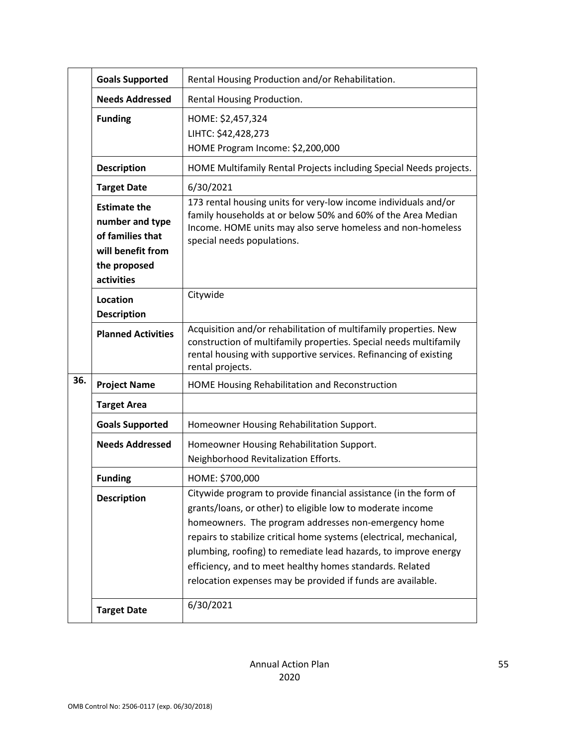|                                            | <b>Goals Supported</b>                                                                                        | Rental Housing Production and/or Rehabilitation.                                                                                                                                                                                                                                                                                                                                                                                                            |  |
|--------------------------------------------|---------------------------------------------------------------------------------------------------------------|-------------------------------------------------------------------------------------------------------------------------------------------------------------------------------------------------------------------------------------------------------------------------------------------------------------------------------------------------------------------------------------------------------------------------------------------------------------|--|
|                                            | <b>Needs Addressed</b>                                                                                        | Rental Housing Production.                                                                                                                                                                                                                                                                                                                                                                                                                                  |  |
|                                            | <b>Funding</b>                                                                                                | HOME: \$2,457,324<br>LIHTC: \$42,428,273<br>HOME Program Income: \$2,200,000                                                                                                                                                                                                                                                                                                                                                                                |  |
|                                            | <b>Description</b>                                                                                            | HOME Multifamily Rental Projects including Special Needs projects.                                                                                                                                                                                                                                                                                                                                                                                          |  |
|                                            | <b>Target Date</b>                                                                                            | 6/30/2021                                                                                                                                                                                                                                                                                                                                                                                                                                                   |  |
|                                            | <b>Estimate the</b><br>number and type<br>of families that<br>will benefit from<br>the proposed<br>activities | 173 rental housing units for very-low income individuals and/or<br>family households at or below 50% and 60% of the Area Median<br>Income. HOME units may also serve homeless and non-homeless<br>special needs populations.                                                                                                                                                                                                                                |  |
| Citywide<br>Location<br><b>Description</b> |                                                                                                               |                                                                                                                                                                                                                                                                                                                                                                                                                                                             |  |
|                                            | <b>Planned Activities</b>                                                                                     | Acquisition and/or rehabilitation of multifamily properties. New<br>construction of multifamily properties. Special needs multifamily<br>rental housing with supportive services. Refinancing of existing<br>rental projects.                                                                                                                                                                                                                               |  |
| 36.                                        | <b>Project Name</b>                                                                                           | HOME Housing Rehabilitation and Reconstruction                                                                                                                                                                                                                                                                                                                                                                                                              |  |
|                                            | <b>Target Area</b>                                                                                            |                                                                                                                                                                                                                                                                                                                                                                                                                                                             |  |
|                                            | <b>Goals Supported</b>                                                                                        | Homeowner Housing Rehabilitation Support.                                                                                                                                                                                                                                                                                                                                                                                                                   |  |
|                                            | <b>Needs Addressed</b>                                                                                        | Homeowner Housing Rehabilitation Support.<br>Neighborhood Revitalization Efforts.                                                                                                                                                                                                                                                                                                                                                                           |  |
|                                            | <b>Funding</b>                                                                                                | HOME: \$700,000                                                                                                                                                                                                                                                                                                                                                                                                                                             |  |
|                                            | <b>Description</b>                                                                                            | Citywide program to provide financial assistance (in the form of<br>grants/loans, or other) to eligible low to moderate income<br>homeowners. The program addresses non-emergency home<br>repairs to stabilize critical home systems (electrical, mechanical,<br>plumbing, roofing) to remediate lead hazards, to improve energy<br>efficiency, and to meet healthy homes standards. Related<br>relocation expenses may be provided if funds are available. |  |
|                                            | <b>Target Date</b>                                                                                            | 6/30/2021                                                                                                                                                                                                                                                                                                                                                                                                                                                   |  |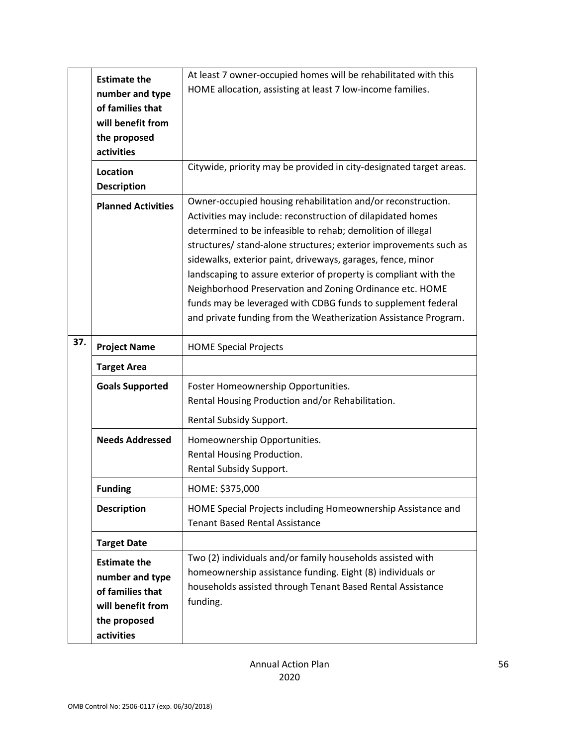|     | <b>Estimate the</b>       | At least 7 owner-occupied homes will be rehabilitated with this     |
|-----|---------------------------|---------------------------------------------------------------------|
|     |                           | HOME allocation, assisting at least 7 low-income families.          |
|     | number and type           |                                                                     |
|     | of families that          |                                                                     |
|     | will benefit from         |                                                                     |
|     | the proposed              |                                                                     |
|     | activities                |                                                                     |
|     | Location                  | Citywide, priority may be provided in city-designated target areas. |
|     | <b>Description</b>        |                                                                     |
|     | <b>Planned Activities</b> | Owner-occupied housing rehabilitation and/or reconstruction.        |
|     |                           | Activities may include: reconstruction of dilapidated homes         |
|     |                           | determined to be infeasible to rehab; demolition of illegal         |
|     |                           | structures/ stand-alone structures; exterior improvements such as   |
|     |                           | sidewalks, exterior paint, driveways, garages, fence, minor         |
|     |                           | landscaping to assure exterior of property is compliant with the    |
|     |                           | Neighborhood Preservation and Zoning Ordinance etc. HOME            |
|     |                           | funds may be leveraged with CDBG funds to supplement federal        |
|     |                           | and private funding from the Weatherization Assistance Program.     |
|     |                           |                                                                     |
| 37. | <b>Project Name</b>       | <b>HOME Special Projects</b>                                        |
|     | <b>Target Area</b>        |                                                                     |
|     | <b>Goals Supported</b>    | Foster Homeownership Opportunities.                                 |
|     |                           | Rental Housing Production and/or Rehabilitation.                    |
|     |                           |                                                                     |
|     |                           | Rental Subsidy Support.                                             |
|     | <b>Needs Addressed</b>    | Homeownership Opportunities.                                        |
|     |                           | Rental Housing Production.                                          |
|     |                           | Rental Subsidy Support.                                             |
|     | <b>Funding</b>            | HOME: \$375,000                                                     |
|     | <b>Description</b>        | HOME Special Projects including Homeownership Assistance and        |
|     |                           | <b>Tenant Based Rental Assistance</b>                               |
|     | <b>Target Date</b>        |                                                                     |
|     |                           | Two (2) individuals and/or family households assisted with          |
|     | <b>Estimate the</b>       | homeownership assistance funding. Eight (8) individuals or          |
|     | number and type           | households assisted through Tenant Based Rental Assistance          |
|     | of families that          |                                                                     |
|     | will benefit from         | funding.                                                            |
|     | the proposed              |                                                                     |
|     | activities                |                                                                     |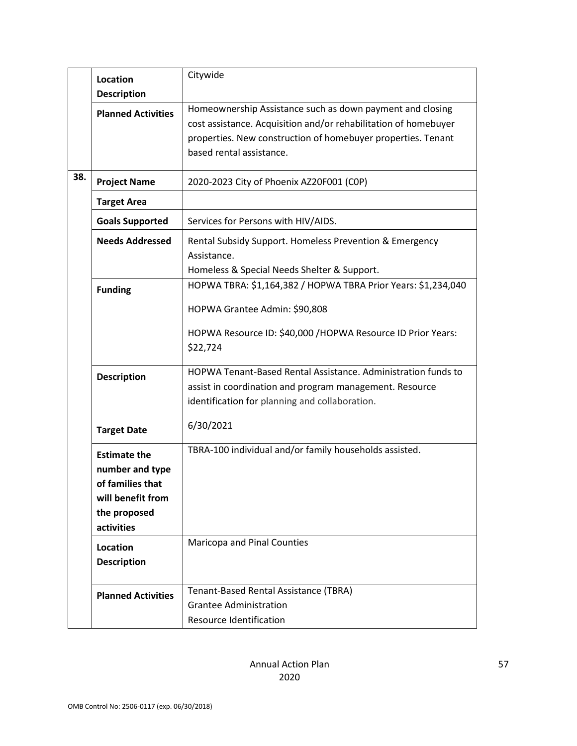|     | <b>Location</b>           | Citywide                                                        |  |
|-----|---------------------------|-----------------------------------------------------------------|--|
|     | <b>Description</b>        |                                                                 |  |
|     | <b>Planned Activities</b> | Homeownership Assistance such as down payment and closing       |  |
|     |                           | cost assistance. Acquisition and/or rehabilitation of homebuyer |  |
|     |                           | properties. New construction of homebuyer properties. Tenant    |  |
|     |                           | based rental assistance.                                        |  |
|     |                           |                                                                 |  |
| 38. | <b>Project Name</b>       | 2020-2023 City of Phoenix AZ20F001 (COP)                        |  |
|     | <b>Target Area</b>        |                                                                 |  |
|     | <b>Goals Supported</b>    | Services for Persons with HIV/AIDS.                             |  |
|     | <b>Needs Addressed</b>    | Rental Subsidy Support. Homeless Prevention & Emergency         |  |
|     |                           | Assistance.                                                     |  |
|     |                           | Homeless & Special Needs Shelter & Support.                     |  |
|     |                           | HOPWA TBRA: \$1,164,382 / HOPWA TBRA Prior Years: \$1,234,040   |  |
|     | <b>Funding</b>            |                                                                 |  |
|     |                           | HOPWA Grantee Admin: \$90,808                                   |  |
|     |                           | HOPWA Resource ID: \$40,000 /HOPWA Resource ID Prior Years:     |  |
|     |                           |                                                                 |  |
|     |                           | \$22,724                                                        |  |
|     |                           | HOPWA Tenant-Based Rental Assistance, Administration funds to   |  |
|     | <b>Description</b>        | assist in coordination and program management. Resource         |  |
|     |                           | identification for planning and collaboration.                  |  |
|     |                           |                                                                 |  |
|     | <b>Target Date</b>        | 6/30/2021                                                       |  |
|     |                           |                                                                 |  |
|     | <b>Estimate the</b>       | TBRA-100 individual and/or family households assisted.          |  |
|     | number and type           |                                                                 |  |
|     | of families that          |                                                                 |  |
|     | will benefit from         |                                                                 |  |
|     | the proposed              |                                                                 |  |
|     | activities                |                                                                 |  |
|     | Location                  | Maricopa and Pinal Counties                                     |  |
|     | <b>Description</b>        |                                                                 |  |
|     |                           |                                                                 |  |
|     |                           | Tenant-Based Rental Assistance (TBRA)                           |  |
|     | <b>Planned Activities</b> | <b>Grantee Administration</b>                                   |  |
|     |                           | Resource Identification                                         |  |
|     |                           |                                                                 |  |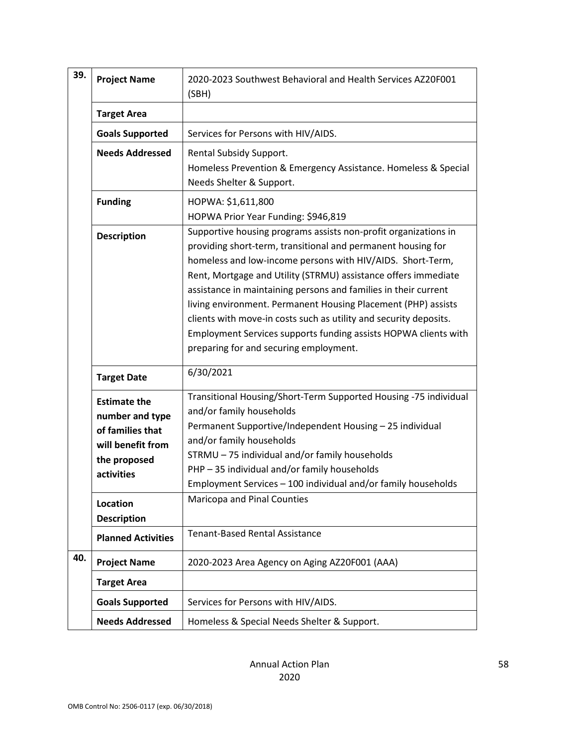| 39. | <b>Project Name</b>                                                                                           | 2020-2023 Southwest Behavioral and Health Services AZ20F001<br>(SBH)                                                                                                                                                                                                                                                                                                                                                                                                                                                                                                                  |
|-----|---------------------------------------------------------------------------------------------------------------|---------------------------------------------------------------------------------------------------------------------------------------------------------------------------------------------------------------------------------------------------------------------------------------------------------------------------------------------------------------------------------------------------------------------------------------------------------------------------------------------------------------------------------------------------------------------------------------|
|     | <b>Target Area</b>                                                                                            |                                                                                                                                                                                                                                                                                                                                                                                                                                                                                                                                                                                       |
|     | <b>Goals Supported</b>                                                                                        | Services for Persons with HIV/AIDS.                                                                                                                                                                                                                                                                                                                                                                                                                                                                                                                                                   |
|     | <b>Needs Addressed</b>                                                                                        | Rental Subsidy Support.<br>Homeless Prevention & Emergency Assistance. Homeless & Special<br>Needs Shelter & Support.                                                                                                                                                                                                                                                                                                                                                                                                                                                                 |
|     | <b>Funding</b>                                                                                                | HOPWA: \$1,611,800<br>HOPWA Prior Year Funding: \$946,819                                                                                                                                                                                                                                                                                                                                                                                                                                                                                                                             |
|     | <b>Description</b>                                                                                            | Supportive housing programs assists non-profit organizations in<br>providing short-term, transitional and permanent housing for<br>homeless and low-income persons with HIV/AIDS. Short-Term,<br>Rent, Mortgage and Utility (STRMU) assistance offers immediate<br>assistance in maintaining persons and families in their current<br>living environment. Permanent Housing Placement (PHP) assists<br>clients with move-in costs such as utility and security deposits.<br>Employment Services supports funding assists HOPWA clients with<br>preparing for and securing employment. |
|     | <b>Target Date</b>                                                                                            | 6/30/2021                                                                                                                                                                                                                                                                                                                                                                                                                                                                                                                                                                             |
|     | <b>Estimate the</b><br>number and type<br>of families that<br>will benefit from<br>the proposed<br>activities | Transitional Housing/Short-Term Supported Housing -75 individual<br>and/or family households<br>Permanent Supportive/Independent Housing - 25 individual<br>and/or family households<br>STRMU - 75 individual and/or family households<br>PHP-35 individual and/or family households<br>Employment Services - 100 individual and/or family households                                                                                                                                                                                                                                 |
|     | <b>Location</b><br><b>Description</b>                                                                         | Maricopa and Pinal Counties                                                                                                                                                                                                                                                                                                                                                                                                                                                                                                                                                           |
|     | <b>Planned Activities</b>                                                                                     | <b>Tenant-Based Rental Assistance</b>                                                                                                                                                                                                                                                                                                                                                                                                                                                                                                                                                 |
| 40. | <b>Project Name</b>                                                                                           | 2020-2023 Area Agency on Aging AZ20F001 (AAA)                                                                                                                                                                                                                                                                                                                                                                                                                                                                                                                                         |
|     | <b>Target Area</b>                                                                                            |                                                                                                                                                                                                                                                                                                                                                                                                                                                                                                                                                                                       |
|     | <b>Goals Supported</b>                                                                                        | Services for Persons with HIV/AIDS.                                                                                                                                                                                                                                                                                                                                                                                                                                                                                                                                                   |
|     | <b>Needs Addressed</b>                                                                                        | Homeless & Special Needs Shelter & Support.                                                                                                                                                                                                                                                                                                                                                                                                                                                                                                                                           |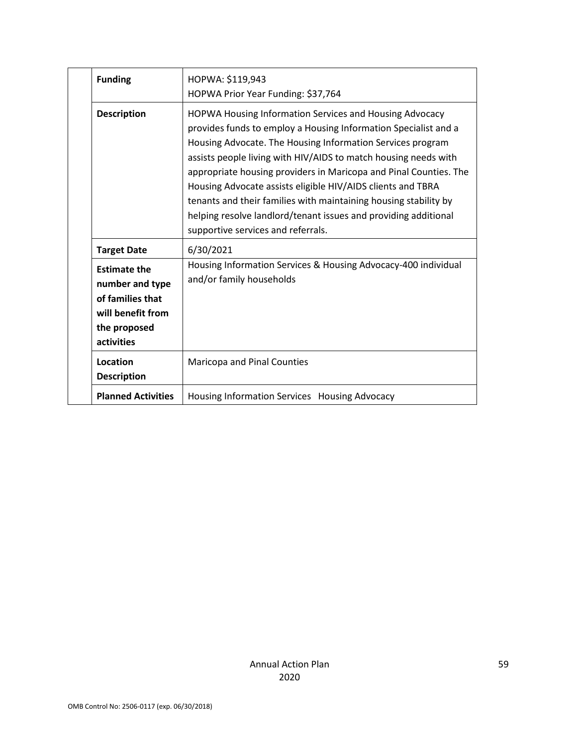| <b>Funding</b>                                                                                                | HOPWA: \$119,943<br>HOPWA Prior Year Funding: \$37,764                                                                                                                                                                                                                                                                                                                                                                                                                                                                                                                       |
|---------------------------------------------------------------------------------------------------------------|------------------------------------------------------------------------------------------------------------------------------------------------------------------------------------------------------------------------------------------------------------------------------------------------------------------------------------------------------------------------------------------------------------------------------------------------------------------------------------------------------------------------------------------------------------------------------|
| <b>Description</b>                                                                                            | HOPWA Housing Information Services and Housing Advocacy<br>provides funds to employ a Housing Information Specialist and a<br>Housing Advocate. The Housing Information Services program<br>assists people living with HIV/AIDS to match housing needs with<br>appropriate housing providers in Maricopa and Pinal Counties. The<br>Housing Advocate assists eligible HIV/AIDS clients and TBRA<br>tenants and their families with maintaining housing stability by<br>helping resolve landlord/tenant issues and providing additional<br>supportive services and referrals. |
| <b>Target Date</b>                                                                                            | 6/30/2021                                                                                                                                                                                                                                                                                                                                                                                                                                                                                                                                                                    |
| <b>Estimate the</b><br>number and type<br>of families that<br>will benefit from<br>the proposed<br>activities | Housing Information Services & Housing Advocacy-400 individual<br>and/or family households                                                                                                                                                                                                                                                                                                                                                                                                                                                                                   |
| Location<br><b>Description</b>                                                                                | <b>Maricopa and Pinal Counties</b>                                                                                                                                                                                                                                                                                                                                                                                                                                                                                                                                           |
| <b>Planned Activities</b>                                                                                     | Housing Information Services Housing Advocacy                                                                                                                                                                                                                                                                                                                                                                                                                                                                                                                                |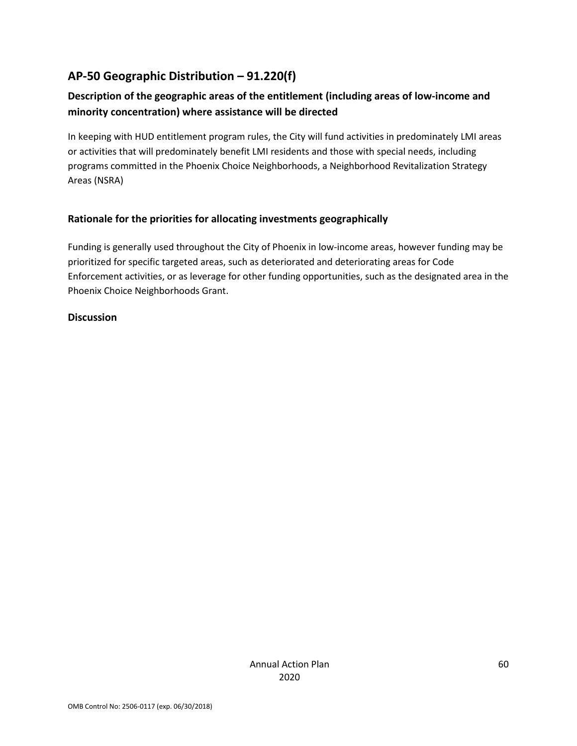# **AP-50 Geographic Distribution – 91.220(f)**

# **Description of the geographic areas of the entitlement (including areas of low-income and minority concentration) where assistance will be directed**

In keeping with HUD entitlement program rules, the City will fund activities in predominately LMI areas or activities that will predominately benefit LMI residents and those with special needs, including programs committed in the Phoenix Choice Neighborhoods, a Neighborhood Revitalization Strategy Areas (NSRA)

#### **Rationale for the priorities for allocating investments geographically**

Funding is generally used throughout the City of Phoenix in low-income areas, however funding may be prioritized for specific targeted areas, such as deteriorated and deteriorating areas for Code Enforcement activities, or as leverage for other funding opportunities, such as the designated area in the Phoenix Choice Neighborhoods Grant.

#### **Discussion**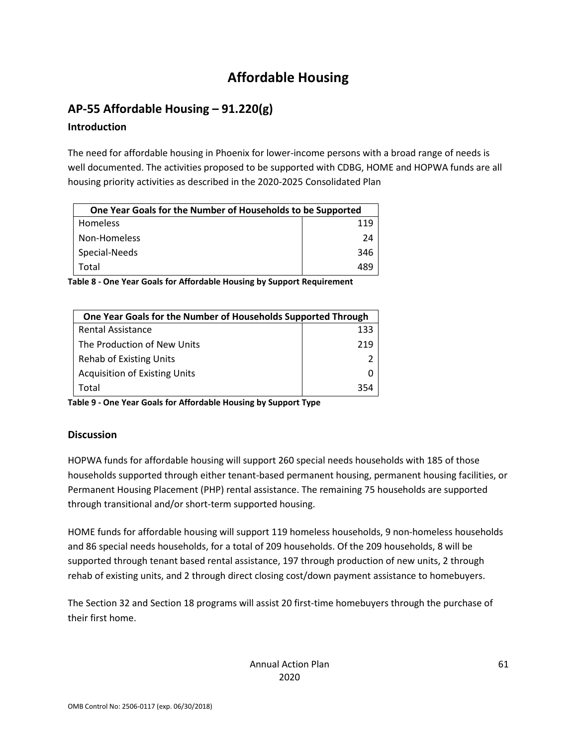# **Affordable Housing**

# **AP-55 Affordable Housing – 91.220(g)**

### **Introduction**

The need for affordable housing in Phoenix for lower-income persons with a broad range of needs is well documented. The activities proposed to be supported with CDBG, HOME and HOPWA funds are all housing priority activities as described in the 2020-2025 Consolidated Plan

| One Year Goals for the Number of Households to be Supported |     |  |
|-------------------------------------------------------------|-----|--|
| <b>Homeless</b>                                             | 119 |  |
| Non-Homeless                                                | 24  |  |
| Special-Needs                                               | 346 |  |
| Total                                                       | 489 |  |

**Table 8 - One Year Goals for Affordable Housing by Support Requirement**

| One Year Goals for the Number of Households Supported Through |     |
|---------------------------------------------------------------|-----|
| <b>Rental Assistance</b>                                      | 133 |
| The Production of New Units                                   | 219 |
| Rehab of Existing Units                                       |     |
| <b>Acquisition of Existing Units</b>                          |     |
| Total                                                         | 354 |

**Table 9 - One Year Goals for Affordable Housing by Support Type**

### **Discussion**

HOPWA funds for affordable housing will support 260 special needs households with 185 of those households supported through either tenant-based permanent housing, permanent housing facilities, or Permanent Housing Placement (PHP) rental assistance. The remaining 75 households are supported through transitional and/or short-term supported housing.

HOME funds for affordable housing will support 119 homeless households, 9 non-homeless households and 86 special needs households, for a total of 209 households. Of the 209 households, 8 will be supported through tenant based rental assistance, 197 through production of new units, 2 through rehab of existing units, and 2 through direct closing cost/down payment assistance to homebuyers.

The Section 32 and Section 18 programs will assist 20 first-time homebuyers through the purchase of their first home.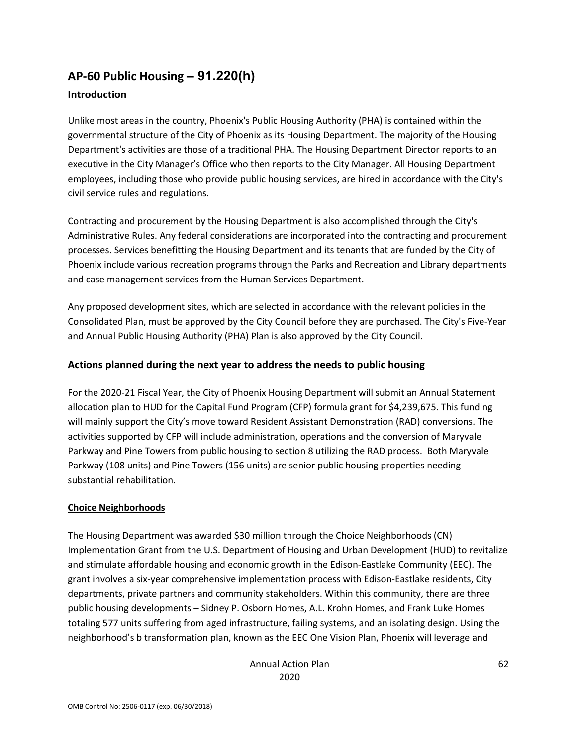# **AP-60 Public Housing** *–* **91.220(h)**

### **Introduction**

Unlike most areas in the country, Phoenix's Public Housing Authority (PHA) is contained within the governmental structure of the City of Phoenix as its Housing Department. The majority of the Housing Department's activities are those of a traditional PHA. The Housing Department Director reports to an executive in the City Manager's Office who then reports to the City Manager. All Housing Department employees, including those who provide public housing services, are hired in accordance with the City's civil service rules and regulations.

Contracting and procurement by the Housing Department is also accomplished through the City's Administrative Rules. Any federal considerations are incorporated into the contracting and procurement processes. Services benefitting the Housing Department and its tenants that are funded by the City of Phoenix include various recreation programs through the Parks and Recreation and Library departments and case management services from the Human Services Department.

Any proposed development sites, which are selected in accordance with the relevant policies in the Consolidated Plan, must be approved by the City Council before they are purchased. The City's Five-Year and Annual Public Housing Authority (PHA) Plan is also approved by the City Council.

#### **Actions planned during the next year to address the needs to public housing**

For the 2020-21 Fiscal Year, the City of Phoenix Housing Department will submit an Annual Statement allocation plan to HUD for the Capital Fund Program (CFP) formula grant for \$4,239,675. This funding will mainly support the City's move toward Resident Assistant Demonstration (RAD) conversions. The activities supported by CFP will include administration, operations and the conversion of Maryvale Parkway and Pine Towers from public housing to section 8 utilizing the RAD process. Both Maryvale Parkway (108 units) and Pine Towers (156 units) are senior public housing properties needing substantial rehabilitation.

#### **Choice Neighborhoods**

The Housing Department was awarded \$30 million through the Choice Neighborhoods (CN) Implementation Grant from the U.S. Department of Housing and Urban Development (HUD) to revitalize and stimulate affordable housing and economic growth in the Edison-Eastlake Community (EEC). The grant involves a six-year comprehensive implementation process with Edison-Eastlake residents, City departments, private partners and community stakeholders. Within this community, there are three public housing developments – Sidney P. Osborn Homes, A.L. Krohn Homes, and Frank Luke Homes totaling 577 units suffering from aged infrastructure, failing systems, and an isolating design. Using the neighborhood's b transformation plan, known as the EEC One Vision Plan, Phoenix will leverage and

> Annual Action Plan 2020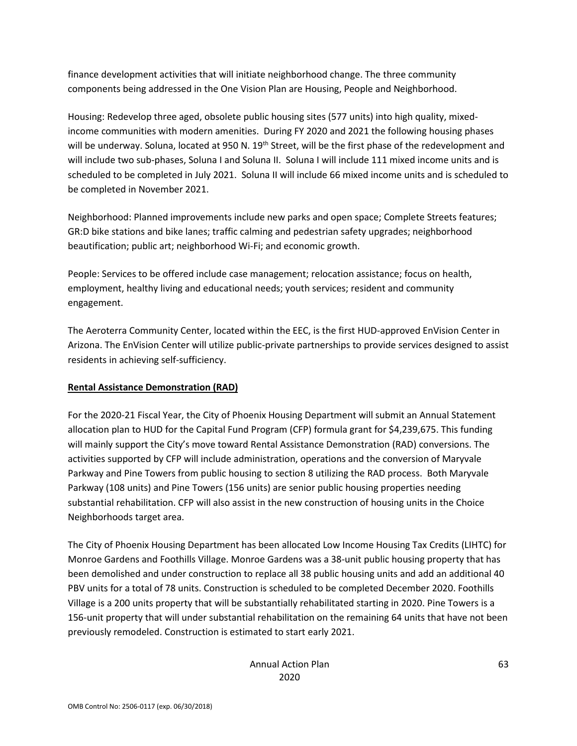finance development activities that will initiate neighborhood change. The three community components being addressed in the One Vision Plan are Housing, People and Neighborhood.

Housing: Redevelop three aged, obsolete public housing sites (577 units) into high quality, mixedincome communities with modern amenities. During FY 2020 and 2021 the following housing phases will be underway. Soluna, located at 950 N. 19<sup>th</sup> Street, will be the first phase of the redevelopment and will include two sub-phases, Soluna I and Soluna II. Soluna I will include 111 mixed income units and is scheduled to be completed in July 2021. Soluna II will include 66 mixed income units and is scheduled to be completed in November 2021.

Neighborhood: Planned improvements include new parks and open space; Complete Streets features; GR:D bike stations and bike lanes; traffic calming and pedestrian safety upgrades; neighborhood beautification; public art; neighborhood Wi-Fi; and economic growth.

People: Services to be offered include case management; relocation assistance; focus on health, employment, healthy living and educational needs; youth services; resident and community engagement.

The Aeroterra Community Center, located within the EEC, is the first HUD-approved EnVision Center in Arizona. The EnVision Center will utilize public-private partnerships to provide services designed to assist residents in achieving self-sufficiency.

#### **Rental Assistance Demonstration (RAD)**

For the 2020-21 Fiscal Year, the City of Phoenix Housing Department will submit an Annual Statement allocation plan to HUD for the Capital Fund Program (CFP) formula grant for \$4,239,675. This funding will mainly support the City's move toward Rental Assistance Demonstration (RAD) conversions. The activities supported by CFP will include administration, operations and the conversion of Maryvale Parkway and Pine Towers from public housing to section 8 utilizing the RAD process. Both Maryvale Parkway (108 units) and Pine Towers (156 units) are senior public housing properties needing substantial rehabilitation. CFP will also assist in the new construction of housing units in the Choice Neighborhoods target area.

The City of Phoenix Housing Department has been allocated Low Income Housing Tax Credits (LIHTC) for Monroe Gardens and Foothills Village. Monroe Gardens was a 38-unit public housing property that has been demolished and under construction to replace all 38 public housing units and add an additional 40 PBV units for a total of 78 units. Construction is scheduled to be completed December 2020. Foothills Village is a 200 units property that will be substantially rehabilitated starting in 2020. Pine Towers is a 156-unit property that will under substantial rehabilitation on the remaining 64 units that have not been previously remodeled. Construction is estimated to start early 2021.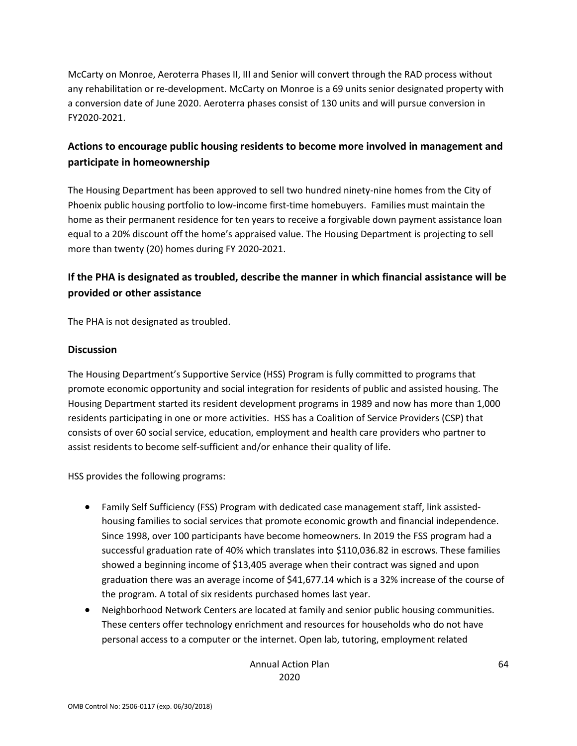McCarty on Monroe, Aeroterra Phases II, III and Senior will convert through the RAD process without any rehabilitation or re-development. McCarty on Monroe is a 69 units senior designated property with a conversion date of June 2020. Aeroterra phases consist of 130 units and will pursue conversion in FY2020-2021.

## **Actions to encourage public housing residents to become more involved in management and participate in homeownership**

The Housing Department has been approved to sell two hundred ninety-nine homes from the City of Phoenix public housing portfolio to low-income first-time homebuyers. Families must maintain the home as their permanent residence for ten years to receive a forgivable down payment assistance loan equal to a 20% discount off the home's appraised value. The Housing Department is projecting to sell more than twenty (20) homes during FY 2020-2021.

# **If the PHA is designated as troubled, describe the manner in which financial assistance will be provided or other assistance**

The PHA is not designated as troubled.

#### **Discussion**

The Housing Department's Supportive Service (HSS) Program is fully committed to programs that promote economic opportunity and social integration for residents of public and assisted housing. The Housing Department started its resident development programs in 1989 and now has more than 1,000 residents participating in one or more activities. HSS has a Coalition of Service Providers (CSP) that consists of over 60 social service, education, employment and health care providers who partner to assist residents to become self-sufficient and/or enhance their quality of life.

HSS provides the following programs:

- Family Self Sufficiency (FSS) Program with dedicated case management staff, link assistedhousing families to social services that promote economic growth and financial independence. Since 1998, over 100 participants have become homeowners. In 2019 the FSS program had a successful graduation rate of 40% which translates into \$110,036.82 in escrows. These families showed a beginning income of \$13,405 average when their contract was signed and upon graduation there was an average income of \$41,677.14 which is a 32% increase of the course of the program. A total of six residents purchased homes last year.
- Neighborhood Network Centers are located at family and senior public housing communities. These centers offer technology enrichment and resources for households who do not have personal access to a computer or the internet. Open lab, tutoring, employment related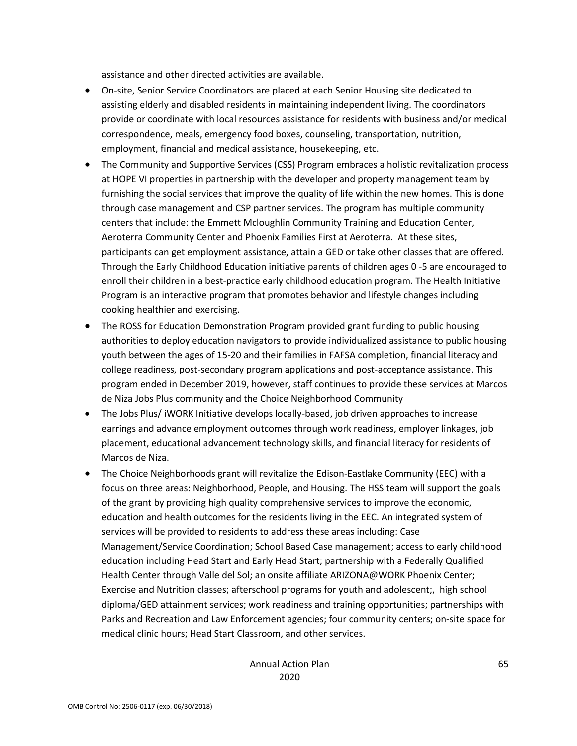assistance and other directed activities are available.

- On-site, Senior Service Coordinators are placed at each Senior Housing site dedicated to assisting elderly and disabled residents in maintaining independent living. The coordinators provide or coordinate with local resources assistance for residents with business and/or medical correspondence, meals, emergency food boxes, counseling, transportation, nutrition, employment, financial and medical assistance, housekeeping, etc.
- The Community and Supportive Services (CSS) Program embraces a holistic revitalization process at HOPE VI properties in partnership with the developer and property management team by furnishing the social services that improve the quality of life within the new homes. This is done through case management and CSP partner services. The program has multiple community centers that include: the Emmett Mcloughlin Community Training and Education Center, Aeroterra Community Center and Phoenix Families First at Aeroterra. At these sites, participants can get employment assistance, attain a GED or take other classes that are offered. Through the Early Childhood Education initiative parents of children ages 0 -5 are encouraged to enroll their children in a best-practice early childhood education program. The Health Initiative Program is an interactive program that promotes behavior and lifestyle changes including cooking healthier and exercising.
- The ROSS for Education Demonstration Program provided grant funding to public housing authorities to deploy education navigators to provide individualized assistance to public housing youth between the ages of 15-20 and their families in FAFSA completion, financial literacy and college readiness, post-secondary program applications and post-acceptance assistance. This program ended in December 2019, however, staff continues to provide these services at Marcos de Niza Jobs Plus community and the Choice Neighborhood Community
- The Jobs Plus/ iWORK Initiative develops locally-based, job driven approaches to increase earrings and advance employment outcomes through work readiness, employer linkages, job placement, educational advancement technology skills, and financial literacy for residents of Marcos de Niza.
- The Choice Neighborhoods grant will revitalize the Edison-Eastlake Community (EEC) with a focus on three areas: Neighborhood, People, and Housing. The HSS team will support the goals of the grant by providing high quality comprehensive services to improve the economic, education and health outcomes for the residents living in the EEC. An integrated system of services will be provided to residents to address these areas including: Case Management/Service Coordination; School Based Case management; access to early childhood education including Head Start and Early Head Start; partnership with a Federally Qualified Health Center through Valle del Sol; an onsite affiliate ARIZONA@WORK Phoenix Center; Exercise and Nutrition classes; afterschool programs for youth and adolescent;, high school diploma/GED attainment services; work readiness and training opportunities; partnerships with Parks and Recreation and Law Enforcement agencies; four community centers; on-site space for medical clinic hours; Head Start Classroom, and other services.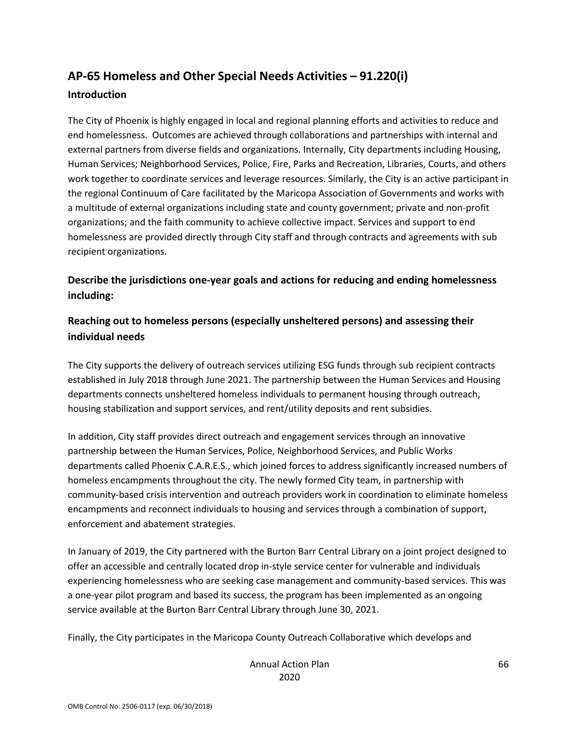# **AP-65 Homeless and Other Special Needs Activities – 91.220(i) Introduction**

The City of Phoenix is highly engaged in local and regional planning efforts and activities to reduce and end homelessness. Outcomes are achieved through collaborations and partnerships with internal and external partners from diverse fields and organizations. Internally, City departments including Housing, Human Services; Neighborhood Services, Police, Fire, Parks and Recreation, Libraries, Courts, and others work together to coordinate services and leverage resources. Similarly, the City is an active participant in the regional Continuum of Care facilitated by the Maricopa Association of Governments and works with a multitude of external organizations including state and county government; private and non-profit organizations; and the faith community to achieve collective impact. Services and support to end homelessness are provided directly through City staff and through contracts and agreements with sub recipient organizations.

**Describe the jurisdictions one-year goals and actions for reducing and ending homelessness including:**

## **Reaching out to homeless persons (especially unsheltered persons) and assessing their individual needs**

The City supports the delivery of outreach services utilizing ESG funds through sub recipient contracts established in July 2018 through June 2021. The partnership between the Human Services and Housing departments connects unsheltered homeless individuals to permanent housing through outreach, housing stabilization and support services, and rent/utility deposits and rent subsidies.

In addition, City staff provides direct outreach and engagement services through an innovative partnership between the Human Services, Police, Neighborhood Services, and Public Works departments called Phoenix C.A.R.E.S., which joined forces to address significantly increased numbers of homeless encampments throughout the city. The newly formed City team, in partnership with community-based crisis intervention and outreach providers work in coordination to eliminate homeless encampments and reconnect individuals to housing and services through a combination of support, enforcement and abatement strategies.

In January of 2019, the City partnered with the Burton Barr Central Library on a joint project designed to offer an accessible and centrally located drop in-style service center for vulnerable and individuals experiencing homelessness who are seeking case management and community-based services. This was a one-year pilot program and based its success, the program has been implemented as an ongoing service available at the Burton Barr Central Library through June 30, 2021.

Finally, the City participates in the Maricopa County Outreach Collaborative which develops and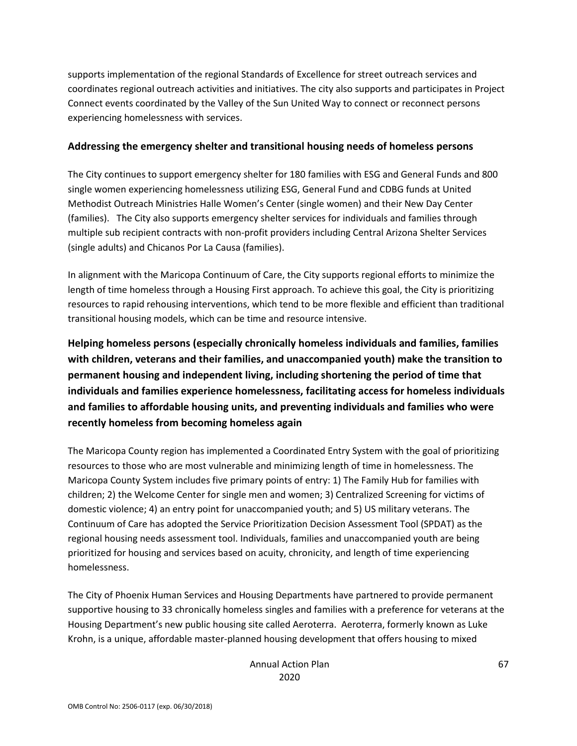supports implementation of the regional Standards of Excellence for street outreach services and coordinates regional outreach activities and initiatives. The city also supports and participates in Project Connect events coordinated by the Valley of the Sun United Way to connect or reconnect persons experiencing homelessness with services.

#### **Addressing the emergency shelter and transitional housing needs of homeless persons**

The City continues to support emergency shelter for 180 families with ESG and General Funds and 800 single women experiencing homelessness utilizing ESG, General Fund and CDBG funds at United Methodist Outreach Ministries Halle Women's Center (single women) and their New Day Center (families). The City also supports emergency shelter services for individuals and families through multiple sub recipient contracts with non-profit providers including Central Arizona Shelter Services (single adults) and Chicanos Por La Causa (families).

In alignment with the Maricopa Continuum of Care, the City supports regional efforts to minimize the length of time homeless through a Housing First approach. To achieve this goal, the City is prioritizing resources to rapid rehousing interventions, which tend to be more flexible and efficient than traditional transitional housing models, which can be time and resource intensive.

**Helping homeless persons (especially chronically homeless individuals and families, families with children, veterans and their families, and unaccompanied youth) make the transition to permanent housing and independent living, including shortening the period of time that individuals and families experience homelessness, facilitating access for homeless individuals and families to affordable housing units, and preventing individuals and families who were recently homeless from becoming homeless again**

The Maricopa County region has implemented a Coordinated Entry System with the goal of prioritizing resources to those who are most vulnerable and minimizing length of time in homelessness. The Maricopa County System includes five primary points of entry: 1) The Family Hub for families with children; 2) the Welcome Center for single men and women; 3) Centralized Screening for victims of domestic violence; 4) an entry point for unaccompanied youth; and 5) US military veterans. The Continuum of Care has adopted the Service Prioritization Decision Assessment Tool (SPDAT) as the regional housing needs assessment tool. Individuals, families and unaccompanied youth are being prioritized for housing and services based on acuity, chronicity, and length of time experiencing homelessness.

The City of Phoenix Human Services and Housing Departments have partnered to provide permanent supportive housing to 33 chronically homeless singles and families with a preference for veterans at the Housing Department's new public housing site called Aeroterra. Aeroterra, formerly known as Luke Krohn, is a unique, affordable master-planned housing development that offers housing to mixed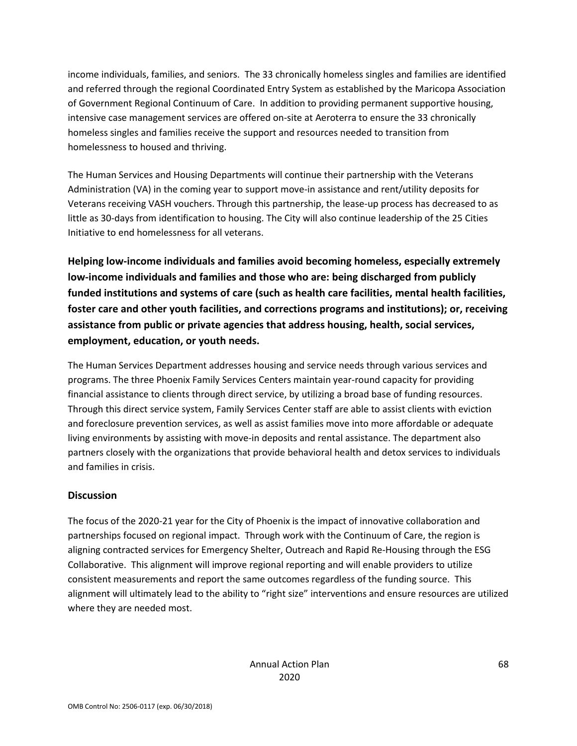income individuals, families, and seniors. The 33 chronically homeless singles and families are identified and referred through the regional Coordinated Entry System as established by the Maricopa Association of Government Regional Continuum of Care. In addition to providing permanent supportive housing, intensive case management services are offered on-site at Aeroterra to ensure the 33 chronically homeless singles and families receive the support and resources needed to transition from homelessness to housed and thriving.

The Human Services and Housing Departments will continue their partnership with the Veterans Administration (VA) in the coming year to support move-in assistance and rent/utility deposits for Veterans receiving VASH vouchers. Through this partnership, the lease-up process has decreased to as little as 30-days from identification to housing. The City will also continue leadership of the 25 Cities Initiative to end homelessness for all veterans.

**Helping low-income individuals and families avoid becoming homeless, especially extremely low-income individuals and families and those who are: being discharged from publicly funded institutions and systems of care (such as health care facilities, mental health facilities, foster care and other youth facilities, and corrections programs and institutions); or, receiving assistance from public or private agencies that address housing, health, social services, employment, education, or youth needs.**

The Human Services Department addresses housing and service needs through various services and programs. The three Phoenix Family Services Centers maintain year-round capacity for providing financial assistance to clients through direct service, by utilizing a broad base of funding resources. Through this direct service system, Family Services Center staff are able to assist clients with eviction and foreclosure prevention services, as well as assist families move into more affordable or adequate living environments by assisting with move-in deposits and rental assistance. The department also partners closely with the organizations that provide behavioral health and detox services to individuals and families in crisis.

### **Discussion**

The focus of the 2020-21 year for the City of Phoenix is the impact of innovative collaboration and partnerships focused on regional impact. Through work with the Continuum of Care, the region is aligning contracted services for Emergency Shelter, Outreach and Rapid Re-Housing through the ESG Collaborative. This alignment will improve regional reporting and will enable providers to utilize consistent measurements and report the same outcomes regardless of the funding source. This alignment will ultimately lead to the ability to "right size" interventions and ensure resources are utilized where they are needed most.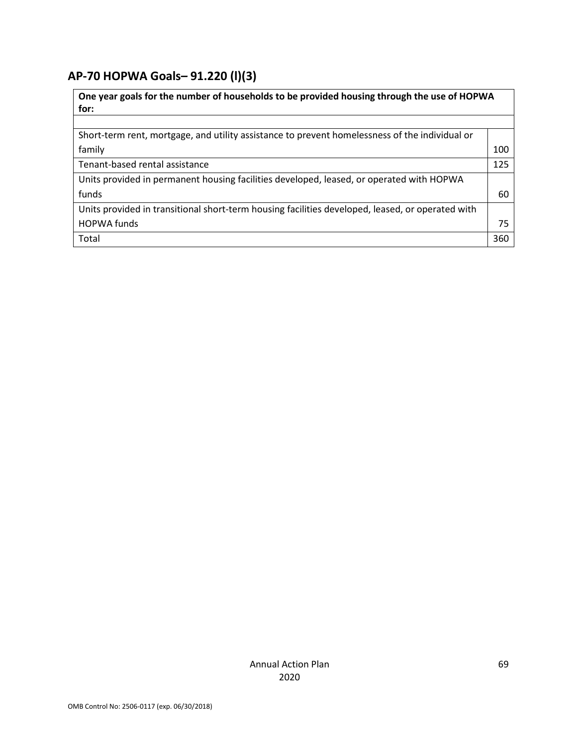# **AP-70 HOPWA Goals***–* **91.220 (l)(3)**

| One year goals for the number of households to be provided housing through the use of HOPWA<br>for: |     |  |
|-----------------------------------------------------------------------------------------------------|-----|--|
|                                                                                                     |     |  |
| Short-term rent, mortgage, and utility assistance to prevent homelessness of the individual or      |     |  |
| family                                                                                              | 100 |  |
| Tenant-based rental assistance                                                                      | 125 |  |
| Units provided in permanent housing facilities developed, leased, or operated with HOPWA            |     |  |
| funds                                                                                               | 60  |  |
| Units provided in transitional short-term housing facilities developed, leased, or operated with    |     |  |
| <b>HOPWA</b> funds                                                                                  | 75  |  |
| Total                                                                                               | 360 |  |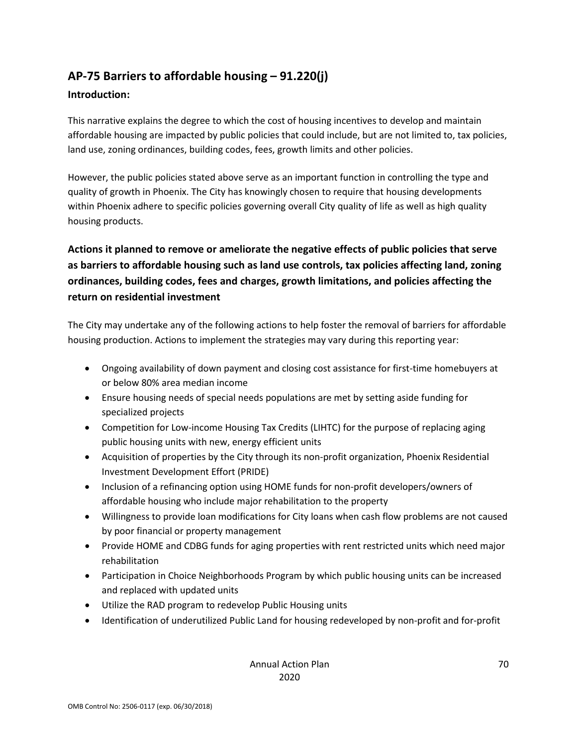# **AP-75 Barriers to affordable housing – 91.220(j)**

### **Introduction:**

This narrative explains the degree to which the cost of housing incentives to develop and maintain affordable housing are impacted by public policies that could include, but are not limited to, tax policies, land use, zoning ordinances, building codes, fees, growth limits and other policies.

However, the public policies stated above serve as an important function in controlling the type and quality of growth in Phoenix. The City has knowingly chosen to require that housing developments within Phoenix adhere to specific policies governing overall City quality of life as well as high quality housing products.

**Actions it planned to remove or ameliorate the negative effects of public policies that serve as barriers to affordable housing such as land use controls, tax policies affecting land, zoning ordinances, building codes, fees and charges, growth limitations, and policies affecting the return on residential investment**

The City may undertake any of the following actions to help foster the removal of barriers for affordable housing production. Actions to implement the strategies may vary during this reporting year:

- Ongoing availability of down payment and closing cost assistance for first-time homebuyers at or below 80% area median income
- Ensure housing needs of special needs populations are met by setting aside funding for specialized projects
- Competition for Low-income Housing Tax Credits (LIHTC) for the purpose of replacing aging public housing units with new, energy efficient units
- Acquisition of properties by the City through its non-profit organization, Phoenix Residential Investment Development Effort (PRIDE)
- Inclusion of a refinancing option using HOME funds for non-profit developers/owners of affordable housing who include major rehabilitation to the property
- Willingness to provide loan modifications for City loans when cash flow problems are not caused by poor financial or property management
- Provide HOME and CDBG funds for aging properties with rent restricted units which need major rehabilitation
- Participation in Choice Neighborhoods Program by which public housing units can be increased and replaced with updated units
- Utilize the RAD program to redevelop Public Housing units
- Identification of underutilized Public Land for housing redeveloped by non-profit and for-profit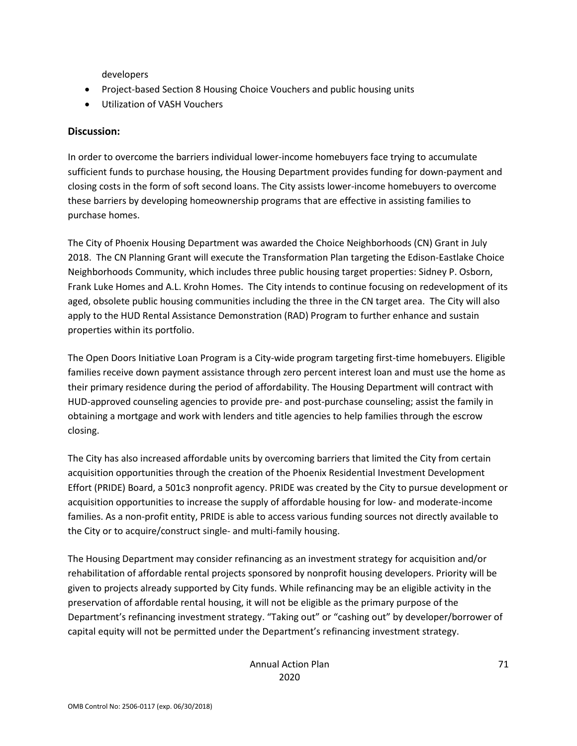developers

- Project-based Section 8 Housing Choice Vouchers and public housing units
- Utilization of VASH Vouchers

#### **Discussion:**

In order to overcome the barriers individual lower-income homebuyers face trying to accumulate sufficient funds to purchase housing, the Housing Department provides funding for down-payment and closing costs in the form of soft second loans. The City assists lower-income homebuyers to overcome these barriers by developing homeownership programs that are effective in assisting families to purchase homes.

The City of Phoenix Housing Department was awarded the Choice Neighborhoods (CN) Grant in July 2018. The CN Planning Grant will execute the Transformation Plan targeting the Edison-Eastlake Choice Neighborhoods Community, which includes three public housing target properties: Sidney P. Osborn, Frank Luke Homes and A.L. Krohn Homes. The City intends to continue focusing on redevelopment of its aged, obsolete public housing communities including the three in the CN target area. The City will also apply to the HUD Rental Assistance Demonstration (RAD) Program to further enhance and sustain properties within its portfolio.

The Open Doors Initiative Loan Program is a City-wide program targeting first-time homebuyers. Eligible families receive down payment assistance through zero percent interest loan and must use the home as their primary residence during the period of affordability. The Housing Department will contract with HUD-approved counseling agencies to provide pre- and post-purchase counseling; assist the family in obtaining a mortgage and work with lenders and title agencies to help families through the escrow closing.

The City has also increased affordable units by overcoming barriers that limited the City from certain acquisition opportunities through the creation of the Phoenix Residential Investment Development Effort (PRIDE) Board, a 501c3 nonprofit agency. PRIDE was created by the City to pursue development or acquisition opportunities to increase the supply of affordable housing for low- and moderate-income families. As a non-profit entity, PRIDE is able to access various funding sources not directly available to the City or to acquire/construct single- and multi-family housing.

The Housing Department may consider refinancing as an investment strategy for acquisition and/or rehabilitation of affordable rental projects sponsored by nonprofit housing developers. Priority will be given to projects already supported by City funds. While refinancing may be an eligible activity in the preservation of affordable rental housing, it will not be eligible as the primary purpose of the Department's refinancing investment strategy. "Taking out" or "cashing out" by developer/borrower of capital equity will not be permitted under the Department's refinancing investment strategy.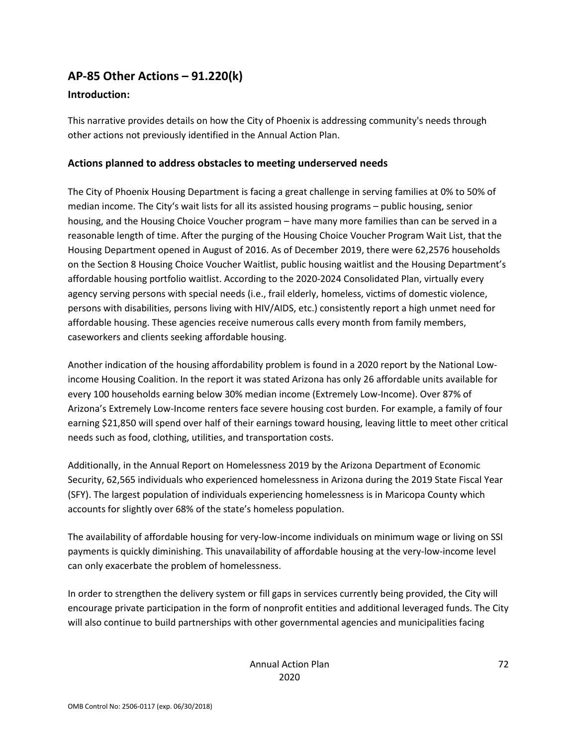# **AP-85 Other Actions – 91.220(k)**

### **Introduction:**

This narrative provides details on how the City of Phoenix is addressing community's needs through other actions not previously identified in the Annual Action Plan.

### **Actions planned to address obstacles to meeting underserved needs**

The City of Phoenix Housing Department is facing a great challenge in serving families at 0% to 50% of median income. The City's wait lists for all its assisted housing programs – public housing, senior housing, and the Housing Choice Voucher program – have many more families than can be served in a reasonable length of time. After the purging of the Housing Choice Voucher Program Wait List, that the Housing Department opened in August of 2016. As of December 2019, there were 62,2576 households on the Section 8 Housing Choice Voucher Waitlist, public housing waitlist and the Housing Department's affordable housing portfolio waitlist. According to the 2020-2024 Consolidated Plan, virtually every agency serving persons with special needs (i.e., frail elderly, homeless, victims of domestic violence, persons with disabilities, persons living with HIV/AIDS, etc.) consistently report a high unmet need for affordable housing. These agencies receive numerous calls every month from family members, caseworkers and clients seeking affordable housing.

Another indication of the housing affordability problem is found in a 2020 report by the National Lowincome Housing Coalition. In the report it was stated Arizona has only 26 affordable units available for every 100 households earning below 30% median income (Extremely Low-Income). Over 87% of Arizona's Extremely Low-Income renters face severe housing cost burden. For example, a family of four earning \$21,850 will spend over half of their earnings toward housing, leaving little to meet other critical needs such as food, clothing, utilities, and transportation costs.

Additionally, in the Annual Report on Homelessness 2019 by the Arizona Department of Economic Security, 62,565 individuals who experienced homelessness in Arizona during the 2019 State Fiscal Year (SFY). The largest population of individuals experiencing homelessness is in Maricopa County which accounts for slightly over 68% of the state's homeless population.

The availability of affordable housing for very-low-income individuals on minimum wage or living on SSI payments is quickly diminishing. This unavailability of affordable housing at the very-low-income level can only exacerbate the problem of homelessness.

In order to strengthen the delivery system or fill gaps in services currently being provided, the City will encourage private participation in the form of nonprofit entities and additional leveraged funds. The City will also continue to build partnerships with other governmental agencies and municipalities facing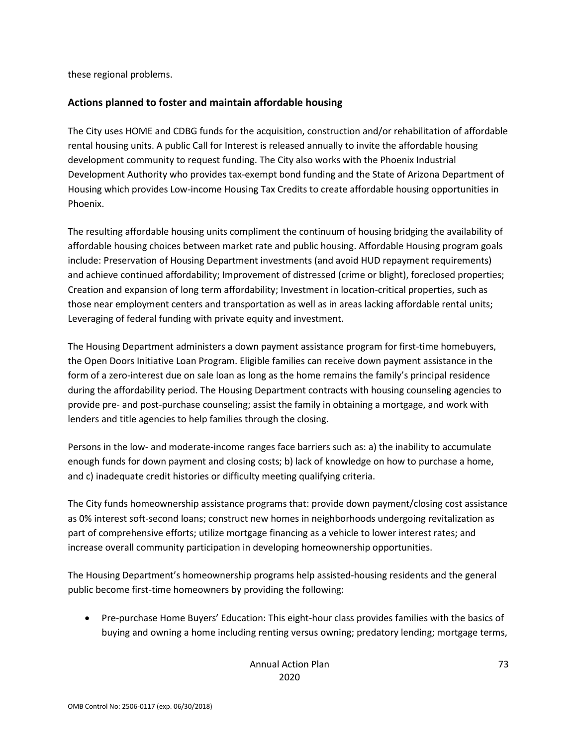these regional problems.

### **Actions planned to foster and maintain affordable housing**

The City uses HOME and CDBG funds for the acquisition, construction and/or rehabilitation of affordable rental housing units. A public Call for Interest is released annually to invite the affordable housing development community to request funding. The City also works with the Phoenix Industrial Development Authority who provides tax-exempt bond funding and the State of Arizona Department of Housing which provides Low-income Housing Tax Credits to create affordable housing opportunities in Phoenix.

The resulting affordable housing units compliment the continuum of housing bridging the availability of affordable housing choices between market rate and public housing. Affordable Housing program goals include: Preservation of Housing Department investments (and avoid HUD repayment requirements) and achieve continued affordability; Improvement of distressed (crime or blight), foreclosed properties; Creation and expansion of long term affordability; Investment in location-critical properties, such as those near employment centers and transportation as well as in areas lacking affordable rental units; Leveraging of federal funding with private equity and investment.

The Housing Department administers a down payment assistance program for first-time homebuyers, the Open Doors Initiative Loan Program. Eligible families can receive down payment assistance in the form of a zero-interest due on sale loan as long as the home remains the family's principal residence during the affordability period. The Housing Department contracts with housing counseling agencies to provide pre- and post-purchase counseling; assist the family in obtaining a mortgage, and work with lenders and title agencies to help families through the closing.

Persons in the low- and moderate-income ranges face barriers such as: a) the inability to accumulate enough funds for down payment and closing costs; b) lack of knowledge on how to purchase a home, and c) inadequate credit histories or difficulty meeting qualifying criteria.

The City funds homeownership assistance programs that: provide down payment/closing cost assistance as 0% interest soft-second loans; construct new homes in neighborhoods undergoing revitalization as part of comprehensive efforts; utilize mortgage financing as a vehicle to lower interest rates; and increase overall community participation in developing homeownership opportunities.

The Housing Department's homeownership programs help assisted-housing residents and the general public become first-time homeowners by providing the following:

• Pre-purchase Home Buyers' Education: This eight-hour class provides families with the basics of buying and owning a home including renting versus owning; predatory lending; mortgage terms,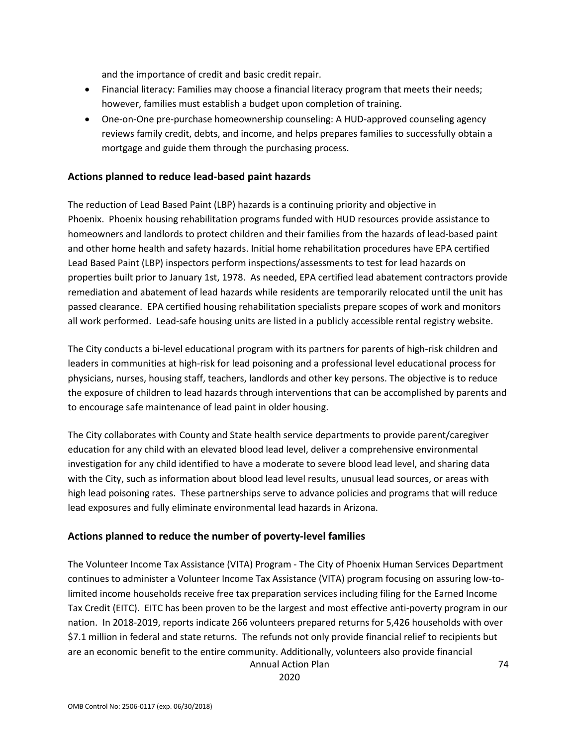and the importance of credit and basic credit repair.

- Financial literacy: Families may choose a financial literacy program that meets their needs; however, families must establish a budget upon completion of training.
- One-on-One pre-purchase homeownership counseling: A HUD-approved counseling agency reviews family credit, debts, and income, and helps prepares families to successfully obtain a mortgage and guide them through the purchasing process.

### **Actions planned to reduce lead-based paint hazards**

The reduction of Lead Based Paint (LBP) hazards is a continuing priority and objective in Phoenix. Phoenix housing rehabilitation programs funded with HUD resources provide assistance to homeowners and landlords to protect children and their families from the hazards of lead-based paint and other home health and safety hazards. Initial home rehabilitation procedures have EPA certified Lead Based Paint (LBP) inspectors perform inspections/assessments to test for lead hazards on properties built prior to January 1st, 1978. As needed, EPA certified lead abatement contractors provide remediation and abatement of lead hazards while residents are temporarily relocated until the unit has passed clearance. EPA certified housing rehabilitation specialists prepare scopes of work and monitors all work performed. Lead-safe housing units are listed in a publicly accessible rental registry website.

The City conducts a bi-level educational program with its partners for parents of high-risk children and leaders in communities at high-risk for lead poisoning and a professional level educational process for physicians, nurses, housing staff, teachers, landlords and other key persons. The objective is to reduce the exposure of children to lead hazards through interventions that can be accomplished by parents and to encourage safe maintenance of lead paint in older housing.

The City collaborates with County and State health service departments to provide parent/caregiver education for any child with an elevated blood lead level, deliver a comprehensive environmental investigation for any child identified to have a moderate to severe blood lead level, and sharing data with the City, such as information about blood lead level results, unusual lead sources, or areas with high lead poisoning rates. These partnerships serve to advance policies and programs that will reduce lead exposures and fully eliminate environmental lead hazards in Arizona.

#### **Actions planned to reduce the number of poverty-level families**

Annual Action Plan The Volunteer Income Tax Assistance (VITA) Program - The City of Phoenix Human Services Department continues to administer a Volunteer Income Tax Assistance (VITA) program focusing on assuring low-tolimited income households receive free tax preparation services including filing for the Earned Income Tax Credit (EITC). EITC has been proven to be the largest and most effective anti-poverty program in our nation. In 2018-2019, reports indicate 266 volunteers prepared returns for 5,426 households with over \$7.1 million in federal and state returns. The refunds not only provide financial relief to recipients but are an economic benefit to the entire community. Additionally, volunteers also provide financial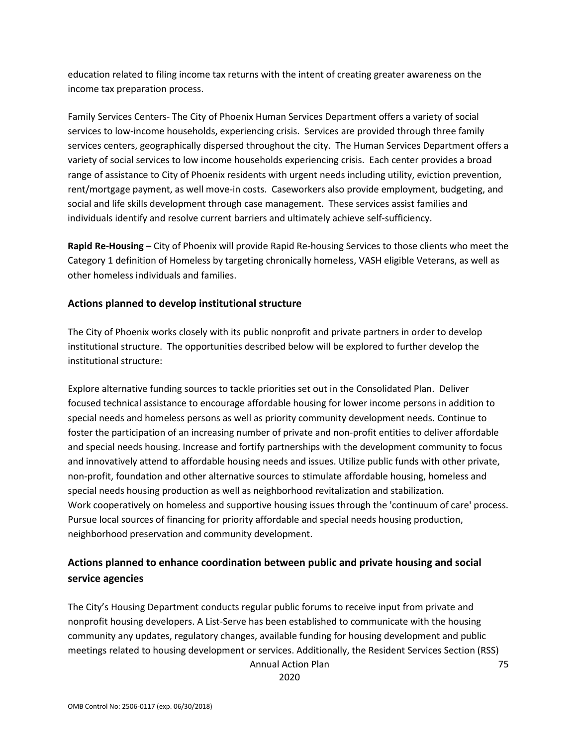education related to filing income tax returns with the intent of creating greater awareness on the income tax preparation process.

Family Services Centers- The City of Phoenix Human Services Department offers a variety of social services to low-income households, experiencing crisis. Services are provided through three family services centers, geographically dispersed throughout the city. The Human Services Department offers a variety of social services to low income households experiencing crisis. Each center provides a broad range of assistance to City of Phoenix residents with urgent needs including utility, eviction prevention, rent/mortgage payment, as well move-in costs. Caseworkers also provide employment, budgeting, and social and life skills development through case management. These services assist families and individuals identify and resolve current barriers and ultimately achieve self-sufficiency.

**Rapid Re-Housing** – City of Phoenix will provide Rapid Re-housing Services to those clients who meet the Category 1 definition of Homeless by targeting chronically homeless, VASH eligible Veterans, as well as other homeless individuals and families.

### **Actions planned to develop institutional structure**

The City of Phoenix works closely with its public nonprofit and private partners in order to develop institutional structure. The opportunities described below will be explored to further develop the institutional structure:

Explore alternative funding sources to tackle priorities set out in the Consolidated Plan. Deliver focused technical assistance to encourage affordable housing for lower income persons in addition to special needs and homeless persons as well as priority community development needs. Continue to foster the participation of an increasing number of private and non-profit entities to deliver affordable and special needs housing. Increase and fortify partnerships with the development community to focus and innovatively attend to affordable housing needs and issues. Utilize public funds with other private, non-profit, foundation and other alternative sources to stimulate affordable housing, homeless and special needs housing production as well as neighborhood revitalization and stabilization. Work cooperatively on homeless and supportive housing issues through the 'continuum of care' process. Pursue local sources of financing for priority affordable and special needs housing production, neighborhood preservation and community development.

# **Actions planned to enhance coordination between public and private housing and social service agencies**

Annual Action Plan The City's Housing Department conducts regular public forums to receive input from private and nonprofit housing developers. A List-Serve has been established to communicate with the housing community any updates, regulatory changes, available funding for housing development and public meetings related to housing development or services. Additionally, the Resident Services Section (RSS)

2020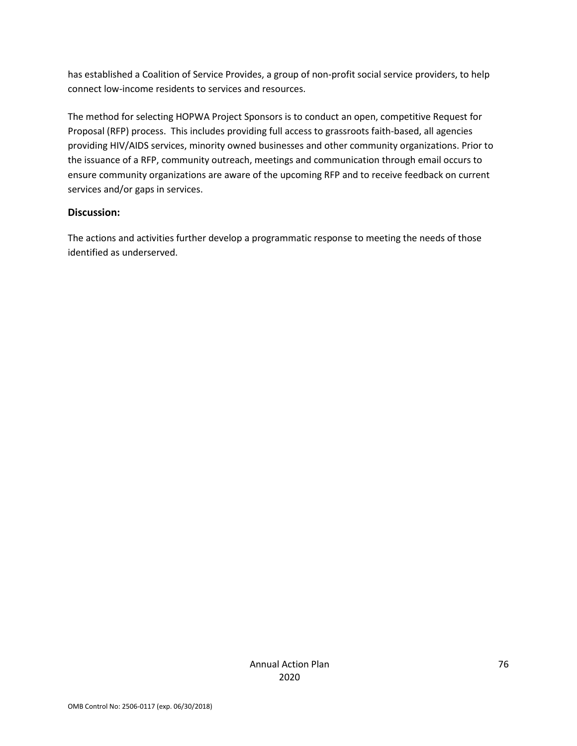has established a Coalition of Service Provides, a group of non-profit social service providers, to help connect low-income residents to services and resources.

The method for selecting HOPWA Project Sponsors is to conduct an open, competitive Request for Proposal (RFP) process. This includes providing full access to grassroots faith-based, all agencies providing HIV/AIDS services, minority owned businesses and other community organizations. Prior to the issuance of a RFP, community outreach, meetings and communication through email occurs to ensure community organizations are aware of the upcoming RFP and to receive feedback on current services and/or gaps in services.

### **Discussion:**

The actions and activities further develop a programmatic response to meeting the needs of those identified as underserved.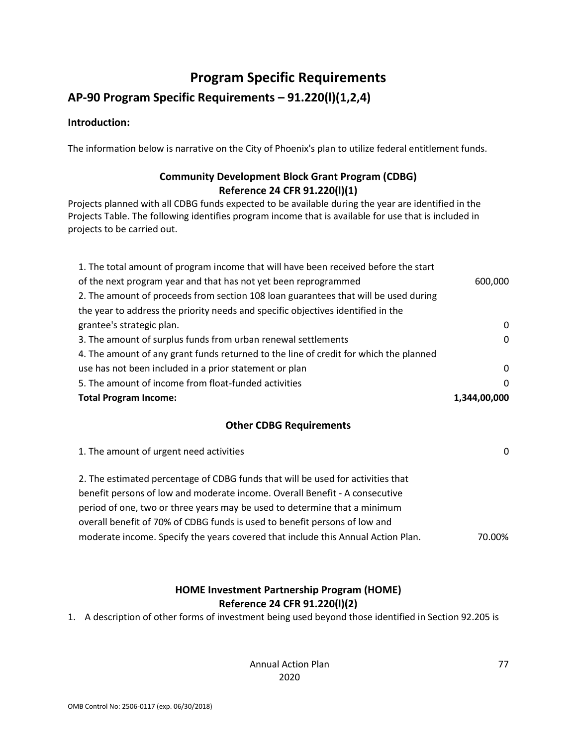# **Program Specific Requirements**

# **AP-90 Program Specific Requirements – 91.220(l)(1,2,4)**

### **Introduction:**

The information below is narrative on the City of Phoenix's plan to utilize federal entitlement funds.

## **Community Development Block Grant Program (CDBG) Reference 24 CFR 91.220(l)(1)**

Projects planned with all CDBG funds expected to be available during the year are identified in the Projects Table. The following identifies program income that is available for use that is included in projects to be carried out.

| 1. The total amount of program income that will have been received before the start   |              |
|---------------------------------------------------------------------------------------|--------------|
| of the next program year and that has not yet been reprogrammed                       | 600,000      |
| 2. The amount of proceeds from section 108 loan guarantees that will be used during   |              |
| the year to address the priority needs and specific objectives identified in the      |              |
| grantee's strategic plan.                                                             | 0            |
| 3. The amount of surplus funds from urban renewal settlements                         | 0            |
| 4. The amount of any grant funds returned to the line of credit for which the planned |              |
| use has not been included in a prior statement or plan                                | 0            |
| 5. The amount of income from float-funded activities                                  | $\Omega$     |
| <b>Total Program Income:</b>                                                          | 1,344,00,000 |

#### **Other CDBG Requirements**

| 1. The amount of urgent need activities                                          | 0      |
|----------------------------------------------------------------------------------|--------|
| 2. The estimated percentage of CDBG funds that will be used for activities that  |        |
| benefit persons of low and moderate income. Overall Benefit - A consecutive      |        |
| period of one, two or three years may be used to determine that a minimum        |        |
| overall benefit of 70% of CDBG funds is used to benefit persons of low and       |        |
| moderate income. Specify the years covered that include this Annual Action Plan. | 70.00% |
|                                                                                  |        |

## **HOME Investment Partnership Program (HOME) Reference 24 CFR 91.220(l)(2)**

1. A description of other forms of investment being used beyond those identified in Section 92.205 is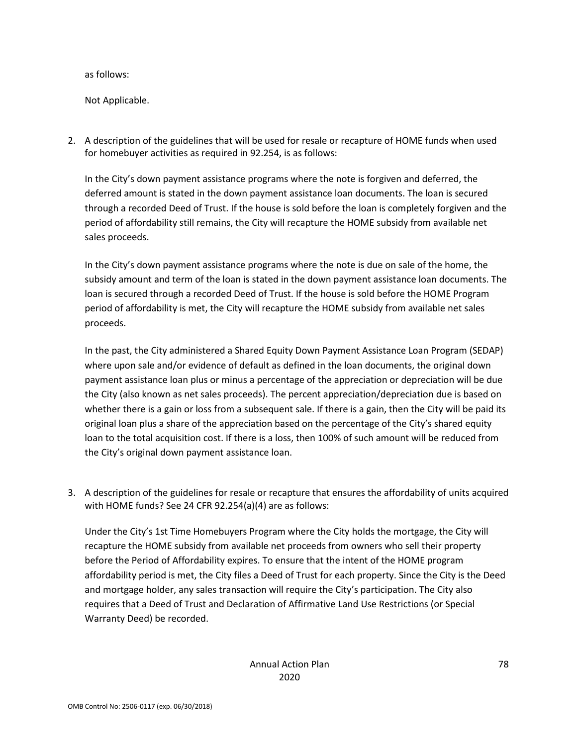as follows:

Not Applicable.

2. A description of the guidelines that will be used for resale or recapture of HOME funds when used for homebuyer activities as required in 92.254, is as follows:

In the City's down payment assistance programs where the note is forgiven and deferred, the deferred amount is stated in the down payment assistance loan documents. The loan is secured through a recorded Deed of Trust. If the house is sold before the loan is completely forgiven and the period of affordability still remains, the City will recapture the HOME subsidy from available net sales proceeds.

In the City's down payment assistance programs where the note is due on sale of the home, the subsidy amount and term of the loan is stated in the down payment assistance loan documents. The loan is secured through a recorded Deed of Trust. If the house is sold before the HOME Program period of affordability is met, the City will recapture the HOME subsidy from available net sales proceeds.

In the past, the City administered a Shared Equity Down Payment Assistance Loan Program (SEDAP) where upon sale and/or evidence of default as defined in the loan documents, the original down payment assistance loan plus or minus a percentage of the appreciation or depreciation will be due the City (also known as net sales proceeds). The percent appreciation/depreciation due is based on whether there is a gain or loss from a subsequent sale. If there is a gain, then the City will be paid its original loan plus a share of the appreciation based on the percentage of the City's shared equity loan to the total acquisition cost. If there is a loss, then 100% of such amount will be reduced from the City's original down payment assistance loan.

3. A description of the guidelines for resale or recapture that ensures the affordability of units acquired with HOME funds? See 24 CFR 92.254(a)(4) are as follows:

Under the City's 1st Time Homebuyers Program where the City holds the mortgage, the City will recapture the HOME subsidy from available net proceeds from owners who sell their property before the Period of Affordability expires. To ensure that the intent of the HOME program affordability period is met, the City files a Deed of Trust for each property. Since the City is the Deed and mortgage holder, any sales transaction will require the City's participation. The City also requires that a Deed of Trust and Declaration of Affirmative Land Use Restrictions (or Special Warranty Deed) be recorded.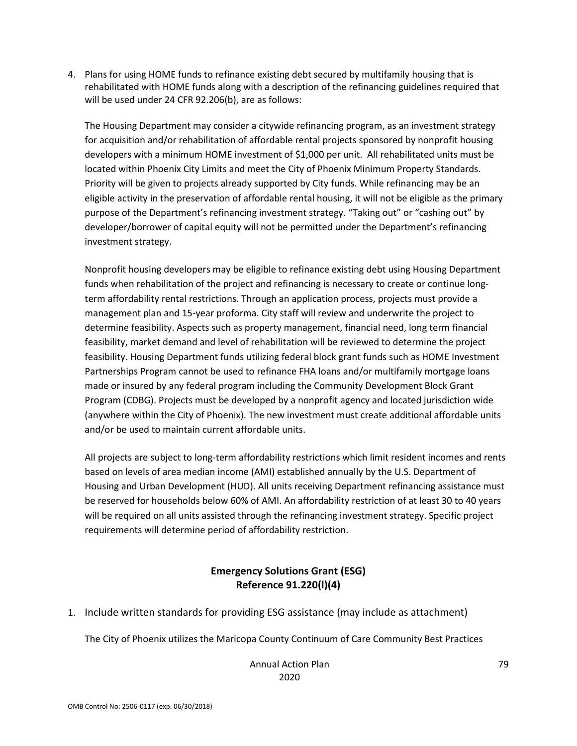4. Plans for using HOME funds to refinance existing debt secured by multifamily housing that is rehabilitated with HOME funds along with a description of the refinancing guidelines required that will be used under 24 CFR 92.206(b), are as follows:

The Housing Department may consider a citywide refinancing program, as an investment strategy for acquisition and/or rehabilitation of affordable rental projects sponsored by nonprofit housing developers with a minimum HOME investment of \$1,000 per unit. All rehabilitated units must be located within Phoenix City Limits and meet the City of Phoenix Minimum Property Standards. Priority will be given to projects already supported by City funds. While refinancing may be an eligible activity in the preservation of affordable rental housing, it will not be eligible as the primary purpose of the Department's refinancing investment strategy. "Taking out" or "cashing out" by developer/borrower of capital equity will not be permitted under the Department's refinancing investment strategy.

Nonprofit housing developers may be eligible to refinance existing debt using Housing Department funds when rehabilitation of the project and refinancing is necessary to create or continue longterm affordability rental restrictions. Through an application process, projects must provide a management plan and 15-year proforma. City staff will review and underwrite the project to determine feasibility. Aspects such as property management, financial need, long term financial feasibility, market demand and level of rehabilitation will be reviewed to determine the project feasibility. Housing Department funds utilizing federal block grant funds such as HOME Investment Partnerships Program cannot be used to refinance FHA loans and/or multifamily mortgage loans made or insured by any federal program including the Community Development Block Grant Program (CDBG). Projects must be developed by a nonprofit agency and located jurisdiction wide (anywhere within the City of Phoenix). The new investment must create additional affordable units and/or be used to maintain current affordable units.

All projects are subject to long-term affordability restrictions which limit resident incomes and rents based on levels of area median income (AMI) established annually by the U.S. Department of Housing and Urban Development (HUD). All units receiving Department refinancing assistance must be reserved for households below 60% of AMI. An affordability restriction of at least 30 to 40 years will be required on all units assisted through the refinancing investment strategy. Specific project requirements will determine period of affordability restriction.

## **Emergency Solutions Grant (ESG) Reference 91.220(l)(4)**

1. Include written standards for providing ESG assistance (may include as attachment)

The City of Phoenix utilizes the Maricopa County Continuum of Care Community Best Practices

Annual Action Plan 2020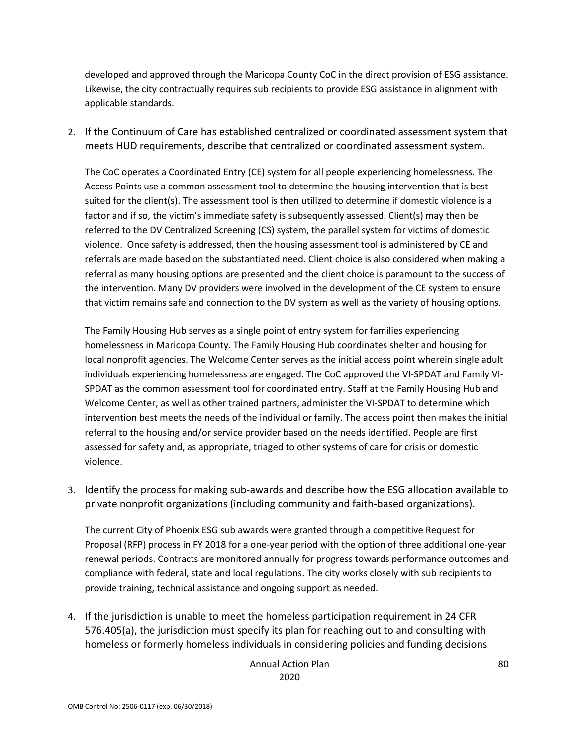developed and approved through the Maricopa County CoC in the direct provision of ESG assistance. Likewise, the city contractually requires sub recipients to provide ESG assistance in alignment with applicable standards.

2. If the Continuum of Care has established centralized or coordinated assessment system that meets HUD requirements, describe that centralized or coordinated assessment system.

The CoC operates a Coordinated Entry (CE) system for all people experiencing homelessness. The Access Points use a common assessment tool to determine the housing intervention that is best suited for the client(s). The assessment tool is then utilized to determine if domestic violence is a factor and if so, the victim's immediate safety is subsequently assessed. Client(s) may then be referred to the DV Centralized Screening (CS) system, the parallel system for victims of domestic violence. Once safety is addressed, then the housing assessment tool is administered by CE and referrals are made based on the substantiated need. Client choice is also considered when making a referral as many housing options are presented and the client choice is paramount to the success of the intervention. Many DV providers were involved in the development of the CE system to ensure that victim remains safe and connection to the DV system as well as the variety of housing options.

The Family Housing Hub serves as a single point of entry system for families experiencing homelessness in Maricopa County. The Family Housing Hub coordinates shelter and housing for local nonprofit agencies. The Welcome Center serves as the initial access point wherein single adult individuals experiencing homelessness are engaged. The CoC approved the VI-SPDAT and Family VI-SPDAT as the common assessment tool for coordinated entry. Staff at the Family Housing Hub and Welcome Center, as well as other trained partners, administer the VI-SPDAT to determine which intervention best meets the needs of the individual or family. The access point then makes the initial referral to the housing and/or service provider based on the needs identified. People are first assessed for safety and, as appropriate, triaged to other systems of care for crisis or domestic violence.

3. Identify the process for making sub-awards and describe how the ESG allocation available to private nonprofit organizations (including community and faith-based organizations).

The current City of Phoenix ESG sub awards were granted through a competitive Request for Proposal (RFP) process in FY 2018 for a one-year period with the option of three additional one-year renewal periods. Contracts are monitored annually for progress towards performance outcomes and compliance with federal, state and local regulations. The city works closely with sub recipients to provide training, technical assistance and ongoing support as needed.

4. If the jurisdiction is unable to meet the homeless participation requirement in 24 CFR 576.405(a), the jurisdiction must specify its plan for reaching out to and consulting with homeless or formerly homeless individuals in considering policies and funding decisions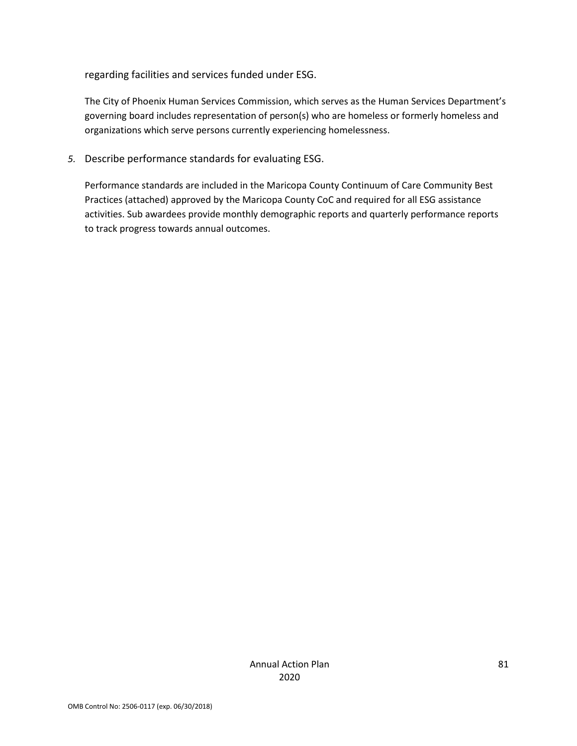regarding facilities and services funded under ESG.

The City of Phoenix Human Services Commission, which serves as the Human Services Department's governing board includes representation of person(s) who are homeless or formerly homeless and organizations which serve persons currently experiencing homelessness.

*5.* Describe performance standards for evaluating ESG.

Performance standards are included in the Maricopa County Continuum of Care Community Best Practices (attached) approved by the Maricopa County CoC and required for all ESG assistance activities. Sub awardees provide monthly demographic reports and quarterly performance reports to track progress towards annual outcomes.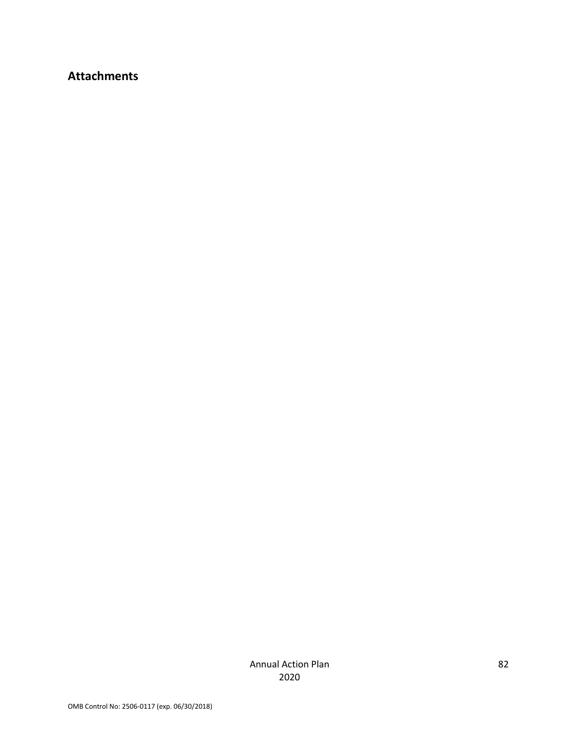# **Attachments**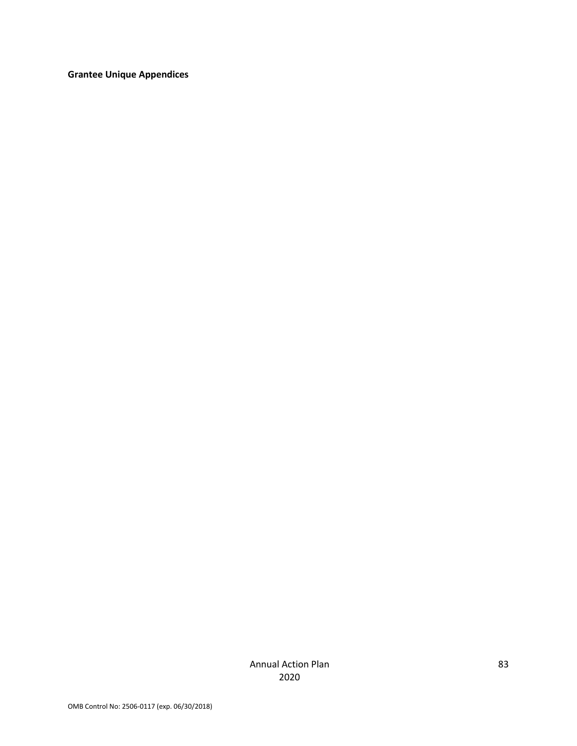**Grantee Unique Appendices**